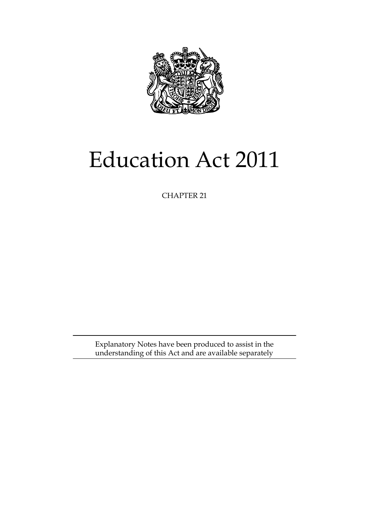

# Education Act 2011

CHAPTER 21

Explanatory Notes have been produced to assist in the understanding of this Act and are available separately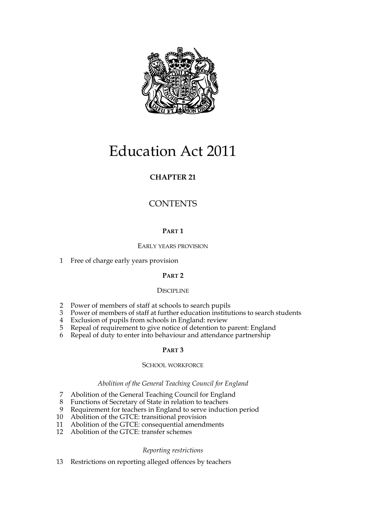

# Education Act 2011

# **CHAPTER 21**

# **CONTENTS**

# **PART 1**

# EARLY YEARS PROVISION

1 Free of charge early years provision

# **PART 2**

# **DISCIPLINE**

- 2 Power of members of staff at schools to search pupils
- 3 Power of members of staff at further education institutions to search students
- 4 Exclusion of pupils from schools in England: review
- 5 Repeal of requirement to give notice of detention to parent: England
- 6 Repeal of duty to enter into behaviour and attendance partnership

# **PART 3**

# SCHOOL WORKFORCE

# *Abolition of the General Teaching Council for England*

- 7 Abolition of the General Teaching Council for England
- 8 Functions of Secretary of State in relation to teachers
- 9 Requirement for teachers in England to serve induction period
- 10 Abolition of the GTCE: transitional provision
- 11 Abolition of the GTCE: consequential amendments
- 12 Abolition of the GTCE: transfer schemes

# *Reporting restrictions*

13 Restrictions on reporting alleged offences by teachers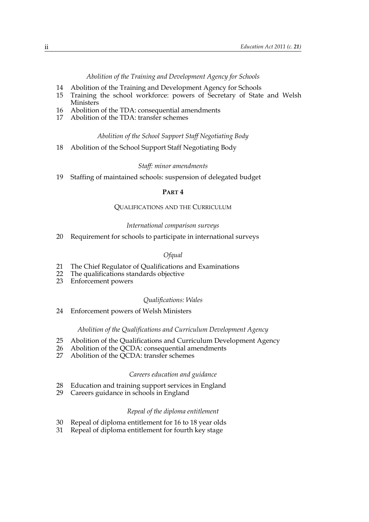*Abolition of the Training and Development Agency for Schools*

- 14 Abolition of the Training and Development Agency for Schools
- 15 Training the school workforce: powers of Secretary of State and Welsh **Ministers**
- 16 Abolition of the TDA: consequential amendments
- 17 Abolition of the TDA: transfer schemes

#### *Abolition of the School Support Staff Negotiating Body*

18 Abolition of the School Support Staff Negotiating Body

#### *Staff: minor amendments*

19 Staffing of maintained schools: suspension of delegated budget

#### **PART 4**

#### QUALIFICATIONS AND THE CURRICULUM

#### *International comparison surveys*

20 Requirement for schools to participate in international surveys

#### *Ofqual*

- 21 The Chief Regulator of Qualifications and Examinations
- 22 The qualifications standards objective
- 23 Enforcement powers

#### *Qualifications: Wales*

24 Enforcement powers of Welsh Ministers

#### *Abolition of the Qualifications and Curriculum Development Agency*

- 25 Abolition of the Qualifications and Curriculum Development Agency
- 26 Abolition of the QCDA: consequential amendments<br>27 Abolition of the OCDA: transfer schemes
- Abolition of the QCDA: transfer schemes

#### *Careers education and guidance*

- 28 Education and training support services in England
- 29 Careers guidance in schools in England

#### *Repeal of the diploma entitlement*

- 30 Repeal of diploma entitlement for 16 to 18 year olds
- 31 Repeal of diploma entitlement for fourth key stage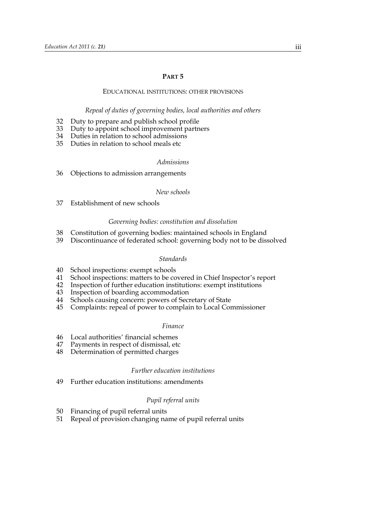#### **PART 5**

#### EDUCATIONAL INSTITUTIONS: OTHER PROVISIONS

#### *Repeal of duties of governing bodies, local authorities and others*

- 32 Duty to prepare and publish school profile
- 33 Duty to appoint school improvement partners
- 34 Duties in relation to school admissions
- 35 Duties in relation to school meals etc

#### *Admissions*

36 Objections to admission arrangements

#### *New schools*

37 Establishment of new schools

#### *Governing bodies: constitution and dissolution*

- 38 Constitution of governing bodies: maintained schools in England
- 39 Discontinuance of federated school: governing body not to be dissolved

#### *Standards*

- 40 School inspections: exempt schools
- 41 School inspections: matters to be covered in Chief Inspector's report
- 42 Inspection of further education institutions: exempt institutions
- 43 Inspection of boarding accommodation
- 44 Schools causing concern: powers of Secretary of State
- 45 Complaints: repeal of power to complain to Local Commissioner

#### *Finance*

- 46 Local authorities' financial schemes
- 47 Payments in respect of dismissal, etc
- 48 Determination of permitted charges

#### *Further education institutions*

49 Further education institutions: amendments

#### *Pupil referral units*

- 50 Financing of pupil referral units
- 51 Repeal of provision changing name of pupil referral units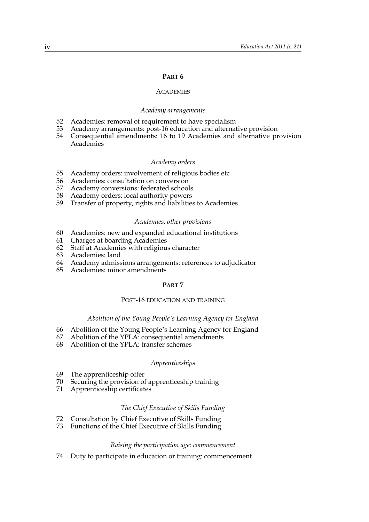#### **PART 6**

#### **ACADEMIES**

#### *Academy arrangements*

- 52 Academies: removal of requirement to have specialism
- 53 Academy arrangements: post-16 education and alternative provision
- 54 Consequential amendments: 16 to 19 Academies and alternative provision Academies

#### *Academy orders*

- 55 Academy orders: involvement of religious bodies etc
- 56 Academies: consultation on conversion<br>57 Academy conversions: federated school
- 57 Academy conversions: federated schools
- 58 Academy orders: local authority powers
- 59 Transfer of property, rights and liabilities to Academies

#### *Academies: other provisions*

- 60 Academies: new and expanded educational institutions
- 61 Charges at boarding Academies
- 62 Staff at Academies with religious character
- 63 Academies: land
- 64 Academy admissions arrangements: references to adjudicator
- 65 Academies: minor amendments

#### **PART 7**

#### POST-16 EDUCATION AND TRAINING

#### *Abolition of the Young People's Learning Agency for England*

- 66 Abolition of the Young People's Learning Agency for England
- 67 Abolition of the YPLA: consequential amendments
- 68 Abolition of the YPLA: transfer schemes

#### *Apprenticeships*

- 69 The apprenticeship offer
- 70 Securing the provision of apprenticeship training
- 71 Apprenticeship certificates

#### *The Chief Executive of Skills Funding*

- 72 Consultation by Chief Executive of Skills Funding
- 73 Functions of the Chief Executive of Skills Funding

#### *Raising the participation age: commencement*

74 Duty to participate in education or training: commencement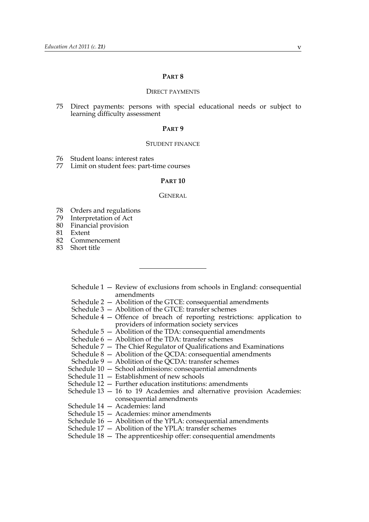#### **PART 8**

#### DIRECT PAYMENTS

75 Direct payments: persons with special educational needs or subject to learning difficulty assessment

#### **PART 9**

#### STUDENT FINANCE

- 76 Student loans: interest rates
- 77 Limit on student fees: part-time courses

#### **PART 10**

#### GENERAL

- 78 Orders and regulations
- 79 Interpretation of Act
- 80 Financial provision
- 81 Extent
- 82 Commencement
- 83 Short title
	- Schedule 1 Review of exclusions from schools in England: consequential amendments
	- Schedule 2 Abolition of the GTCE: consequential amendments
	- Schedule 3 Abolition of the GTCE: transfer schemes
	- Schedule 4 Offence of breach of reporting restrictions: application to providers of information society services
	- Schedule  $5 -$ Abolition of the TDA: consequential amendments
	- Schedule 6 Abolition of the TDA: transfer schemes
	- Schedule 7 The Chief Regulator of Qualifications and Examinations
	- Schedule 8 Abolition of the QCDA: consequential amendments
	- Schedule 9 Abolition of the QCDA: transfer schemes
	- Schedule 10 School admissions: consequential amendments
	- Schedule 11 Establishment of new schools
	- Schedule 12 Further education institutions: amendments
	- Schedule 13 16 to 19 Academies and alternative provision Academies: consequential amendments
	- Schedule 14 Academies: land
	- Schedule 15 Academies: minor amendments
	- Schedule 16 Abolition of the YPLA: consequential amendments
	- Schedule 17 Abolition of the YPLA: transfer schemes
	- Schedule 18 The apprenticeship offer: consequential amendments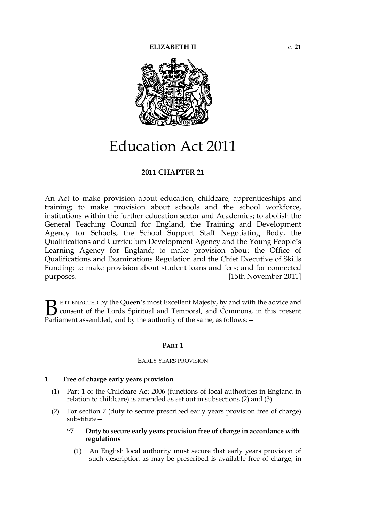

# Education Act 2011

# **2011 CHAPTER 21**

An Act to make provision about education, childcare, apprenticeships and training; to make provision about schools and the school workforce, institutions within the further education sector and Academies; to abolish the General Teaching Council for England, the Training and Development Agency for Schools, the School Support Staff Negotiating Body, the Qualifications and Curriculum Development Agency and the Young People's Learning Agency for England; to make provision about the Office of Qualifications and Examinations Regulation and the Chief Executive of Skills Funding; to make provision about student loans and fees; and for connected purposes. [15th November 2011]

E IT ENACTED by the Queen's most Excellent Majesty, by and with the advice and consent of the Lords Spiritual and Temporal, and Commons, in this present **B** E IT ENACTED by the Queen's most Excellent Majesty, by and with consent of the Lords Spiritual and Temporal, and Commons, Parliament assembled, and by the authority of the same, as follows:  $-$ 

#### **PART 1**

#### EARLY YEARS PROVISION

#### **1 Free of charge early years provision**

- (1) Part 1 of the Childcare Act 2006 (functions of local authorities in England in relation to childcare) is amended as set out in subsections (2) and (3).
- (2) For section 7 (duty to secure prescribed early years provision free of charge) substitute—
	- **"7 Duty to secure early years provision free of charge in accordance with regulations**
		- (1) An English local authority must secure that early years provision of such description as may be prescribed is available free of charge, in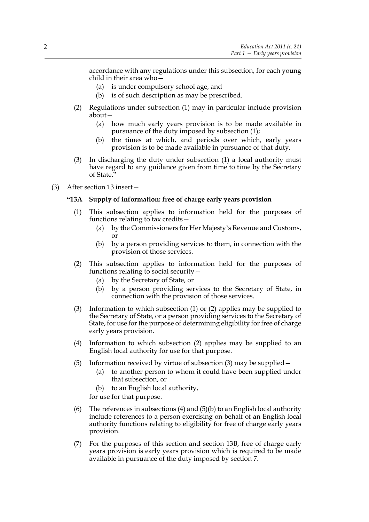accordance with any regulations under this subsection, for each young child in their area who—

- (a) is under compulsory school age, and
- (b) is of such description as may be prescribed.
- (2) Regulations under subsection (1) may in particular include provision about—
	- (a) how much early years provision is to be made available in pursuance of the duty imposed by subsection (1);
	- (b) the times at which, and periods over which, early years provision is to be made available in pursuance of that duty.
- (3) In discharging the duty under subsection (1) a local authority must have regard to any guidance given from time to time by the Secretary of State."
- (3) After section 13 insert—

# **"13A Supply of information: free of charge early years provision**

- (1) This subsection applies to information held for the purposes of functions relating to tax credits—
	- (a) by the Commissioners for Her Majesty's Revenue and Customs, or
	- (b) by a person providing services to them, in connection with the provision of those services.
- (2) This subsection applies to information held for the purposes of functions relating to social security—
	- (a) by the Secretary of State, or
	- (b) by a person providing services to the Secretary of State, in connection with the provision of those services.
- (3) Information to which subsection (1) or (2) applies may be supplied to the Secretary of State, or a person providing services to the Secretary of State, for use for the purpose of determining eligibility for free of charge early years provision.
- (4) Information to which subsection (2) applies may be supplied to an English local authority for use for that purpose.
- (5) Information received by virtue of subsection (3) may be supplied—
	- (a) to another person to whom it could have been supplied under that subsection, or
	- (b) to an English local authority,

for use for that purpose.

- (6) The references in subsections (4) and (5)(b) to an English local authority include references to a person exercising on behalf of an English local authority functions relating to eligibility for free of charge early years provision.
- (7) For the purposes of this section and section 13B, free of charge early years provision is early years provision which is required to be made available in pursuance of the duty imposed by section 7.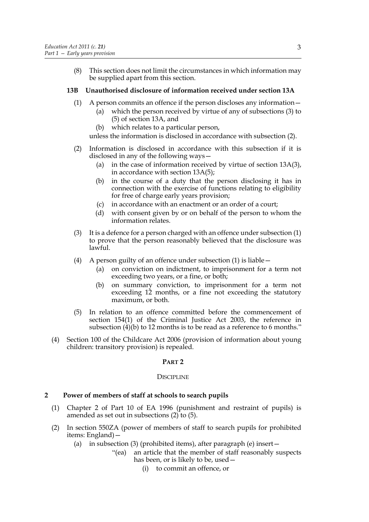(8) This section does not limit the circumstances in which information may be supplied apart from this section.

# **13B Unauthorised disclosure of information received under section 13A**

- (1) A person commits an offence if the person discloses any information—
	- (a) which the person received by virtue of any of subsections (3) to (5) of section 13A, and
	- (b) which relates to a particular person,

unless the information is disclosed in accordance with subsection (2).

- (2) Information is disclosed in accordance with this subsection if it is disclosed in any of the following ways—
	- (a) in the case of information received by virtue of section 13A(3), in accordance with section 13A(5);
	- (b) in the course of a duty that the person disclosing it has in connection with the exercise of functions relating to eligibility for free of charge early years provision;
	- (c) in accordance with an enactment or an order of a court;
	- (d) with consent given by or on behalf of the person to whom the information relates.
- (3) It is a defence for a person charged with an offence under subsection (1) to prove that the person reasonably believed that the disclosure was lawful.
- (4) A person guilty of an offence under subsection (1) is liable—
	- (a) on conviction on indictment, to imprisonment for a term not exceeding two years, or a fine, or both;
	- (b) on summary conviction, to imprisonment for a term not exceeding 12 months, or a fine not exceeding the statutory maximum, or both.
- (5) In relation to an offence committed before the commencement of section 154(1) of the Criminal Justice Act 2003, the reference in subsection (4)(b) to 12 months is to be read as a reference to 6 months."
- (4) Section 100 of the Childcare Act 2006 (provision of information about young children: transitory provision) is repealed.

# **PART 2**

# **DISCIPLINE**

# **2 Power of members of staff at schools to search pupils**

- (1) Chapter 2 of Part 10 of EA 1996 (punishment and restraint of pupils) is amended as set out in subsections (2) to (5).
- (2) In section 550ZA (power of members of staff to search pupils for prohibited items: England)—
	- (a) in subsection (3) (prohibited items), after paragraph (e) insert—
		- "(ea) an article that the member of staff reasonably suspects has been, or is likely to be, used—
			- (i) to commit an offence, or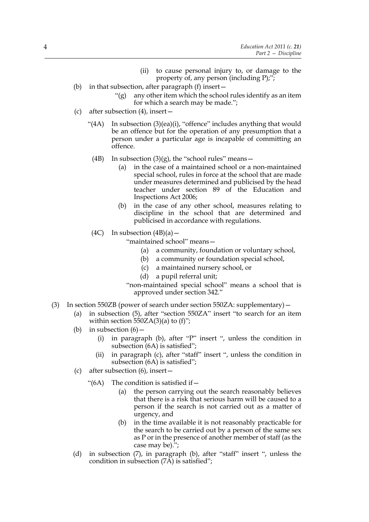- (ii) to cause personal injury to, or damage to the property of, any person (including P);";
- (b) in that subsection, after paragraph (f) insert—
	- " $(g)$  any other item which the school rules identify as an item for which a search may be made.";
- (c) after subsection (4), insert—
	- "(4A) In subsection (3)(ea)(i), "offence" includes anything that would be an offence but for the operation of any presumption that a person under a particular age is incapable of committing an offence.
		- (4B) In subsection  $(3)(g)$ , the "school rules" means -
			- (a) in the case of a maintained school or a non-maintained special school, rules in force at the school that are made under measures determined and publicised by the head teacher under section 89 of the Education and Inspections Act 2006;
			- (b) in the case of any other school, measures relating to discipline in the school that are determined and publicised in accordance with regulations.
		- (4C) In subsection  $(4B)(a)$  –

"maintained school" means—

- (a) a community, foundation or voluntary school,
- (b) a community or foundation special school,
- (c) a maintained nursery school, or
- (d) a pupil referral unit;
- "non-maintained special school" means a school that is approved under section 342."
- (3) In section 550ZB (power of search under section 550ZA: supplementary)—
	- (a) in subsection (5), after "section 550ZA" insert "to search for an item within section  $550ZA(3)(a)$  to  $(f)$ ";
	- (b) in subsection  $(6)$  -
		- (i) in paragraph (b), after "P" insert ", unless the condition in subsection (6A) is satisfied";
		- (ii) in paragraph (c), after "staff" insert ", unless the condition in subsection (6A) is satisfied";
	- (c) after subsection (6), insert—
		- "( $6A$ ) The condition is satisfied if  $-$ 
			- (a) the person carrying out the search reasonably believes that there is a risk that serious harm will be caused to a person if the search is not carried out as a matter of urgency, and
			- (b) in the time available it is not reasonably practicable for the search to be carried out by a person of the same sex as P or in the presence of another member of staff (as the case may be).";
	- (d) in subsection (7), in paragraph (b), after "staff" insert ", unless the condition in subsection  $(7\text{\AA})$  is satisfied";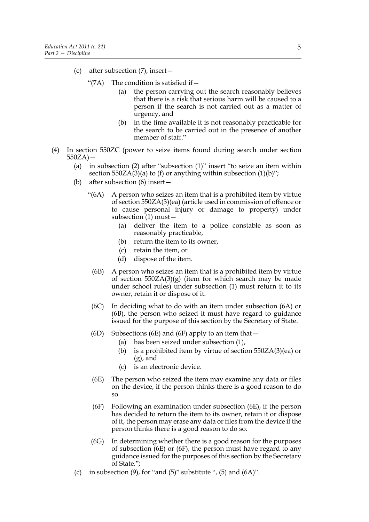- (e) after subsection (7), insert—
	- "(7A) The condition is satisfied if  $$ 
		- the person carrying out the search reasonably believes that there is a risk that serious harm will be caused to a person if the search is not carried out as a matter of urgency, and
		- (b) in the time available it is not reasonably practicable for the search to be carried out in the presence of another member of staff."
- (4) In section 550ZC (power to seize items found during search under section  $550ZA$  –
	- (a) in subsection (2) after "subsection (1)" insert "to seize an item within section  $550ZA(3)(a)$  to (f) or anything within subsection  $(1)(b)$ ";
	- (b) after subsection (6) insert—
		- "(6A) A person who seizes an item that is a prohibited item by virtue of section 550ZA(3)(ea) (article used in commission of offence or to cause personal injury or damage to property) under subsection (1) must—
			- (a) deliver the item to a police constable as soon as reasonably practicable,
			- (b) return the item to its owner,
			- (c) retain the item, or
			- (d) dispose of the item.
			- (6B) A person who seizes an item that is a prohibited item by virtue of section  $550ZA(3)(g)$  (item for which search may be made under school rules) under subsection (1) must return it to its owner, retain it or dispose of it.
			- (6C) In deciding what to do with an item under subsection (6A) or (6B), the person who seized it must have regard to guidance issued for the purpose of this section by the Secretary of State.
			- (6D) Subsections (6E) and (6F) apply to an item that  $-$ 
				- (a) has been seized under subsection (1),
				- (b) is a prohibited item by virtue of section 550ZA(3)(ea) or (g), and
				- (c) is an electronic device.
			- (6E) The person who seized the item may examine any data or files on the device, if the person thinks there is a good reason to do so.
			- (6F) Following an examination under subsection (6E), if the person has decided to return the item to its owner, retain it or dispose of it, the person may erase any data or files from the device if the person thinks there is a good reason to do so.
			- (6G) In determining whether there is a good reason for the purposes of subsection (6E) or (6F), the person must have regard to any guidance issued for the purposes of this section by the Secretary of State.";
	- (c) in subsection  $(9)$ , for "and  $(5)$ " substitute ",  $(5)$  and  $(6A)$ ".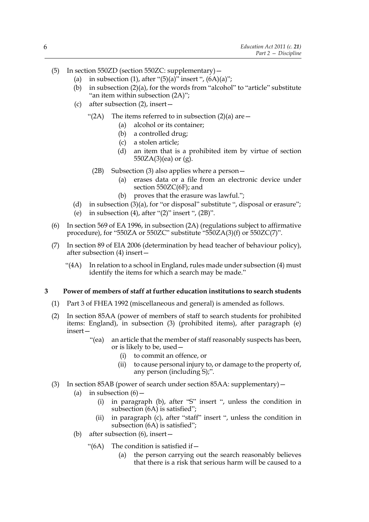- (5) In section 550ZD (section 550ZC: supplementary)—
	- (a) in subsection (1), after " $(5)(a)$ " insert ",  $(6A)(a)$ ";
	- (b) in subsection (2)(a), for the words from "alcohol" to "article" substitute "an item within subsection (2A)";
	- (c) after subsection (2), insert—
		- "(2A) The items referred to in subsection  $(2)(a)$  are  $-$ 
			- (a) alcohol or its container;
			- (b) a controlled drug;
			- (c) a stolen article;
			- (d) an item that is a prohibited item by virtue of section 550ZA(3)(ea) or (g).
			- (2B) Subsection (3) also applies where a person—
				- (a) erases data or a file from an electronic device under section 550ZC(6F); and
				- (b) proves that the erasure was lawful.";
	- (d) in subsection (3)(a), for "or disposal" substitute ", disposal or erasure";
	- (e) in subsection (4), after " $(2)$ " insert ",  $(2B)$ ".
- (6) In section 569 of EA 1996, in subsection (2A) (regulations subject to affirmative procedure), for "550ZA or 550ZC" substitute "550ZA(3)(f) or 550ZC(7)".
- (7) In section 89 of EIA 2006 (determination by head teacher of behaviour policy), after subsection (4) insert—
	- " $(4A)$  In relation to a school in England, rules made under subsection  $(4)$  must identify the items for which a search may be made."

#### **3 Power of members of staff at further education institutions to search students**

- (1) Part 3 of FHEA 1992 (miscellaneous and general) is amended as follows.
- (2) In section 85AA (power of members of staff to search students for prohibited items: England), in subsection (3) (prohibited items), after paragraph (e) insert—
	- "(ea) an article that the member of staff reasonably suspects has been, or is likely to be, used—
		- (i) to commit an offence, or
		- (ii) to cause personal injury to, or damage to the property of, any person (including S);".
- (3) In section 85AB (power of search under section 85AA: supplementary)—
	- (a) in subsection  $(6)$  -
		- (i) in paragraph (b), after "S" insert ", unless the condition in subsection (6A) is satisfied";
		- (ii) in paragraph (c), after "staff" insert ", unless the condition in subsection (6A) is satisfied";
	- (b) after subsection (6), insert—
		- "(6A) The condition is satisfied if  $-$ 
			- (a) the person carrying out the search reasonably believes that there is a risk that serious harm will be caused to a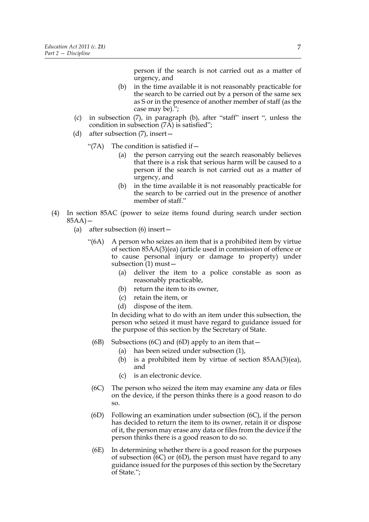person if the search is not carried out as a matter of urgency, and

- (b) in the time available it is not reasonably practicable for the search to be carried out by a person of the same sex as S or in the presence of another member of staff (as the case may be).";
- (c) in subsection (7), in paragraph (b), after "staff" insert ", unless the condition in subsection (7A) is satisfied";
- (d) after subsection (7), insert—
	- " $(7A)$  The condition is satisfied if  $-$ 
		- (a) the person carrying out the search reasonably believes that there is a risk that serious harm will be caused to a person if the search is not carried out as a matter of urgency, and
		- (b) in the time available it is not reasonably practicable for the search to be carried out in the presence of another member of staff."
- (4) In section 85AC (power to seize items found during search under section  $85AA$ ) –
	- (a) after subsection (6) insert—
		- "(6A) A person who seizes an item that is a prohibited item by virtue of section 85AA(3)(ea) (article used in commission of offence or to cause personal injury or damage to property) under subsection (1) must—
			- (a) deliver the item to a police constable as soon as reasonably practicable,
			- (b) return the item to its owner,
			- (c) retain the item, or
			- (d) dispose of the item.

In deciding what to do with an item under this subsection, the person who seized it must have regard to guidance issued for the purpose of this section by the Secretary of State.

- (6B) Subsections (6C) and (6D) apply to an item that  $-$ 
	- (a) has been seized under subsection (1),
	- (b) is a prohibited item by virtue of section 85AA(3)(ea), and
	- (c) is an electronic device.
- (6C) The person who seized the item may examine any data or files on the device, if the person thinks there is a good reason to do so.
- (6D) Following an examination under subsection (6C), if the person has decided to return the item to its owner, retain it or dispose of it, the person may erase any data or files from the device if the person thinks there is a good reason to do so.
- (6E) In determining whether there is a good reason for the purposes of subsection  $(6C)$  or  $(6D)$ , the person must have regard to any guidance issued for the purposes of this section by the Secretary of State.";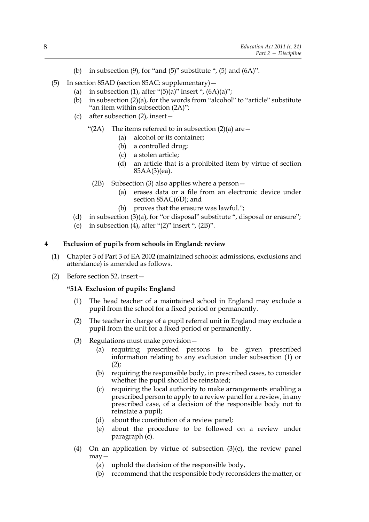- (b) in subsection  $(9)$ , for "and  $(5)$ " substitute ",  $(5)$  and  $(6A)$ ".
- (5) In section 85AD (section 85AC: supplementary)—
	- (a) in subsection (1), after " $(5)(a)$ " insert ",  $(6A)(a)$ ";
	- (b) in subsection (2)(a), for the words from "alcohol" to "article" substitute "an item within subsection (2A)";
	- (c) after subsection (2), insert—
		- "(2A) The items referred to in subsection  $(2)(a)$  are  $-$ 
			- (a) alcohol or its container;
			- (b) a controlled drug;
			- (c) a stolen article;
			- (d) an article that is a prohibited item by virtue of section 85AA(3)(ea).
			- (2B) Subsection (3) also applies where a person—
				- (a) erases data or a file from an electronic device under section 85AC(6D); and
				- (b) proves that the erasure was lawful.";
	- (d) in subsection (3)(a), for "or disposal" substitute ", disposal or erasure";
	- (e) in subsection (4), after " $(2)$ " insert ",  $(2B)$ ".

# **4 Exclusion of pupils from schools in England: review**

- (1) Chapter 3 of Part 3 of EA 2002 (maintained schools: admissions, exclusions and attendance) is amended as follows.
- (2) Before section 52, insert—

#### **"51A Exclusion of pupils: England**

- (1) The head teacher of a maintained school in England may exclude a pupil from the school for a fixed period or permanently.
- (2) The teacher in charge of a pupil referral unit in England may exclude a pupil from the unit for a fixed period or permanently.
- (3) Regulations must make provision—
	- (a) requiring prescribed persons to be given prescribed information relating to any exclusion under subsection (1) or  $(2)$ ;
	- (b) requiring the responsible body, in prescribed cases, to consider whether the pupil should be reinstated;
	- (c) requiring the local authority to make arrangements enabling a prescribed person to apply to a review panel for a review, in any prescribed case, of a decision of the responsible body not to reinstate a pupil;
	- (d) about the constitution of a review panel;
	- (e) about the procedure to be followed on a review under paragraph (c).
- (4) On an application by virtue of subsection  $(3)(c)$ , the review panel may—
	- (a) uphold the decision of the responsible body,
	- (b) recommend that the responsible body reconsiders the matter, or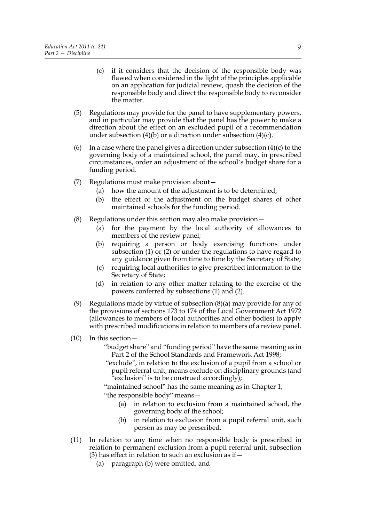- (c) if it considers that the decision of the responsible body was flawed when considered in the light of the principles applicable on an application for judicial review, quash the decision of the responsible body and direct the responsible body to reconsider the matter.
- (5) Regulations may provide for the panel to have supplementary powers, and in particular may provide that the panel has the power to make a direction about the effect on an excluded pupil of a recommendation under subsection (4)(b) or a direction under subsection (4)(c).
- (6) In a case where the panel gives a direction under subsection  $(4)(c)$  to the governing body of a maintained school, the panel may, in prescribed circumstances, order an adjustment of the school's budget share for a funding period.
- (7) Regulations must make provision about—
	- (a) how the amount of the adjustment is to be determined;
	- (b) the effect of the adjustment on the budget shares of other maintained schools for the funding period.
- (8) Regulations under this section may also make provision—
	- (a) for the payment by the local authority of allowances to members of the review panel;
	- (b) requiring a person or body exercising functions under subsection (1) or (2) or under the regulations to have regard to any guidance given from time to time by the Secretary of State;
	- (c) requiring local authorities to give prescribed information to the Secretary of State;
	- (d) in relation to any other matter relating to the exercise of the powers conferred by subsections (1) and (2).
- (9) Regulations made by virtue of subsection (8)(a) may provide for any of the provisions of sections 173 to 174 of the Local Government Act 1972 (allowances to members of local authorities and other bodies) to apply with prescribed modifications in relation to members of a review panel.
- (10) In this section—
	- "budget share" and "funding period" have the same meaning as in Part 2 of the School Standards and Framework Act 1998;
	- "exclude", in relation to the exclusion of a pupil from a school or pupil referral unit, means exclude on disciplinary grounds (and "exclusion" is to be construed accordingly);

"maintained school" has the same meaning as in Chapter 1;

- "the responsible body" means—
	- (a) in relation to exclusion from a maintained school, the governing body of the school;
	- (b) in relation to exclusion from a pupil referral unit, such person as may be prescribed.
- (11) In relation to any time when no responsible body is prescribed in relation to permanent exclusion from a pupil referral unit, subsection (3) has effect in relation to such an exclusion as if  $-$ 
	- (a) paragraph (b) were omitted, and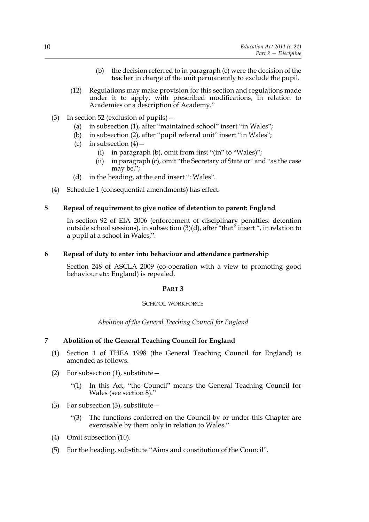- (b) the decision referred to in paragraph (c) were the decision of the teacher in charge of the unit permanently to exclude the pupil.
- (12) Regulations may make provision for this section and regulations made under it to apply, with prescribed modifications, in relation to Academies or a description of Academy."
- (3) In section 52 (exclusion of pupils)—
	- (a) in subsection (1), after "maintained school" insert "in Wales";
	- (b) in subsection (2), after "pupil referral unit" insert "in Wales";
	- (c) in subsection  $(4)$ 
		- (i) in paragraph (b), omit from first "(in" to "Wales)";
		- (ii) in paragraph (c), omit "the Secretary of State or" and "as the case may be,";
	- (d) in the heading, at the end insert ": Wales".
- (4) Schedule 1 (consequential amendments) has effect.

# **5 Repeal of requirement to give notice of detention to parent: England**

In section 92 of EIA 2006 (enforcement of disciplinary penalties: detention outside school sessions), in subsection (3)(d), after "that" insert ", in relation to a pupil at a school in Wales,".

# **6 Repeal of duty to enter into behaviour and attendance partnership**

Section 248 of ASCLA 2009 (co-operation with a view to promoting good behaviour etc: England) is repealed.

# **PART 3**

# SCHOOL WORKFORCE

# *Abolition of the General Teaching Council for England*

# **7 Abolition of the General Teaching Council for England**

- (1) Section 1 of THEA 1998 (the General Teaching Council for England) is amended as follows.
- (2) For subsection  $(1)$ , substitute  $-$ 
	- "(1) In this Act, "the Council" means the General Teaching Council for Wales (see section 8)."
- (3) For subsection (3), substitute  $-$ 
	- "(3) The functions conferred on the Council by or under this Chapter are exercisable by them only in relation to Wales."
- (4) Omit subsection (10).
- (5) For the heading, substitute "Aims and constitution of the Council".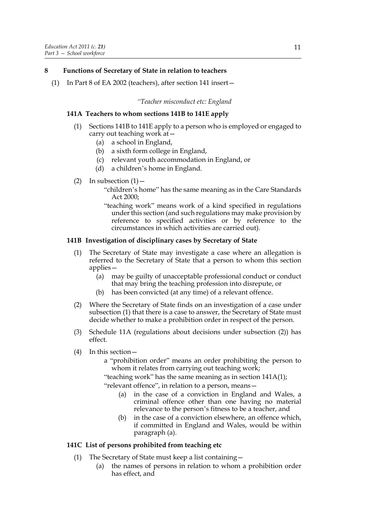# **8 Functions of Secretary of State in relation to teachers**

(1) In Part 8 of EA 2002 (teachers), after section 141 insert—

#### *"Teacher misconduct etc: England*

#### **141A Teachers to whom sections 141B to 141E apply**

- (1) Sections 141B to 141E apply to a person who is employed or engaged to carry out teaching work at—
	- (a) a school in England,
	- (b) a sixth form college in England,
	- (c) relevant youth accommodation in England, or
	- (d) a children's home in England.
- (2) In subsection  $(1)$ 
	- "children's home" has the same meaning as in the Care Standards Act 2000;
	- "teaching work" means work of a kind specified in regulations under this section (and such regulations may make provision by reference to specified activities or by reference to the circumstances in which activities are carried out).

# **141B Investigation of disciplinary cases by Secretary of State**

- (1) The Secretary of State may investigate a case where an allegation is referred to the Secretary of State that a person to whom this section applies—
	- (a) may be guilty of unacceptable professional conduct or conduct that may bring the teaching profession into disrepute, or
	- (b) has been convicted (at any time) of a relevant offence.
- (2) Where the Secretary of State finds on an investigation of a case under subsection (1) that there is a case to answer, the Secretary of State must decide whether to make a prohibition order in respect of the person.
- (3) Schedule 11A (regulations about decisions under subsection (2)) has effect.
- (4) In this section
	- a "prohibition order" means an order prohibiting the person to whom it relates from carrying out teaching work;

"teaching work" has the same meaning as in section 141A(1);

"relevant offence", in relation to a person, means—

- (a) in the case of a conviction in England and Wales, a criminal offence other than one having no material relevance to the person's fitness to be a teacher, and
- (b) in the case of a conviction elsewhere, an offence which, if committed in England and Wales, would be within paragraph (a).

#### **141C List of persons prohibited from teaching etc**

- (1) The Secretary of State must keep a list containing—
	- (a) the names of persons in relation to whom a prohibition order has effect, and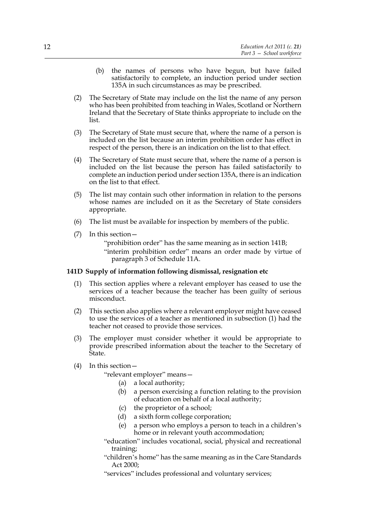- (b) the names of persons who have begun, but have failed satisfactorily to complete, an induction period under section 135A in such circumstances as may be prescribed.
- (2) The Secretary of State may include on the list the name of any person who has been prohibited from teaching in Wales, Scotland or Northern Ireland that the Secretary of State thinks appropriate to include on the list.
- (3) The Secretary of State must secure that, where the name of a person is included on the list because an interim prohibition order has effect in respect of the person, there is an indication on the list to that effect.
- (4) The Secretary of State must secure that, where the name of a person is included on the list because the person has failed satisfactorily to complete an induction period under section 135A, there is an indication on the list to that effect.
- (5) The list may contain such other information in relation to the persons whose names are included on it as the Secretary of State considers appropriate.
- (6) The list must be available for inspection by members of the public.
- (7) In this section—

"prohibition order" has the same meaning as in section 141B;

"interim prohibition order" means an order made by virtue of paragraph 3 of Schedule 11A.

#### **141D Supply of information following dismissal, resignation etc**

- (1) This section applies where a relevant employer has ceased to use the services of a teacher because the teacher has been guilty of serious misconduct.
- (2) This section also applies where a relevant employer might have ceased to use the services of a teacher as mentioned in subsection (1) had the teacher not ceased to provide those services.
- (3) The employer must consider whether it would be appropriate to provide prescribed information about the teacher to the Secretary of State.
- (4) In this section—

"relevant employer" means—

- (a) a local authority;
- (b) a person exercising a function relating to the provision of education on behalf of a local authority;
- (c) the proprietor of a school;
- (d) a sixth form college corporation;
- (e) a person who employs a person to teach in a children's home or in relevant youth accommodation;
- "education" includes vocational, social, physical and recreational training;
- "children's home" has the same meaning as in the Care Standards Act 2000;

"services" includes professional and voluntary services;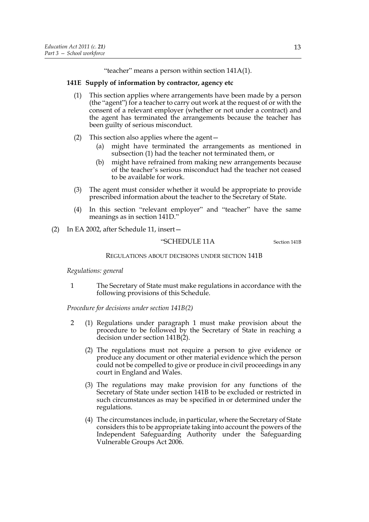"teacher" means a person within section 141A(1).

# **141E Supply of information by contractor, agency etc**

- (1) This section applies where arrangements have been made by a person (the "agent") for a teacher to carry out work at the request of or with the consent of a relevant employer (whether or not under a contract) and the agent has terminated the arrangements because the teacher has been guilty of serious misconduct.
- (2) This section also applies where the agent—
	- (a) might have terminated the arrangements as mentioned in subsection (1) had the teacher not terminated them, or
	- (b) might have refrained from making new arrangements because of the teacher's serious misconduct had the teacher not ceased to be available for work.
- (3) The agent must consider whether it would be appropriate to provide prescribed information about the teacher to the Secretary of State.
- (4) In this section "relevant employer" and "teacher" have the same meanings as in section 141D."
- (2) In EA 2002, after Schedule 11, insert—

"SCHEDULE 11A Section 141B

# REGULATIONS ABOUT DECISIONS UNDER SECTION 141B

# *Regulations: general*

1 The Secretary of State must make regulations in accordance with the following provisions of this Schedule.

*Procedure for decisions under section 141B(2)*

- 2 (1) Regulations under paragraph 1 must make provision about the procedure to be followed by the Secretary of State in reaching a decision under section 141B(2).
	- (2) The regulations must not require a person to give evidence or produce any document or other material evidence which the person could not be compelled to give or produce in civil proceedings in any court in England and Wales.
	- (3) The regulations may make provision for any functions of the Secretary of State under section 141B to be excluded or restricted in such circumstances as may be specified in or determined under the regulations.
	- (4) The circumstances include, in particular, where the Secretary of State considers this to be appropriate taking into account the powers of the Independent Safeguarding Authority under the Safeguarding Vulnerable Groups Act 2006.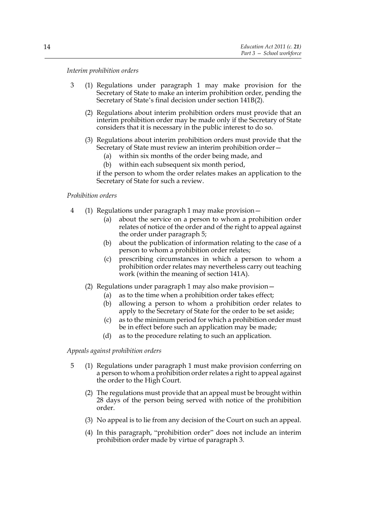*Interim prohibition orders*

- 3 (1) Regulations under paragraph 1 may make provision for the Secretary of State to make an interim prohibition order, pending the Secretary of State's final decision under section 141B(2).
	- (2) Regulations about interim prohibition orders must provide that an interim prohibition order may be made only if the Secretary of State considers that it is necessary in the public interest to do so.
	- (3) Regulations about interim prohibition orders must provide that the Secretary of State must review an interim prohibition order—
		- (a) within six months of the order being made, and
		- (b) within each subsequent six month period,

if the person to whom the order relates makes an application to the Secretary of State for such a review.

#### *Prohibition orders*

- 4 (1) Regulations under paragraph 1 may make provision—
	- (a) about the service on a person to whom a prohibition order relates of notice of the order and of the right to appeal against the order under paragraph 5;
	- (b) about the publication of information relating to the case of a person to whom a prohibition order relates;
	- (c) prescribing circumstances in which a person to whom a prohibition order relates may nevertheless carry out teaching work (within the meaning of section 141A).
	- (2) Regulations under paragraph 1 may also make provision—
		- (a) as to the time when a prohibition order takes effect;
		- (b) allowing a person to whom a prohibition order relates to apply to the Secretary of State for the order to be set aside;
		- (c) as to the minimum period for which a prohibition order must be in effect before such an application may be made;
		- (d) as to the procedure relating to such an application.

*Appeals against prohibition orders*

- 5 (1) Regulations under paragraph 1 must make provision conferring on a person to whom a prohibition order relates a right to appeal against the order to the High Court.
	- (2) The regulations must provide that an appeal must be brought within 28 days of the person being served with notice of the prohibition order.
	- (3) No appeal is to lie from any decision of the Court on such an appeal.
	- (4) In this paragraph, "prohibition order" does not include an interim prohibition order made by virtue of paragraph 3.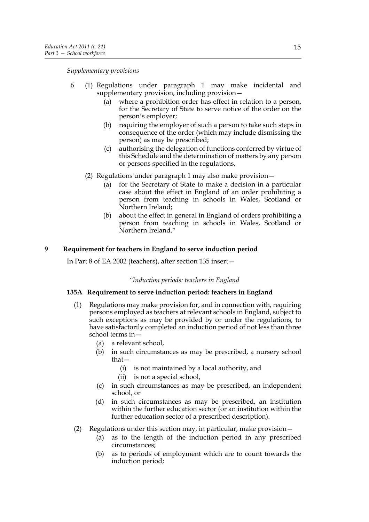*Supplementary provisions*

- 6 (1) Regulations under paragraph 1 may make incidental and supplementary provision, including provision—
	- (a) where a prohibition order has effect in relation to a person, for the Secretary of State to serve notice of the order on the person's employer;
	- (b) requiring the employer of such a person to take such steps in consequence of the order (which may include dismissing the person) as may be prescribed;
	- (c) authorising the delegation of functions conferred by virtue of this Schedule and the determination of matters by any person or persons specified in the regulations.
	- (2) Regulations under paragraph 1 may also make provision—
		- (a) for the Secretary of State to make a decision in a particular case about the effect in England of an order prohibiting a person from teaching in schools in Wales, Scotland or Northern Ireland;
		- (b) about the effect in general in England of orders prohibiting a person from teaching in schools in Wales, Scotland or Northern Ireland."

# **9 Requirement for teachers in England to serve induction period**

In Part 8 of EA 2002 (teachers), after section 135 insert—

# *"Induction periods: teachers in England*

# **135A Requirement to serve induction period: teachers in England**

- (1) Regulations may make provision for, and in connection with, requiring persons employed as teachers at relevant schools in England, subject to such exceptions as may be provided by or under the regulations, to have satisfactorily completed an induction period of not less than three school terms in—
	- (a) a relevant school,
	- (b) in such circumstances as may be prescribed, a nursery school that—
		- (i) is not maintained by a local authority, and
		- (ii) is not a special school,
	- (c) in such circumstances as may be prescribed, an independent school, or
	- (d) in such circumstances as may be prescribed, an institution within the further education sector (or an institution within the further education sector of a prescribed description).
- (2) Regulations under this section may, in particular, make provision—
	- (a) as to the length of the induction period in any prescribed circumstances;
	- (b) as to periods of employment which are to count towards the induction period;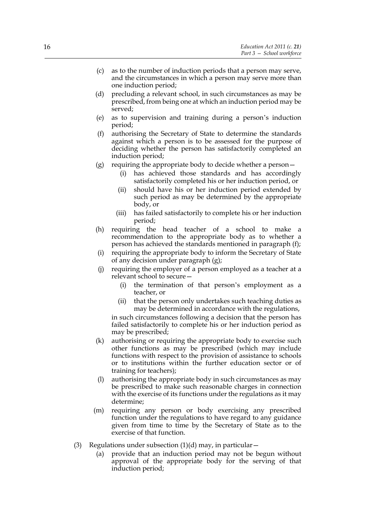- (c) as to the number of induction periods that a person may serve, and the circumstances in which a person may serve more than one induction period;
- (d) precluding a relevant school, in such circumstances as may be prescribed, from being one at which an induction period may be served;
- (e) as to supervision and training during a person's induction period;
- (f) authorising the Secretary of State to determine the standards against which a person is to be assessed for the purpose of deciding whether the person has satisfactorily completed an induction period;
- (g) requiring the appropriate body to decide whether a person  $-$ 
	- (i) has achieved those standards and has accordingly satisfactorily completed his or her induction period, or
	- (ii) should have his or her induction period extended by such period as may be determined by the appropriate body, or
	- (iii) has failed satisfactorily to complete his or her induction period;
- (h) requiring the head teacher of a school to make a recommendation to the appropriate body as to whether a person has achieved the standards mentioned in paragraph (f);
- (i) requiring the appropriate body to inform the Secretary of State of any decision under paragraph (g);
- (j) requiring the employer of a person employed as a teacher at a relevant school to secure—
	- (i) the termination of that person's employment as a teacher, or
	- (ii) that the person only undertakes such teaching duties as may be determined in accordance with the regulations,

in such circumstances following a decision that the person has failed satisfactorily to complete his or her induction period as may be prescribed;

- (k) authorising or requiring the appropriate body to exercise such other functions as may be prescribed (which may include functions with respect to the provision of assistance to schools or to institutions within the further education sector or of training for teachers);
- (l) authorising the appropriate body in such circumstances as may be prescribed to make such reasonable charges in connection with the exercise of its functions under the regulations as it may determine;
- (m) requiring any person or body exercising any prescribed function under the regulations to have regard to any guidance given from time to time by the Secretary of State as to the exercise of that function.
- (3) Regulations under subsection  $(1)(d)$  may, in particular  $-$ 
	- (a) provide that an induction period may not be begun without approval of the appropriate body for the serving of that induction period;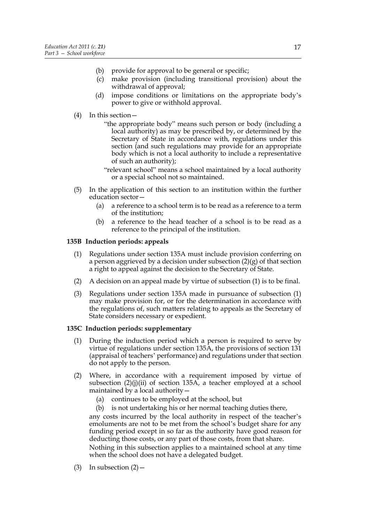- (b) provide for approval to be general or specific;
- (c) make provision (including transitional provision) about the withdrawal of approval;
- (d) impose conditions or limitations on the appropriate body's power to give or withhold approval.

# (4) In this section—

- "the appropriate body" means such person or body (including a local authority) as may be prescribed by, or determined by the Secretary of State in accordance with, regulations under this section (and such regulations may provide for an appropriate body which is not a local authority to include a representative of such an authority);
- "relevant school" means a school maintained by a local authority or a special school not so maintained.
- (5) In the application of this section to an institution within the further education sector—
	- (a) a reference to a school term is to be read as a reference to a term of the institution;
	- (b) a reference to the head teacher of a school is to be read as a reference to the principal of the institution.

#### **135B Induction periods: appeals**

- (1) Regulations under section 135A must include provision conferring on a person aggrieved by a decision under subsection  $(2)(g)$  of that section a right to appeal against the decision to the Secretary of State.
- (2) A decision on an appeal made by virtue of subsection (1) is to be final.
- (3) Regulations under section 135A made in pursuance of subsection (1) may make provision for, or for the determination in accordance with the regulations of, such matters relating to appeals as the Secretary of State considers necessary or expedient.

#### **135C Induction periods: supplementary**

- (1) During the induction period which a person is required to serve by virtue of regulations under section 135A, the provisions of section 131 (appraisal of teachers' performance) and regulations under that section do not apply to the person.
- (2) Where, in accordance with a requirement imposed by virtue of subsection (2)(j)(ii) of section 135A, a teacher employed at a school maintained by a local authority—
	- (a) continues to be employed at the school, but
	- (b) is not undertaking his or her normal teaching duties there,

any costs incurred by the local authority in respect of the teacher's emoluments are not to be met from the school's budget share for any funding period except in so far as the authority have good reason for deducting those costs, or any part of those costs, from that share.

Nothing in this subsection applies to a maintained school at any time when the school does not have a delegated budget.

(3) In subsection  $(2)$  –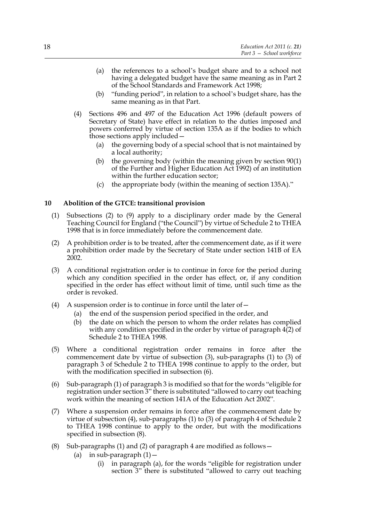- (a) the references to a school's budget share and to a school not having a delegated budget have the same meaning as in Part 2 of the School Standards and Framework Act 1998;
- (b) "funding period", in relation to a school's budget share, has the same meaning as in that Part.
- (4) Sections 496 and 497 of the Education Act 1996 (default powers of Secretary of State) have effect in relation to the duties imposed and powers conferred by virtue of section 135A as if the bodies to which those sections apply included—
	- (a) the governing body of a special school that is not maintained by a local authority;
	- (b) the governing body (within the meaning given by section 90(1) of the Further and Higher Education Act 1992) of an institution within the further education sector;
	- (c) the appropriate body (within the meaning of section 135A)."

# **10 Abolition of the GTCE: transitional provision**

- (1) Subsections (2) to (9) apply to a disciplinary order made by the General Teaching Council for England ("the Council") by virtue of Schedule 2 to THEA 1998 that is in force immediately before the commencement date.
- (2) A prohibition order is to be treated, after the commencement date, as if it were a prohibition order made by the Secretary of State under section 141B of EA 2002.
- (3) A conditional registration order is to continue in force for the period during which any condition specified in the order has effect, or, if any condition specified in the order has effect without limit of time, until such time as the order is revoked.
- (4) A suspension order is to continue in force until the later of  $-$ 
	- (a) the end of the suspension period specified in the order, and
	- (b) the date on which the person to whom the order relates has complied with any condition specified in the order by virtue of paragraph  $4(2)$  of Schedule 2 to THEA 1998.
- (5) Where a conditional registration order remains in force after the commencement date by virtue of subsection (3), sub-paragraphs (1) to (3) of paragraph 3 of Schedule 2 to THEA 1998 continue to apply to the order, but with the modification specified in subsection (6).
- (6) Sub-paragraph (1) of paragraph 3 is modified so that for the words "eligible for registration under section 3" there is substituted "allowed to carry out teaching work within the meaning of section 141A of the Education Act 2002".
- (7) Where a suspension order remains in force after the commencement date by virtue of subsection (4), sub-paragraphs (1) to (3) of paragraph 4 of Schedule 2 to THEA 1998 continue to apply to the order, but with the modifications specified in subsection (8).
- (8) Sub-paragraphs (1) and (2) of paragraph 4 are modified as follows—
	- (a) in sub-paragraph  $(1)$  -
		- (i) in paragraph (a), for the words "eligible for registration under section 3" there is substituted "allowed to carry out teaching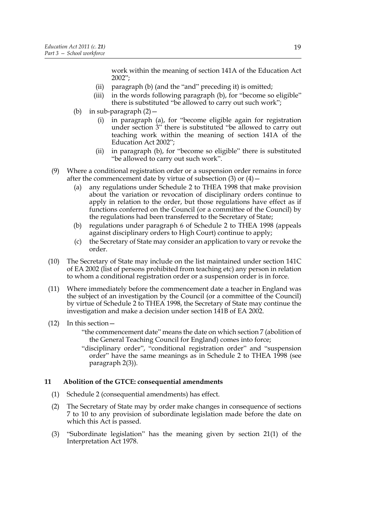work within the meaning of section 141A of the Education Act 2002";

- (ii) paragraph (b) (and the "and" preceding it) is omitted;
- (iii) in the words following paragraph (b), for "become so eligible" there is substituted "be allowed to carry out such work";
- (b) in sub-paragraph (2)—
	- (i) in paragraph (a), for "become eligible again for registration under section 3" there is substituted "be allowed to carry out teaching work within the meaning of section 141A of the Education Act 2002";
	- (ii) in paragraph (b), for "become so eligible" there is substituted "be allowed to carry out such work".
- (9) Where a conditional registration order or a suspension order remains in force after the commencement date by virtue of subsection  $(3)$  or  $(4)$  –
	- (a) any regulations under Schedule 2 to THEA 1998 that make provision about the variation or revocation of disciplinary orders continue to apply in relation to the order, but those regulations have effect as if functions conferred on the Council (or a committee of the Council) by the regulations had been transferred to the Secretary of State;
	- (b) regulations under paragraph 6 of Schedule 2 to THEA 1998 (appeals against disciplinary orders to High Court) continue to apply;
	- (c) the Secretary of State may consider an application to vary or revoke the order.
- (10) The Secretary of State may include on the list maintained under section 141C of EA 2002 (list of persons prohibited from teaching etc) any person in relation to whom a conditional registration order or a suspension order is in force.
- (11) Where immediately before the commencement date a teacher in England was the subject of an investigation by the Council (or a committee of the Council) by virtue of Schedule 2 to THEA 1998, the Secretary of State may continue the investigation and make a decision under section 141B of EA 2002.
- (12) In this section—
	- "the commencement date" means the date on which section 7 (abolition of the General Teaching Council for England) comes into force;
	- "disciplinary order", "conditional registration order" and "suspension order" have the same meanings as in Schedule 2 to THEA 1998 (see paragraph 2(3)).

# **11 Abolition of the GTCE: consequential amendments**

- (1) Schedule 2 (consequential amendments) has effect.
- (2) The Secretary of State may by order make changes in consequence of sections 7 to 10 to any provision of subordinate legislation made before the date on which this Act is passed.
- (3) "Subordinate legislation" has the meaning given by section 21(1) of the Interpretation Act 1978.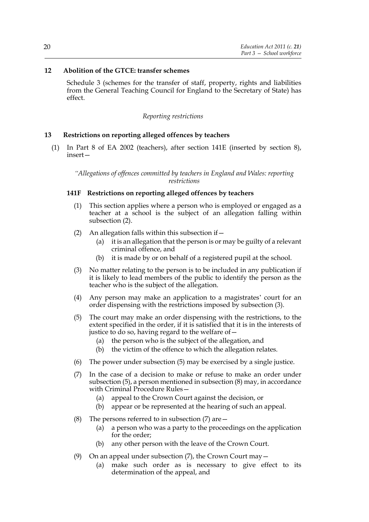# **12 Abolition of the GTCE: transfer schemes**

Schedule 3 (schemes for the transfer of staff, property, rights and liabilities from the General Teaching Council for England to the Secretary of State) has effect.

#### *Reporting restrictions*

# **13 Restrictions on reporting alleged offences by teachers**

(1) In Part 8 of EA 2002 (teachers), after section 141E (inserted by section 8), insert—

*"Allegations of offences committed by teachers in England and Wales: reporting restrictions*

# **141F Restrictions on reporting alleged offences by teachers**

- (1) This section applies where a person who is employed or engaged as a teacher at a school is the subject of an allegation falling within subsection (2).
- (2) An allegation falls within this subsection if
	- it is an allegation that the person is or may be guilty of a relevant criminal offence, and
	- (b) it is made by or on behalf of a registered pupil at the school.
- (3) No matter relating to the person is to be included in any publication if it is likely to lead members of the public to identify the person as the teacher who is the subject of the allegation.
- (4) Any person may make an application to a magistrates' court for an order dispensing with the restrictions imposed by subsection (3).
- (5) The court may make an order dispensing with the restrictions, to the extent specified in the order, if it is satisfied that it is in the interests of justice to do so, having regard to the welfare of—
	- (a) the person who is the subject of the allegation, and
	- (b) the victim of the offence to which the allegation relates.
- (6) The power under subsection (5) may be exercised by a single justice.
- (7) In the case of a decision to make or refuse to make an order under subsection (5), a person mentioned in subsection (8) may, in accordance with Criminal Procedure Rules—
	- (a) appeal to the Crown Court against the decision, or
	- (b) appear or be represented at the hearing of such an appeal.
- (8) The persons referred to in subsection  $(7)$  are  $-$ 
	- (a) a person who was a party to the proceedings on the application for the order;
	- (b) any other person with the leave of the Crown Court.
- (9) On an appeal under subsection (7), the Crown Court may—
	- (a) make such order as is necessary to give effect to its determination of the appeal, and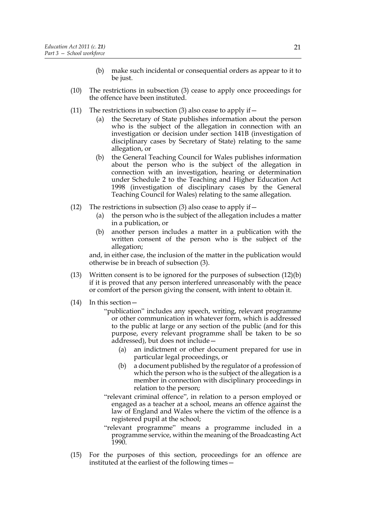- (b) make such incidental or consequential orders as appear to it to be just.
- (10) The restrictions in subsection (3) cease to apply once proceedings for the offence have been instituted.
- (11) The restrictions in subsection (3) also cease to apply if  $-$ 
	- (a) the Secretary of State publishes information about the person who is the subject of the allegation in connection with an investigation or decision under section 141B (investigation of disciplinary cases by Secretary of State) relating to the same allegation, or
	- (b) the General Teaching Council for Wales publishes information about the person who is the subject of the allegation in connection with an investigation, hearing or determination under Schedule 2 to the Teaching and Higher Education Act 1998 (investigation of disciplinary cases by the General Teaching Council for Wales) relating to the same allegation.
- (12) The restrictions in subsection (3) also cease to apply if  $-$ 
	- (a) the person who is the subject of the allegation includes a matter in a publication, or
	- (b) another person includes a matter in a publication with the written consent of the person who is the subject of the allegation;

and, in either case, the inclusion of the matter in the publication would otherwise be in breach of subsection (3).

- (13) Written consent is to be ignored for the purposes of subsection (12)(b) if it is proved that any person interfered unreasonably with the peace or comfort of the person giving the consent, with intent to obtain it.
- (14) In this section—
	- "publication" includes any speech, writing, relevant programme or other communication in whatever form, which is addressed to the public at large or any section of the public (and for this purpose, every relevant programme shall be taken to be so addressed), but does not include—
		- (a) an indictment or other document prepared for use in particular legal proceedings, or
		- (b) a document published by the regulator of a profession of which the person who is the subject of the allegation is a member in connection with disciplinary proceedings in relation to the person;
	- "relevant criminal offence", in relation to a person employed or engaged as a teacher at a school, means an offence against the law of England and Wales where the victim of the offence is a registered pupil at the school;
	- "relevant programme" means a programme included in a programme service, within the meaning of the Broadcasting Act 1990.
- (15) For the purposes of this section, proceedings for an offence are instituted at the earliest of the following times-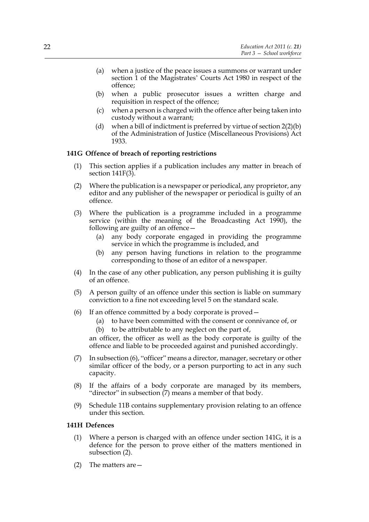- (a) when a justice of the peace issues a summons or warrant under section 1 of the Magistrates' Courts Act 1980 in respect of the offence;
- (b) when a public prosecutor issues a written charge and requisition in respect of the offence;
- (c) when a person is charged with the offence after being taken into custody without a warrant;
- (d) when a bill of indictment is preferred by virtue of section 2(2)(b) of the Administration of Justice (Miscellaneous Provisions) Act 1933.

#### **141G Offence of breach of reporting restrictions**

- (1) This section applies if a publication includes any matter in breach of section  $141F(3)$ .
- (2) Where the publication is a newspaper or periodical, any proprietor, any editor and any publisher of the newspaper or periodical is guilty of an offence.
- (3) Where the publication is a programme included in a programme service (within the meaning of the Broadcasting Act 1990), the following are guilty of an offence—
	- (a) any body corporate engaged in providing the programme service in which the programme is included, and
	- (b) any person having functions in relation to the programme corresponding to those of an editor of a newspaper.
- (4) In the case of any other publication, any person publishing it is guilty of an offence.
- (5) A person guilty of an offence under this section is liable on summary conviction to a fine not exceeding level 5 on the standard scale.
- (6) If an offence committed by a body corporate is proved—
	- (a) to have been committed with the consent or connivance of, or
	- (b) to be attributable to any neglect on the part of,

an officer, the officer as well as the body corporate is guilty of the offence and liable to be proceeded against and punished accordingly.

- (7) In subsection (6), "officer" means a director, manager, secretary or other similar officer of the body, or a person purporting to act in any such capacity.
- (8) If the affairs of a body corporate are managed by its members, "director" in subsection (7) means a member of that body.
- (9) Schedule 11B contains supplementary provision relating to an offence under this section.

# **141H Defences**

- (1) Where a person is charged with an offence under section 141G, it is a defence for the person to prove either of the matters mentioned in subsection (2).
- (2) The matters are—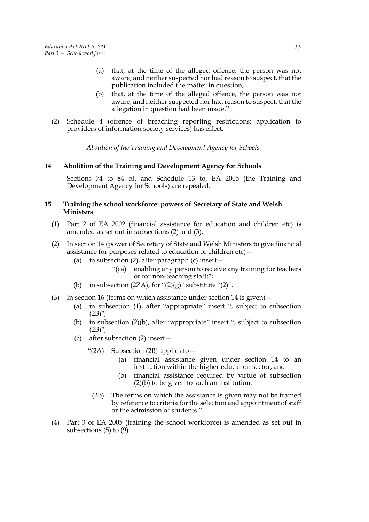- (a) that, at the time of the alleged offence, the person was not aware, and neither suspected nor had reason to suspect, that the publication included the matter in question;
- (b) that, at the time of the alleged offence, the person was not aware, and neither suspected nor had reason to suspect, that the allegation in question had been made."
- (2) Schedule 4 (offence of breaching reporting restrictions: application to providers of information society services) has effect.

*Abolition of the Training and Development Agency for Schools*

#### **14 Abolition of the Training and Development Agency for Schools**

Sections 74 to 84 of, and Schedule 13 to, EA 2005 (the Training and Development Agency for Schools) are repealed.

#### **15 Training the school workforce: powers of Secretary of State and Welsh Ministers**

- (1) Part 2 of EA 2002 (financial assistance for education and children etc) is amended as set out in subsections (2) and (3).
- (2) In section 14 (power of Secretary of State and Welsh Ministers to give financial assistance for purposes related to education or children etc)—
	- (a) in subsection (2), after paragraph (c) insert  $-$ 
		- "(ca) enabling any person to receive any training for teachers or for non-teaching staff;";
	- (b) in subsection  $(2ZA)$ , for " $(2)(g)$ " substitute " $(2)$ ".
- (3) In section 16 (terms on which assistance under section 14 is given)—
	- (a) in subsection (1), after "appropriate" insert ", subject to subsection  $(2B)$ ";
	- (b) in subsection (2)(b), after "appropriate" insert ", subject to subsection  $(2B)$ ";
	- (c) after subsection (2) insert—
		- "(2A) Subsection (2B) applies to  $-$ 
			- (a) financial assistance given under section 14 to an institution within the higher education sector, and
			- (b) financial assistance required by virtue of subsection  $(2)(b)$  to be given to such an institution.
			- (2B) The terms on which the assistance is given may not be framed by reference to criteria for the selection and appointment of staff or the admission of students."
- (4) Part 3 of EA 2005 (training the school workforce) is amended as set out in subsections  $(5)$  to  $(9)$ .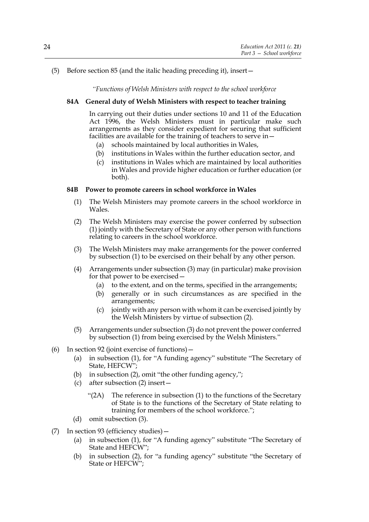# (5) Before section 85 (and the italic heading preceding it), insert—

*"Functions of Welsh Ministers with respect to the school workforce*

# **84A General duty of Welsh Ministers with respect to teacher training**

In carrying out their duties under sections 10 and 11 of the Education Act 1996, the Welsh Ministers must in particular make such arrangements as they consider expedient for securing that sufficient facilities are available for the training of teachers to serve in—

- (a) schools maintained by local authorities in Wales,
- (b) institutions in Wales within the further education sector, and
- (c) institutions in Wales which are maintained by local authorities in Wales and provide higher education or further education (or both).

#### **84B Power to promote careers in school workforce in Wales**

- (1) The Welsh Ministers may promote careers in the school workforce in Wales.
- (2) The Welsh Ministers may exercise the power conferred by subsection (1) jointly with the Secretary of State or any other person with functions relating to careers in the school workforce.
- (3) The Welsh Ministers may make arrangements for the power conferred by subsection (1) to be exercised on their behalf by any other person.
- (4) Arrangements under subsection (3) may (in particular) make provision for that power to be exercised—
	- (a) to the extent, and on the terms, specified in the arrangements;
	- (b) generally or in such circumstances as are specified in the arrangements;
	- (c) jointly with any person with whom it can be exercised jointly by the Welsh Ministers by virtue of subsection (2).
- (5) Arrangements under subsection (3) do not prevent the power conferred by subsection (1) from being exercised by the Welsh Ministers."
- (6) In section 92 (joint exercise of functions)—
	- (a) in subsection (1), for "A funding agency" substitute "The Secretary of State, HEFCW";
	- (b) in subsection (2), omit "the other funding agency,";
	- (c) after subsection (2) insert—
		- "(2A) The reference in subsection (1) to the functions of the Secretary of State is to the functions of the Secretary of State relating to training for members of the school workforce.";
	- (d) omit subsection (3).
- (7) In section 93 (efficiency studies)—
	- (a) in subsection (1), for "A funding agency" substitute "The Secretary of State and HEFCW":
	- (b) in subsection (2), for "a funding agency" substitute "the Secretary of State or HEFCW";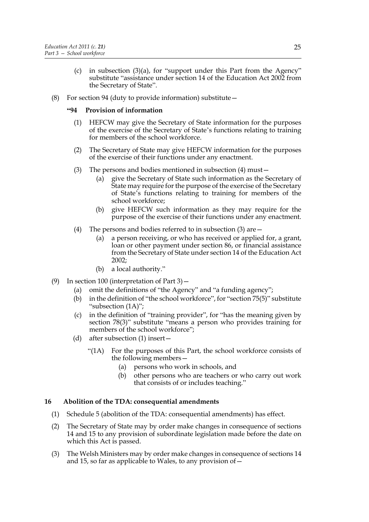- (c) in subsection (3)(a), for "support under this Part from the Agency" substitute "assistance under section 14 of the Education Act 2002 from the Secretary of State".
- (8) For section 94 (duty to provide information) substitute—

# **"94 Provision of information**

- (1) HEFCW may give the Secretary of State information for the purposes of the exercise of the Secretary of State's functions relating to training for members of the school workforce.
- (2) The Secretary of State may give HEFCW information for the purposes of the exercise of their functions under any enactment.
- (3) The persons and bodies mentioned in subsection (4) must—
	- (a) give the Secretary of State such information as the Secretary of State may require for the purpose of the exercise of the Secretary of State's functions relating to training for members of the school workforce;
	- (b) give HEFCW such information as they may require for the purpose of the exercise of their functions under any enactment.
- (4) The persons and bodies referred to in subsection (3) are—
	- (a) a person receiving, or who has received or applied for, a grant, loan or other payment under section 86, or financial assistance from the Secretary of State under section 14 of the Education Act 2002;
	- (b) a local authority."
- (9) In section 100 (interpretation of Part 3)—
	- (a) omit the definitions of "the Agency" and "a funding agency";
	- (b) in the definition of "the school workforce", for "section 75(5)" substitute "subsection (1A)";
	- (c) in the definition of "training provider", for "has the meaning given by section 78(3)" substitute "means a person who provides training for members of the school workforce";
	- (d) after subsection (1) insert—
		- "(1A) For the purposes of this Part, the school workforce consists of the following members—
			- (a) persons who work in schools, and
			- (b) other persons who are teachers or who carry out work that consists of or includes teaching."

# **16 Abolition of the TDA: consequential amendments**

- (1) Schedule 5 (abolition of the TDA: consequential amendments) has effect.
- (2) The Secretary of State may by order make changes in consequence of sections 14 and 15 to any provision of subordinate legislation made before the date on which this Act is passed.
- (3) The Welsh Ministers may by order make changes in consequence of sections 14 and 15, so far as applicable to Wales, to any provision of—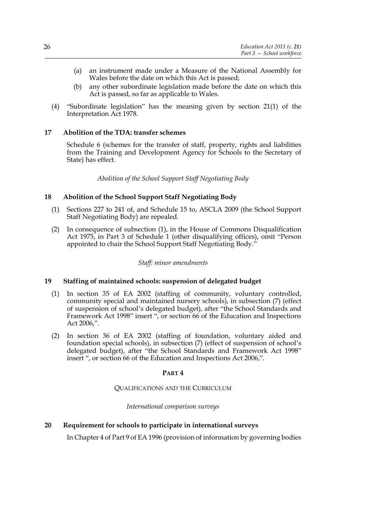- (a) an instrument made under a Measure of the National Assembly for Wales before the date on which this Act is passed;
- (b) any other subordinate legislation made before the date on which this Act is passed, so far as applicable to Wales.
- (4) "Subordinate legislation" has the meaning given by section 21(1) of the Interpretation Act 1978.

# **17 Abolition of the TDA: transfer schemes**

Schedule 6 (schemes for the transfer of staff, property, rights and liabilities from the Training and Development Agency for Schools to the Secretary of State) has effect.

*Abolition of the School Support Staff Negotiating Body*

# **18 Abolition of the School Support Staff Negotiating Body**

- (1) Sections 227 to 241 of, and Schedule 15 to, ASCLA 2009 (the School Support Staff Negotiating Body) are repealed.
- (2) In consequence of subsection (1), in the House of Commons Disqualification Act 1975, in Part 3 of Schedule 1 (other disqualifying offices), omit "Person appointed to chair the School Support Staff Negotiating Body."

# *Staff: minor amendments*

# **19 Staffing of maintained schools: suspension of delegated budget**

- (1) In section 35 of EA 2002 (staffing of community, voluntary controlled, community special and maintained nursery schools), in subsection (7) (effect of suspension of school's delegated budget), after "the School Standards and Framework Act 1998" insert ", or section 66 of the Education and Inspections Act 2006,".
- (2) In section 36 of EA 2002 (staffing of foundation, voluntary aided and foundation special schools), in subsection (7) (effect of suspension of school's delegated budget), after "the School Standards and Framework Act 1998" insert ", or section 66 of the Education and Inspections Act 2006,".

# **PART 4**

# QUALIFICATIONS AND THE CURRICULUM

# *International comparison surveys*

# **20 Requirement for schools to participate in international surveys**

In Chapter 4 of Part 9 of EA 1996 (provision of information by governing bodies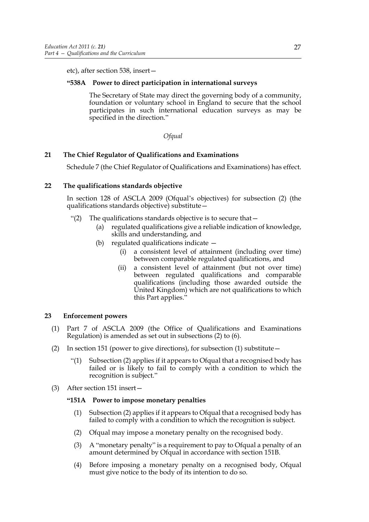etc), after section 538, insert—

# **"538A Power to direct participation in international surveys**

The Secretary of State may direct the governing body of a community, foundation or voluntary school in England to secure that the school participates in such international education surveys as may be specified in the direction."

#### *Ofqual*

# **21 The Chief Regulator of Qualifications and Examinations**

Schedule 7 (the Chief Regulator of Qualifications and Examinations) has effect.

# **22 The qualifications standards objective**

In section 128 of ASCLA 2009 (Ofqual's objectives) for subsection (2) (the qualifications standards objective) substitute—

- "(2) The qualifications standards objective is to secure that—
	- (a) regulated qualifications give a reliable indication of knowledge, skills and understanding, and
	- (b) regulated qualifications indicate
		- (i) a consistent level of attainment (including over time) between comparable regulated qualifications, and
		- (ii) a consistent level of attainment (but not over time) between regulated qualifications and comparable qualifications (including those awarded outside the United Kingdom) which are not qualifications to which this Part applies."

# **23 Enforcement powers**

- (1) Part 7 of ASCLA 2009 (the Office of Qualifications and Examinations Regulation) is amended as set out in subsections (2) to (6).
- (2) In section 151 (power to give directions), for subsection (1) substitute  $-$ 
	- "(1) Subsection (2) applies if it appears to Ofqual that a recognised body has failed or is likely to fail to comply with a condition to which the recognition is subject."
- (3) After section 151 insert—

# **"151A Power to impose monetary penalties**

- (1) Subsection (2) applies if it appears to Ofqual that a recognised body has failed to comply with a condition to which the recognition is subject.
- (2) Ofqual may impose a monetary penalty on the recognised body.
- (3) A "monetary penalty" is a requirement to pay to Ofqual a penalty of an amount determined by Ofqual in accordance with section 151B.
- (4) Before imposing a monetary penalty on a recognised body, Ofqual must give notice to the body of its intention to do so.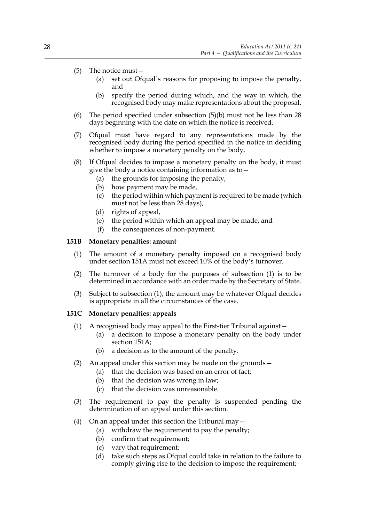- (5) The notice must—
	- (a) set out Ofqual's reasons for proposing to impose the penalty, and
	- (b) specify the period during which, and the way in which, the recognised body may make representations about the proposal.
- (6) The period specified under subsection (5)(b) must not be less than 28 days beginning with the date on which the notice is received.
- (7) Ofqual must have regard to any representations made by the recognised body during the period specified in the notice in deciding whether to impose a monetary penalty on the body.
- (8) If Ofqual decides to impose a monetary penalty on the body, it must give the body a notice containing information as to—
	- (a) the grounds for imposing the penalty,
	- (b) how payment may be made,
	- (c) the period within which payment is required to be made (which must not be less than 28 days),
	- (d) rights of appeal,
	- (e) the period within which an appeal may be made, and
	- (f) the consequences of non-payment.

#### **151B Monetary penalties: amount**

- (1) The amount of a monetary penalty imposed on a recognised body under section 151A must not exceed 10% of the body's turnover.
- (2) The turnover of a body for the purposes of subsection (1) is to be determined in accordance with an order made by the Secretary of State.
- (3) Subject to subsection (1), the amount may be whatever Ofqual decides is appropriate in all the circumstances of the case.

#### **151C Monetary penalties: appeals**

- (1) A recognised body may appeal to the First-tier Tribunal against—
	- (a) a decision to impose a monetary penalty on the body under section 151A;
	- (b) a decision as to the amount of the penalty.
- (2) An appeal under this section may be made on the grounds—
	- (a) that the decision was based on an error of fact;
	- (b) that the decision was wrong in law;
	- (c) that the decision was unreasonable.
- (3) The requirement to pay the penalty is suspended pending the determination of an appeal under this section.
- (4) On an appeal under this section the Tribunal may—
	- (a) withdraw the requirement to pay the penalty;
	- (b) confirm that requirement;
	- (c) vary that requirement;
	- (d) take such steps as Ofqual could take in relation to the failure to comply giving rise to the decision to impose the requirement;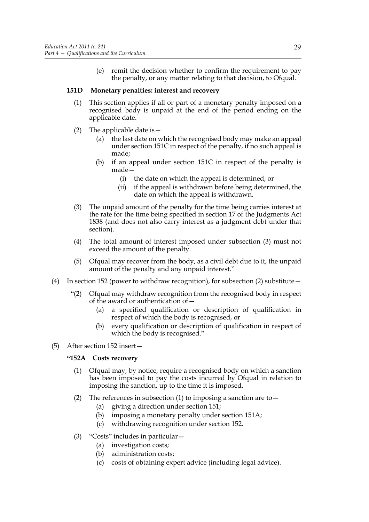(e) remit the decision whether to confirm the requirement to pay the penalty, or any matter relating to that decision, to Ofqual.

#### **151D Monetary penalties: interest and recovery**

- (1) This section applies if all or part of a monetary penalty imposed on a recognised body is unpaid at the end of the period ending on the applicable date.
- (2) The applicable date is—
	- (a) the last date on which the recognised body may make an appeal under section 151C in respect of the penalty, if no such appeal is made;
	- (b) if an appeal under section 151C in respect of the penalty is made—
		- (i) the date on which the appeal is determined, or
		- (ii) if the appeal is withdrawn before being determined, the date on which the appeal is withdrawn.
- (3) The unpaid amount of the penalty for the time being carries interest at the rate for the time being specified in section 17 of the Judgments Act 1838 (and does not also carry interest as a judgment debt under that section).
- (4) The total amount of interest imposed under subsection (3) must not exceed the amount of the penalty.
- (5) Ofqual may recover from the body, as a civil debt due to it, the unpaid amount of the penalty and any unpaid interest."
- (4) In section 152 (power to withdraw recognition), for subsection (2) substitute—
	- "(2) Ofqual may withdraw recognition from the recognised body in respect of the award or authentication of—
		- (a) a specified qualification or description of qualification in respect of which the body is recognised, or
		- (b) every qualification or description of qualification in respect of which the body is recognised."
- (5) After section 152 insert—

# **"152A Costs recovery**

- (1) Ofqual may, by notice, require a recognised body on which a sanction has been imposed to pay the costs incurred by Ofqual in relation to imposing the sanction, up to the time it is imposed.
- (2) The references in subsection (1) to imposing a sanction are to  $-$ 
	- (a) giving a direction under section 151;
	- (b) imposing a monetary penalty under section 151A;
	- (c) withdrawing recognition under section 152.
- (3) "Costs" includes in particular—
	- (a) investigation costs;
	- (b) administration costs;
	- (c) costs of obtaining expert advice (including legal advice).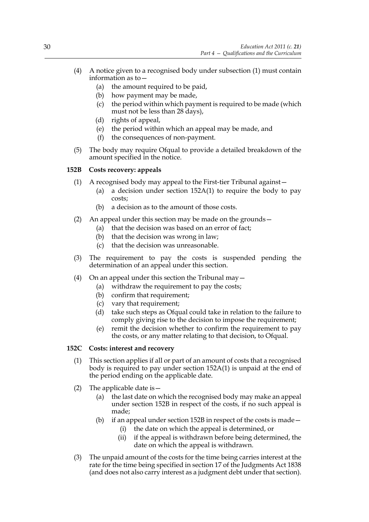- (4) A notice given to a recognised body under subsection (1) must contain information as to—
	- (a) the amount required to be paid,
	- (b) how payment may be made,
	- (c) the period within which payment is required to be made (which must not be less than 28 days),
	- (d) rights of appeal,
	- (e) the period within which an appeal may be made, and
	- (f) the consequences of non-payment.
- (5) The body may require Ofqual to provide a detailed breakdown of the amount specified in the notice.

# **152B Costs recovery: appeals**

- (1) A recognised body may appeal to the First-tier Tribunal against—
	- (a) a decision under section 152A(1) to require the body to pay costs;
	- (b) a decision as to the amount of those costs.
- (2) An appeal under this section may be made on the grounds—
	- (a) that the decision was based on an error of fact;
	- (b) that the decision was wrong in law;
	- (c) that the decision was unreasonable.
- (3) The requirement to pay the costs is suspended pending the determination of an appeal under this section.
- (4) On an appeal under this section the Tribunal may—
	- (a) withdraw the requirement to pay the costs;
	- (b) confirm that requirement;
	- (c) vary that requirement;
	- (d) take such steps as Ofqual could take in relation to the failure to comply giving rise to the decision to impose the requirement;
	- (e) remit the decision whether to confirm the requirement to pay the costs, or any matter relating to that decision, to Ofqual.

# **152C Costs: interest and recovery**

- (1) This section applies if all or part of an amount of costs that a recognised body is required to pay under section 152A(1) is unpaid at the end of the period ending on the applicable date.
- (2) The applicable date is  $-$ 
	- (a) the last date on which the recognised body may make an appeal under section 152B in respect of the costs, if no such appeal is made;
	- (b) if an appeal under section 152B in respect of the costs is made  $-$ 
		- (i) the date on which the appeal is determined, or
		- (ii) if the appeal is withdrawn before being determined, the date on which the appeal is withdrawn.
- (3) The unpaid amount of the costs for the time being carries interest at the rate for the time being specified in section 17 of the Judgments Act 1838 (and does not also carry interest as a judgment debt under that section).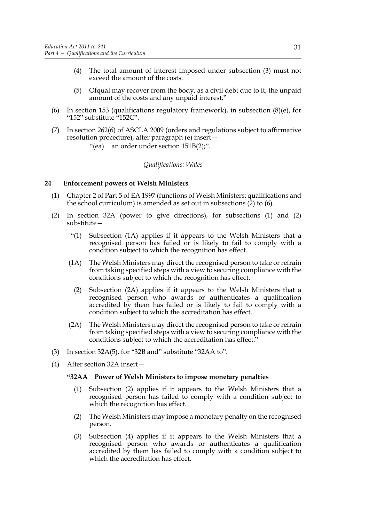- (4) The total amount of interest imposed under subsection (3) must not exceed the amount of the costs.
- (5) Ofqual may recover from the body, as a civil debt due to it, the unpaid amount of the costs and any unpaid interest."
- (6) In section 153 (qualifications regulatory framework), in subsection  $(8)(e)$ , for "152" substitute "152C".
- (7) In section 262(6) of ASCLA 2009 (orders and regulations subject to affirmative resolution procedure), after paragraph (e) insert—
	- "(ea) an order under section 151B(2);".

## *Qualifications: Wales*

## **24 Enforcement powers of Welsh Ministers**

- (1) Chapter 2 of Part 5 of EA 1997 (functions of Welsh Ministers: qualifications and the school curriculum) is amended as set out in subsections (2) to (6).
- (2) In section 32A (power to give directions), for subsections (1) and (2) substitute—
	- "(1) Subsection (1A) applies if it appears to the Welsh Ministers that a recognised person has failed or is likely to fail to comply with a condition subject to which the recognition has effect.
	- (1A) The Welsh Ministers may direct the recognised person to take or refrain from taking specified steps with a view to securing compliance with the conditions subject to which the recognition has effect.
		- (2) Subsection (2A) applies if it appears to the Welsh Ministers that a recognised person who awards or authenticates a qualification accredited by them has failed or is likely to fail to comply with a condition subject to which the accreditation has effect.
	- (2A) The Welsh Ministers may direct the recognised person to take or refrain from taking specified steps with a view to securing compliance with the conditions subject to which the accreditation has effect."
- (3) In section 32A(5), for "32B and" substitute "32AA to".
- (4) After section 32A insert—

#### **"32AA Power of Welsh Ministers to impose monetary penalties**

- (1) Subsection (2) applies if it appears to the Welsh Ministers that a recognised person has failed to comply with a condition subject to which the recognition has effect.
- (2) The Welsh Ministers may impose a monetary penalty on the recognised person.
- (3) Subsection (4) applies if it appears to the Welsh Ministers that a recognised person who awards or authenticates a qualification accredited by them has failed to comply with a condition subject to which the accreditation has effect.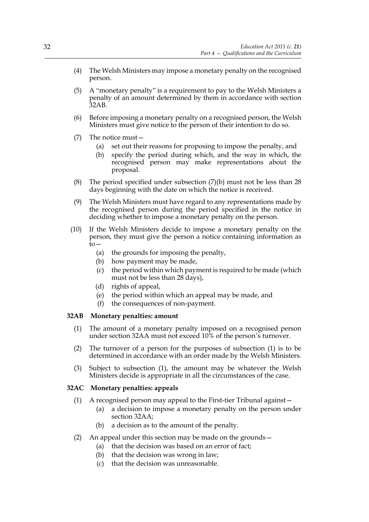- (4) The Welsh Ministers may impose a monetary penalty on the recognised person.
- (5) A "monetary penalty" is a requirement to pay to the Welsh Ministers a penalty of an amount determined by them in accordance with section 32AB.
- (6) Before imposing a monetary penalty on a recognised person, the Welsh Ministers must give notice to the person of their intention to do so.
- (7) The notice must—
	- (a) set out their reasons for proposing to impose the penalty, and
	- (b) specify the period during which, and the way in which, the recognised person may make representations about the proposal.
- (8) The period specified under subsection (7)(b) must not be less than 28 days beginning with the date on which the notice is received.
- (9) The Welsh Ministers must have regard to any representations made by the recognised person during the period specified in the notice in deciding whether to impose a monetary penalty on the person.
- (10) If the Welsh Ministers decide to impose a monetary penalty on the person, they must give the person a notice containing information as to—
	- (a) the grounds for imposing the penalty,
	- (b) how payment may be made,
	- (c) the period within which payment is required to be made (which must not be less than 28 days),
	- (d) rights of appeal,
	- (e) the period within which an appeal may be made, and
	- (f) the consequences of non-payment.

## **32AB Monetary penalties: amount**

- (1) The amount of a monetary penalty imposed on a recognised person under section 32AA must not exceed 10% of the person's turnover.
- (2) The turnover of a person for the purposes of subsection (1) is to be determined in accordance with an order made by the Welsh Ministers.
- (3) Subject to subsection (1), the amount may be whatever the Welsh Ministers decide is appropriate in all the circumstances of the case.

## **32AC Monetary penalties: appeals**

- (1) A recognised person may appeal to the First-tier Tribunal against—
	- (a) a decision to impose a monetary penalty on the person under section 32AA;
	- (b) a decision as to the amount of the penalty.
- (2) An appeal under this section may be made on the grounds—
	- (a) that the decision was based on an error of fact;
	- (b) that the decision was wrong in law;
	- (c) that the decision was unreasonable.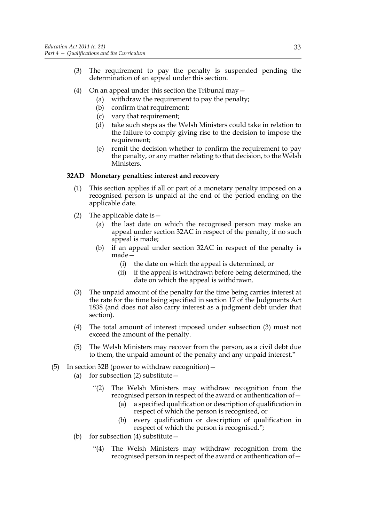- (3) The requirement to pay the penalty is suspended pending the determination of an appeal under this section.
- (4) On an appeal under this section the Tribunal may  $-$ 
	- (a) withdraw the requirement to pay the penalty;
	- (b) confirm that requirement;
	- (c) vary that requirement;
	- (d) take such steps as the Welsh Ministers could take in relation to the failure to comply giving rise to the decision to impose the requirement;
	- (e) remit the decision whether to confirm the requirement to pay the penalty, or any matter relating to that decision, to the Welsh Ministers.

## **32AD Monetary penalties: interest and recovery**

- (1) This section applies if all or part of a monetary penalty imposed on a recognised person is unpaid at the end of the period ending on the applicable date.
- (2) The applicable date is  $-$ 
	- (a) the last date on which the recognised person may make an appeal under section 32AC in respect of the penalty, if no such appeal is made;
	- (b) if an appeal under section 32AC in respect of the penalty is made—
		- (i) the date on which the appeal is determined, or
		- (ii) if the appeal is withdrawn before being determined, the date on which the appeal is withdrawn.
- (3) The unpaid amount of the penalty for the time being carries interest at the rate for the time being specified in section 17 of the Judgments Act 1838 (and does not also carry interest as a judgment debt under that section).
- (4) The total amount of interest imposed under subsection (3) must not exceed the amount of the penalty.
- (5) The Welsh Ministers may recover from the person, as a civil debt due to them, the unpaid amount of the penalty and any unpaid interest."
- (5) In section 32B (power to withdraw recognition)  $-$ 
	- (a) for subsection  $(2)$  substitute  $-$ 
		- "(2) The Welsh Ministers may withdraw recognition from the recognised person in respect of the award or authentication of—
			- (a) a specified qualification or description of qualification in respect of which the person is recognised, or
			- (b) every qualification or description of qualification in respect of which the person is recognised.";
	- (b) for subsection  $(4)$  substitute  $-$ 
		- "(4) The Welsh Ministers may withdraw recognition from the recognised person in respect of the award or authentication of—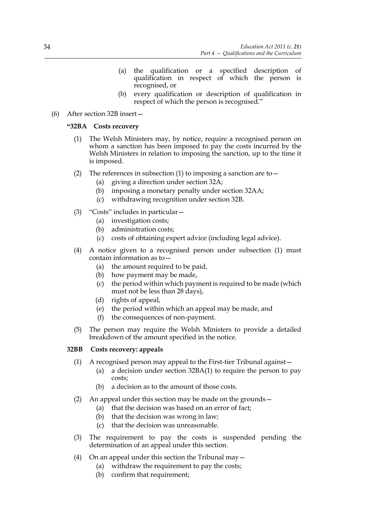- (a) the qualification or a specified description of qualification in respect of which the person is recognised, or
- (b) every qualification or description of qualification in respect of which the person is recognised."
- (6) After section 32B insert—

## **"32BA Costs recovery**

- (1) The Welsh Ministers may, by notice, require a recognised person on whom a sanction has been imposed to pay the costs incurred by the Welsh Ministers in relation to imposing the sanction, up to the time it is imposed.
- (2) The references in subsection (1) to imposing a sanction are to  $-$ 
	- (a) giving a direction under section 32A;
	- (b) imposing a monetary penalty under section 32AA;
	- (c) withdrawing recognition under section 32B.
- (3) "Costs" includes in particular—
	- (a) investigation costs;
	- (b) administration costs;
	- (c) costs of obtaining expert advice (including legal advice).
- (4) A notice given to a recognised person under subsection (1) must contain information as to—
	- (a) the amount required to be paid,
	- (b) how payment may be made,
	- (c) the period within which payment is required to be made (which must not be less than 28 days),
	- (d) rights of appeal,
	- (e) the period within which an appeal may be made, and
	- (f) the consequences of non-payment.
- (5) The person may require the Welsh Ministers to provide a detailed breakdown of the amount specified in the notice.

# **32BB Costs recovery: appeals**

- (1) A recognised person may appeal to the First-tier Tribunal against—
	- (a) a decision under section 32BA(1) to require the person to pay costs;
	- (b) a decision as to the amount of those costs.
- (2) An appeal under this section may be made on the grounds—
	- (a) that the decision was based on an error of fact;
	- (b) that the decision was wrong in law;
	- (c) that the decision was unreasonable.
- (3) The requirement to pay the costs is suspended pending the determination of an appeal under this section.
- (4) On an appeal under this section the Tribunal may  $-$ 
	- (a) withdraw the requirement to pay the costs;
		- (b) confirm that requirement;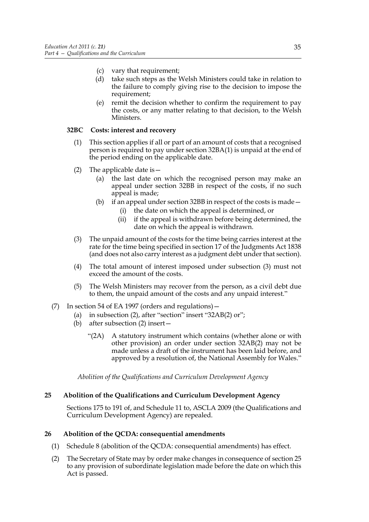- (c) vary that requirement;
- (d) take such steps as the Welsh Ministers could take in relation to the failure to comply giving rise to the decision to impose the requirement;
- (e) remit the decision whether to confirm the requirement to pay the costs, or any matter relating to that decision, to the Welsh Ministers.

## **32BC Costs: interest and recovery**

- (1) This section applies if all or part of an amount of costs that a recognised person is required to pay under section 32BA(1) is unpaid at the end of the period ending on the applicable date.
- (2) The applicable date is  $-$ 
	- (a) the last date on which the recognised person may make an appeal under section 32BB in respect of the costs, if no such appeal is made;
	- (b) if an appeal under section 32BB in respect of the costs is made—
		- (i) the date on which the appeal is determined, or
		- (ii) if the appeal is withdrawn before being determined, the date on which the appeal is withdrawn.
- (3) The unpaid amount of the costs for the time being carries interest at the rate for the time being specified in section 17 of the Judgments Act 1838 (and does not also carry interest as a judgment debt under that section).
- (4) The total amount of interest imposed under subsection (3) must not exceed the amount of the costs.
- (5) The Welsh Ministers may recover from the person, as a civil debt due to them, the unpaid amount of the costs and any unpaid interest."
- (7) In section 54 of EA 1997 (orders and regulations)—
	- (a) in subsection (2), after "section" insert "32AB(2) or";
	- (b) after subsection (2) insert—
		- "(2A) A statutory instrument which contains (whether alone or with other provision) an order under section 32AB(2) may not be made unless a draft of the instrument has been laid before, and approved by a resolution of, the National Assembly for Wales."

*Abolition of the Qualifications and Curriculum Development Agency*

# **25 Abolition of the Qualifications and Curriculum Development Agency**

Sections 175 to 191 of, and Schedule 11 to, ASCLA 2009 (the Qualifications and Curriculum Development Agency) are repealed.

## **26 Abolition of the QCDA: consequential amendments**

- (1) Schedule 8 (abolition of the QCDA: consequential amendments) has effect.
- (2) The Secretary of State may by order make changes in consequence of section 25 to any provision of subordinate legislation made before the date on which this Act is passed.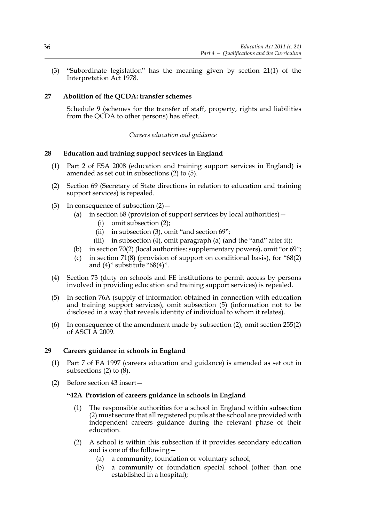(3) "Subordinate legislation" has the meaning given by section 21(1) of the Interpretation Act 1978.

## **27 Abolition of the QCDA: transfer schemes**

Schedule 9 (schemes for the transfer of staff, property, rights and liabilities from the QCDA to other persons) has effect.

## *Careers education and guidance*

#### **28 Education and training support services in England**

- (1) Part 2 of ESA 2008 (education and training support services in England) is amended as set out in subsections (2) to (5).
- (2) Section 69 (Secretary of State directions in relation to education and training support services) is repealed.
- (3) In consequence of subsection  $(2)$  -
	- (a) in section 68 (provision of support services by local authorities)—
		- (i) omit subsection (2);
		- (ii) in subsection (3), omit "and section 69";
		- (iii) in subsection (4), omit paragraph (a) (and the "and" after it);
	- (b) in section 70(2) (local authorities: supplementary powers), omit "or 69";
	- (c) in section 71(8) (provision of support on conditional basis), for "68(2) and (4)" substitute "68(4)".
- (4) Section 73 (duty on schools and FE institutions to permit access by persons involved in providing education and training support services) is repealed.
- (5) In section 76A (supply of information obtained in connection with education and training support services), omit subsection (5) (information not to be disclosed in a way that reveals identity of individual to whom it relates).
- (6) In consequence of the amendment made by subsection (2), omit section 255(2) of ASCLA 2009.

#### **29 Careers guidance in schools in England**

- (1) Part 7 of EA 1997 (careers education and guidance) is amended as set out in subsections (2) to (8).
- (2) Before section 43 insert—

#### **"42A Provision of careers guidance in schools in England**

- (1) The responsible authorities for a school in England within subsection (2) must secure that all registered pupils at the school are provided with independent careers guidance during the relevant phase of their education.
- (2) A school is within this subsection if it provides secondary education and is one of the following—
	- (a) a community, foundation or voluntary school;
	- (b) a community or foundation special school (other than one established in a hospital);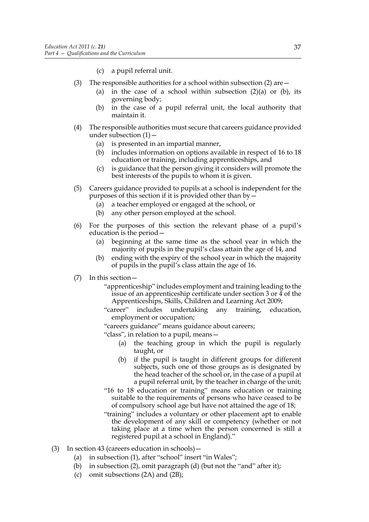- (c) a pupil referral unit.
- (3) The responsible authorities for a school within subsection (2) are  $-$ 
	- (a) in the case of a school within subsection  $(2)(a)$  or  $(b)$ , its governing body;
	- (b) in the case of a pupil referral unit, the local authority that maintain it.
- (4) The responsible authorities must secure that careers guidance provided under subsection  $(1)$  –
	- (a) is presented in an impartial manner,
	- (b) includes information on options available in respect of 16 to 18 education or training, including apprenticeships, and
	- (c) is guidance that the person giving it considers will promote the best interests of the pupils to whom it is given.
- (5) Careers guidance provided to pupils at a school is independent for the purposes of this section if it is provided other than by—
	- (a) a teacher employed or engaged at the school, or
	- (b) any other person employed at the school.
- (6) For the purposes of this section the relevant phase of a pupil's education is the period—
	- (a) beginning at the same time as the school year in which the majority of pupils in the pupil's class attain the age of 14, and
	- (b) ending with the expiry of the school year in which the majority of pupils in the pupil's class attain the age of 16.
- (7) In this section—
	- "apprenticeship" includes employment and training leading to the issue of an apprenticeship certificate under section 3 or 4 of the Apprenticeships, Skills, Children and Learning Act 2009;
	- "career" includes undertaking any training, education, employment or occupation;
	- "careers guidance" means guidance about careers;
	- "class", in relation to a pupil, means—
		- (a) the teaching group in which the pupil is regularly taught, or
		- (b) if the pupil is taught in different groups for different subjects, such one of those groups as is designated by the head teacher of the school or, in the case of a pupil at a pupil referral unit, by the teacher in charge of the unit;
	- "16 to 18 education or training" means education or training suitable to the requirements of persons who have ceased to be of compulsory school age but have not attained the age of 18;
	- "training" includes a voluntary or other placement apt to enable the development of any skill or competency (whether or not taking place at a time when the person concerned is still a registered pupil at a school in England)."
- (3) In section 43 (careers education in schools)—
	- (a) in subsection (1), after "school" insert "in Wales";
	- (b) in subsection (2), omit paragraph (d) (but not the "and" after it);
	- (c) omit subsections (2A) and (2B);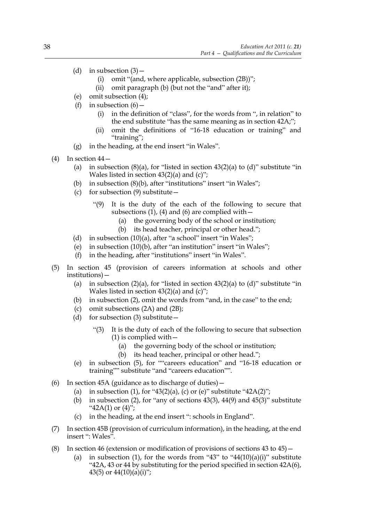- (d) in subsection  $(3)$ 
	- (i) omit "(and, where applicable, subsection (2B))";
	- (ii) omit paragraph (b) (but not the "and" after it);
- (e) omit subsection (4);
- (f) in subsection  $(6)$ 
	- (i) in the definition of "class", for the words from ", in relation" to the end substitute "has the same meaning as in section 42A;";
	- omit the definitions of "16-18 education or training" and "training";
- (g) in the heading, at the end insert "in Wales".
- (4) In section  $44-$ 
	- (a) in subsection  $(8)(a)$ , for "listed in section  $43(2)(a)$  to  $(d)$ " substitute "in Wales listed in section  $43(2)(a)$  and  $(c)$ ";
	- (b) in subsection (8)(b), after "institutions" insert "in Wales";
	- (c) for subsection  $(9)$  substitute
		- "(9) It is the duty of the each of the following to secure that subsections (1), (4) and (6) are complied with  $-$ 
			- (a) the governing body of the school or institution;
			- (b) its head teacher, principal or other head.";
	- (d) in subsection (10)(a), after "a school" insert "in Wales";
	- (e) in subsection (10)(b), after "an institution" insert "in Wales";
	- (f) in the heading, after "institutions" insert "in Wales".
- (5) In section 45 (provision of careers information at schools and other institutions)—
	- (a) in subsection  $(2)(a)$ , for "listed in section  $43(2)(a)$  to  $(d)$ " substitute "in Wales listed in section  $43(2)(a)$  and  $(c)$ ";
	- (b) in subsection (2), omit the words from "and, in the case" to the end;
	- (c) omit subsections (2A) and (2B);
	- (d) for subsection  $(3)$  substitute
		- "(3) It is the duty of each of the following to secure that subsection  $(1)$  is complied with  $-$ 
			- (a) the governing body of the school or institution;
			- (b) its head teacher, principal or other head.";
	- (e) in subsection (5), for ""careers education" and "16-18 education or training"" substitute "and "careers education"".
- (6) In section 45A (guidance as to discharge of duties)—
	- (a) in subsection (1), for "43(2)(a), (c) or (e)" substitute "42A(2)";
	- (b) in subsection (2), for "any of sections  $43(3)$ ,  $44(9)$  and  $45(3)$ " substitute " $42A(1)$  or  $(4)$ ";
	- (c) in the heading, at the end insert ": schools in England".
- (7) In section 45B (provision of curriculum information), in the heading, at the end insert ": Wales".
- (8) In section 46 (extension or modification of provisions of sections 43 to 45)—
	- (a) in subsection (1), for the words from "43" to "44(10)(a)(i)" substitute "42A, 43 or 44 by substituting for the period specified in section 42A(6), 43(5) or  $44(10)(a)(i)$ ";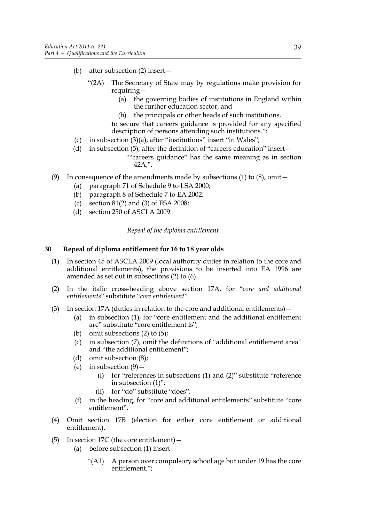- (b) after subsection (2) insert—
	- "(2A) The Secretary of State may by regulations make provision for requiring—
		- (a) the governing bodies of institutions in England within the further education sector, and
		- (b) the principals or other heads of such institutions,

to secure that careers guidance is provided for any specified description of persons attending such institutions.";

- (c) in subsection (3)(a), after "institutions" insert "in Wales";
- (d) in subsection (5), after the definition of "careers education" insert— ""careers guidance" has the same meaning as in section
- (9) In consequence of the amendments made by subsections (1) to  $(8)$ , omit -
	- (a) paragraph 71 of Schedule 9 to LSA 2000;

 $42A$ :".

- (b) paragraph 8 of Schedule 7 to EA 2002;
- (c) section 81(2) and (3) of ESA 2008;
- (d) section 250 of ASCLA 2009.

#### *Repeal of the diploma entitlement*

#### **30 Repeal of diploma entitlement for 16 to 18 year olds**

- (1) In section 45 of ASCLA 2009 (local authority duties in relation to the core and additional entitlements), the provisions to be inserted into EA 1996 are amended as set out in subsections (2) to (6).
- (2) In the italic cross-heading above section 17A, for "*core and additional entitlements*" substitute "*core entitlement*".
- (3) In section 17A (duties in relation to the core and additional entitlements)—
	- (a) in subsection (1), for "core entitlement and the additional entitlement are" substitute "core entitlement is";
	- (b) omit subsections (2) to (5);
	- (c) in subsection (7), omit the definitions of "additional entitlement area" and "the additional entitlement";
	- (d) omit subsection (8);
	- (e) in subsection  $(9)$ 
		- (i) for "references in subsections (1) and (2)" substitute "reference in subsection (1)";
		- (ii) for "do" substitute "does";
	- (f) in the heading, for "core and additional entitlements" substitute "core entitlement".
- (4) Omit section 17B (election for either core entitlement or additional entitlement).
- (5) In section 17C (the core entitlement)—
	- (a) before subsection (1) insert—
		- "(A1) A person over compulsory school age but under 19 has the core entitlement.";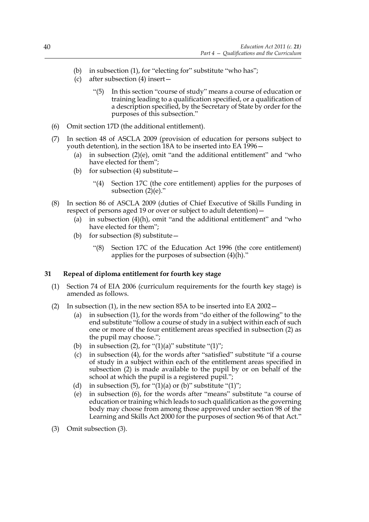- (b) in subsection (1), for "electing for" substitute "who has";
- (c) after subsection (4) insert—
	- "(5) In this section "course of study" means a course of education or training leading to a qualification specified, or a qualification of a description specified, by the Secretary of State by order for the purposes of this subsection."
- (6) Omit section 17D (the additional entitlement).
- (7) In section 48 of ASCLA 2009 (provision of education for persons subject to youth detention), in the section 18A to be inserted into EA 1996—
	- (a) in subsection  $(2)(e)$ , omit "and the additional entitlement" and "who have elected for them";
	- (b) for subsection  $(4)$  substitute  $-$ 
		- "(4) Section 17C (the core entitlement) applies for the purposes of subsection (2)(e)."
- (8) In section 86 of ASCLA 2009 (duties of Chief Executive of Skills Funding in respect of persons aged 19 or over or subject to adult detention)—
	- (a) in subsection  $(4)(h)$ , omit "and the additional entitlement" and "who have elected for them";
	- (b) for subsection (8) substitute—
		- "(8) Section 17C of the Education Act 1996 (the core entitlement) applies for the purposes of subsection (4)(h)."

## **31 Repeal of diploma entitlement for fourth key stage**

- (1) Section 74 of EIA 2006 (curriculum requirements for the fourth key stage) is amended as follows.
- (2) In subsection (1), in the new section 85A to be inserted into EA 2002—
	- (a) in subsection (1), for the words from "do either of the following" to the end substitute "follow a course of study in a subject within each of such one or more of the four entitlement areas specified in subsection (2) as the pupil may choose.";
	- (b) in subsection (2), for " $(1)(a)$ " substitute " $(1)$ ";
	- (c) in subsection (4), for the words after "satisfied" substitute "if a course of study in a subject within each of the entitlement areas specified in subsection (2) is made available to the pupil by or on behalf of the school at which the pupil is a registered pupil.";
	- (d) in subsection (5), for " $(1)(a)$  or  $(b)$ " substitute " $(1)$ ";
	- (e) in subsection (6), for the words after "means" substitute "a course of education or training which leads to such qualification as the governing body may choose from among those approved under section 98 of the Learning and Skills Act 2000 for the purposes of section 96 of that Act."
- (3) Omit subsection (3).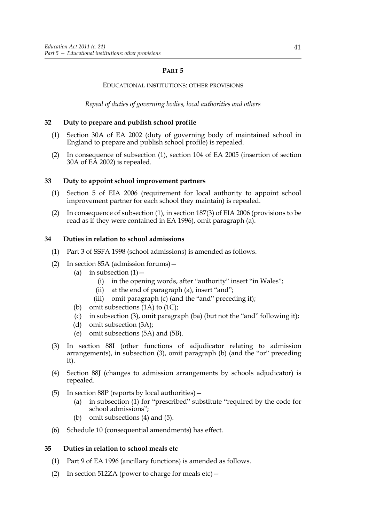## **PART 5**

## EDUCATIONAL INSTITUTIONS: OTHER PROVISIONS

*Repeal of duties of governing bodies, local authorities and others*

# **32 Duty to prepare and publish school profile**

- (1) Section 30A of EA 2002 (duty of governing body of maintained school in England to prepare and publish school profile) is repealed.
- (2) In consequence of subsection (1), section 104 of EA 2005 (insertion of section 30A of EA 2002) is repealed.

## **33 Duty to appoint school improvement partners**

- (1) Section 5 of EIA 2006 (requirement for local authority to appoint school improvement partner for each school they maintain) is repealed.
- (2) In consequence of subsection (1), in section 187(3) of EIA 2006 (provisions to be read as if they were contained in EA 1996), omit paragraph (a).

## **34 Duties in relation to school admissions**

- (1) Part 3 of SSFA 1998 (school admissions) is amended as follows.
- (2) In section 85A (admission forums)—
	- (a) in subsection  $(1)$ 
		- (i) in the opening words, after "authority" insert "in Wales";
		- (ii) at the end of paragraph (a), insert "and";
		- (iii) omit paragraph (c) (and the "and" preceding it);
	- (b) omit subsections (1A) to (1C);
	- (c) in subsection (3), omit paragraph (ba) (but not the "and" following it);
	- (d) omit subsection (3A);
	- (e) omit subsections (5A) and (5B).
- (3) In section 88I (other functions of adjudicator relating to admission arrangements), in subsection (3), omit paragraph (b) (and the "or" preceding it).
- (4) Section 88J (changes to admission arrangements by schools adjudicator) is repealed.
- (5) In section 88P (reports by local authorities)—
	- (a) in subsection (1) for "prescribed" substitute "required by the code for school admissions";
	- (b) omit subsections (4) and (5).
- (6) Schedule 10 (consequential amendments) has effect.

## **35 Duties in relation to school meals etc**

- (1) Part 9 of EA 1996 (ancillary functions) is amended as follows.
- (2) In section 512ZA (power to charge for meals etc)  $-$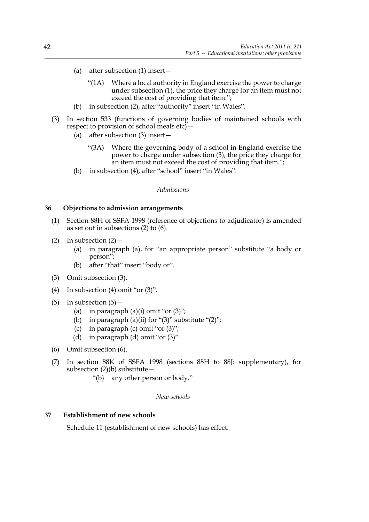- (a) after subsection (1) insert—
	- "(1A) Where a local authority in England exercise the power to charge under subsection (1), the price they charge for an item must not exceed the cost of providing that item.";
- (b) in subsection (2), after "authority" insert "in Wales".
- (3) In section 533 (functions of governing bodies of maintained schools with respect to provision of school meals etc)—
	- (a) after subsection (3) insert—
		- "(3A) Where the governing body of a school in England exercise the power to charge under subsection (3), the price they charge for an item must not exceed the cost of providing that item.";
	- (b) in subsection (4), after "school" insert "in Wales".

*Admissions*

#### **36 Objections to admission arrangements**

- (1) Section 88H of SSFA 1998 (reference of objections to adjudicator) is amended as set out in subsections (2) to (6).
- (2) In subsection  $(2)$ 
	- (a) in paragraph (a), for "an appropriate person" substitute "a body or person";
	- (b) after "that" insert "body or".
- (3) Omit subsection (3).
- (4) In subsection (4) omit "or (3)".
- $(5)$  In subsection  $(5)$  -
	- (a) in paragraph  $(a)(i)$  omit "or  $(3)$ ";
	- (b) in paragraph (a)(ii) for " $(3)$ " substitute " $(2)$ ";
	- (c) in paragraph (c) omit "or  $(3)$ ";
	- (d) in paragraph (d) omit "or (3)".
- (6) Omit subsection (6).
- (7) In section 88K of SSFA 1998 (sections 88H to 88J: supplementary), for subsection  $(2)(b)$  substitute -
	- "(b) any other person or body."

#### *New schools*

#### **37 Establishment of new schools**

Schedule 11 (establishment of new schools) has effect.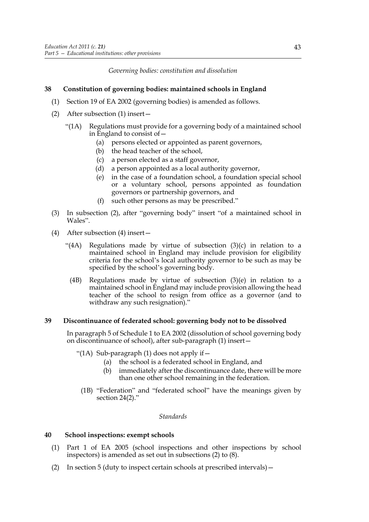*Governing bodies: constitution and dissolution*

## **38 Constitution of governing bodies: maintained schools in England**

- (1) Section 19 of EA 2002 (governing bodies) is amended as follows.
- (2) After subsection (1) insert—
	- "(1A) Regulations must provide for a governing body of a maintained school in England to consist of—
		- (a) persons elected or appointed as parent governors,
		- (b) the head teacher of the school,
		- (c) a person elected as a staff governor,
		- (d) a person appointed as a local authority governor,
		- (e) in the case of a foundation school, a foundation special school or a voluntary school, persons appointed as foundation governors or partnership governors, and
		- (f) such other persons as may be prescribed."
- (3) In subsection (2), after "governing body" insert "of a maintained school in Wales".
- (4) After subsection (4) insert—
	- "(4A) Regulations made by virtue of subsection (3)(c) in relation to a maintained school in England may include provision for eligibility criteria for the school's local authority governor to be such as may be specified by the school's governing body.
		- (4B) Regulations made by virtue of subsection (3)(e) in relation to a maintained school in England may include provision allowing the head teacher of the school to resign from office as a governor (and to withdraw any such resignation)."

## **39 Discontinuance of federated school: governing body not to be dissolved**

In paragraph 5 of Schedule 1 to EA 2002 (dissolution of school governing body on discontinuance of school), after sub-paragraph (1) insert—

"(1A) Sub-paragraph (1) does not apply if—

- (a) the school is a federated school in England, and
- (b) immediately after the discontinuance date, there will be more than one other school remaining in the federation.
- (1B) "Federation" and "federated school" have the meanings given by section  $24(2)$ ."

#### *Standards*

## **40 School inspections: exempt schools**

- (1) Part 1 of EA 2005 (school inspections and other inspections by school inspectors) is amended as set out in subsections (2) to (8).
- (2) In section 5 (duty to inspect certain schools at prescribed intervals)—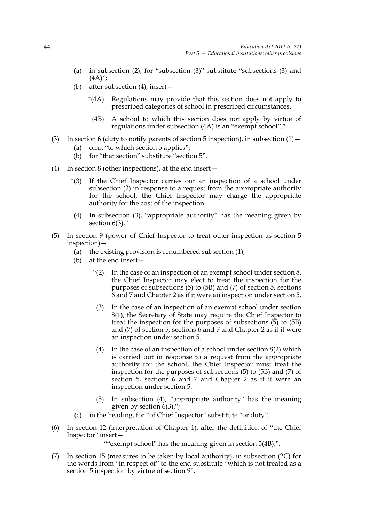- (a) in subsection (2), for "subsection (3)" substitute "subsections (3) and  $(4A)$ ";
- (b) after subsection (4), insert—
	- "(4A) Regulations may provide that this section does not apply to prescribed categories of school in prescribed circumstances.
		- (4B) A school to which this section does not apply by virtue of regulations under subsection (4A) is an "exempt school"."
- (3) In section 6 (duty to notify parents of section 5 inspection), in subsection  $(1)$ 
	- (a) omit "to which section 5 applies";
	- (b) for "that section" substitute "section 5".
- (4) In section 8 (other inspections), at the end insert—
	- "(3) If the Chief Inspector carries out an inspection of a school under subsection (2) in response to a request from the appropriate authority for the school, the Chief Inspector may charge the appropriate authority for the cost of the inspection.
	- (4) In subsection (3), "appropriate authority" has the meaning given by section 6(3)."
- (5) In section 9 (power of Chief Inspector to treat other inspection as section 5 inspection)—
	- (a) the existing provision is renumbered subsection (1);
	- (b) at the end insert—
		- "(2) In the case of an inspection of an exempt school under section  $8$ , the Chief Inspector may elect to treat the inspection for the purposes of subsections (5) to (5B) and (7) of section 5, sections 6 and 7 and Chapter 2 as if it were an inspection under section 5.
		- (3) In the case of an inspection of an exempt school under section 8(1), the Secretary of State may require the Chief Inspector to treat the inspection for the purposes of subsections  $(5)$  to  $(5B)$ and (7) of section 5, sections 6 and 7 and Chapter 2 as if it were an inspection under section 5.
		- (4) In the case of an inspection of a school under section  $8(2)$  which is carried out in response to a request from the appropriate authority for the school, the Chief Inspector must treat the inspection for the purposes of subsections (5) to (5B) and (7) of section 5, sections 6 and 7 and Chapter 2 as if it were an inspection under section 5.
		- (5) In subsection (4), "appropriate authority" has the meaning given by section 6(3).";
	- (c) in the heading, for "of Chief Inspector" substitute "or duty".
- (6) In section 12 (interpretation of Chapter 1), after the definition of "the Chief Inspector" insert—

""exempt school" has the meaning given in section 5(4B);".

(7) In section 15 (measures to be taken by local authority), in subsection (2C) for the words from "in respect of" to the end substitute "which is not treated as a section 5 inspection by virtue of section 9".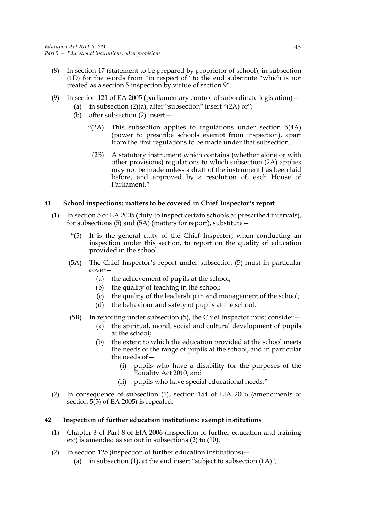- (8) In section 17 (statement to be prepared by proprietor of school), in subsection (1D) for the words from "in respect of" to the end substitute "which is not treated as a section 5 inspection by virtue of section 9".
- (9) In section 121 of EA 2005 (parliamentary control of subordinate legislation)—
	- (a) in subsection  $(2)(a)$ , after "subsection" insert " $(2A)$  or";
		- (b) after subsection (2) insert—
			- "(2A) This subsection applies to regulations under section 5(4A) (power to prescribe schools exempt from inspection), apart from the first regulations to be made under that subsection.
				- (2B) A statutory instrument which contains (whether alone or with other provisions) regulations to which subsection (2A) applies may not be made unless a draft of the instrument has been laid before, and approved by a resolution of, each House of Parliament."

# **41 School inspections: matters to be covered in Chief Inspector's report**

- (1) In section 5 of EA 2005 (duty to inspect certain schools at prescribed intervals), for subsections  $(5)$  and  $(5A)$  (matters for report), substitute –
	- "(5) It is the general duty of the Chief Inspector, when conducting an inspection under this section, to report on the quality of education provided in the school.
	- (5A) The Chief Inspector's report under subsection (5) must in particular cover—
		- (a) the achievement of pupils at the school;
		- (b) the quality of teaching in the school;
		- (c) the quality of the leadership in and management of the school;
		- (d) the behaviour and safety of pupils at the school.
	- (5B) In reporting under subsection (5), the Chief Inspector must consider—
		- (a) the spiritual, moral, social and cultural development of pupils at the school;
		- (b) the extent to which the education provided at the school meets the needs of the range of pupils at the school, and in particular the needs of—
			- (i) pupils who have a disability for the purposes of the Equality Act 2010, and
			- (ii) pupils who have special educational needs."
- (2) In consequence of subsection (1), section 154 of EIA 2006 (amendments of section 5(5) of EA 2005) is repealed.

# **42 Inspection of further education institutions: exempt institutions**

- (1) Chapter 3 of Part 8 of EIA 2006 (inspection of further education and training etc) is amended as set out in subsections (2) to (10).
- (2) In section 125 (inspection of further education institutions)—
	- (a) in subsection  $(1)$ , at the end insert "subject to subsection  $(1A)$ ";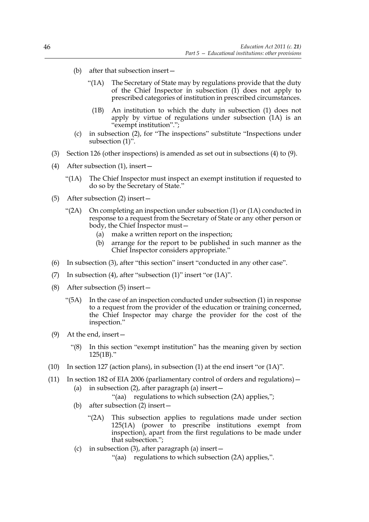- (b) after that subsection insert—
	- "(1A) The Secretary of State may by regulations provide that the duty of the Chief Inspector in subsection (1) does not apply to prescribed categories of institution in prescribed circumstances.
		- (1B) An institution to which the duty in subsection (1) does not apply by virtue of regulations under subsection (1A) is an "exempt institution".";
- (c) in subsection (2), for "The inspections" substitute "Inspections under subsection  $(1)$ ".
- (3) Section 126 (other inspections) is amended as set out in subsections (4) to (9).
- (4) After subsection (1), insert—
	- "(1A) The Chief Inspector must inspect an exempt institution if requested to do so by the Secretary of State."
- (5) After subsection (2) insert—
	- "(2A) On completing an inspection under subsection (1) or (1A) conducted in response to a request from the Secretary of State or any other person or body, the Chief Inspector must—
		- (a) make a written report on the inspection;
		- (b) arrange for the report to be published in such manner as the Chief Inspector considers appropriate."
- (6) In subsection (3), after "this section" insert "conducted in any other case".
- (7) In subsection (4), after "subsection (1)" insert "or (1A)".
- (8) After subsection (5) insert—
	- "(5A) In the case of an inspection conducted under subsection (1) in response to a request from the provider of the education or training concerned, the Chief Inspector may charge the provider for the cost of the inspection."
- (9) At the end, insert—
	- "(8) In this section "exempt institution" has the meaning given by section 125(1B)."
- (10) In section 127 (action plans), in subsection (1) at the end insert "or (1A)".
- (11) In section 182 of EIA 2006 (parliamentary control of orders and regulations)— (a) in subsection (2), after paragraph (a) insert—
	- "(aa) regulations to which subsection (2A) applies,";
	- (b) after subsection (2) insert—
		- "(2A) This subsection applies to regulations made under section 125(1A) (power to prescribe institutions exempt from inspection), apart from the first regulations to be made under that subsection.";
	- (c) in subsection (3), after paragraph (a) insert—
		- "(aa) regulations to which subsection (2A) applies,".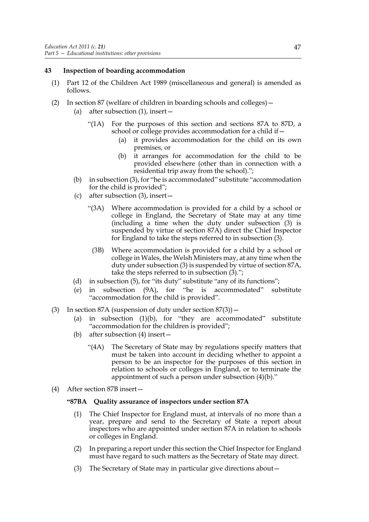#### **43 Inspection of boarding accommodation**

- (1) Part 12 of the Children Act 1989 (miscellaneous and general) is amended as follows.
- (2) In section 87 (welfare of children in boarding schools and colleges)—
	- (a) after subsection (1), insert—
		- "(1A) For the purposes of this section and sections 87A to 87D, a school or college provides accommodation for a child if—
			- (a) it provides accommodation for the child on its own premises, or
			- (b) it arranges for accommodation for the child to be provided elsewhere (other than in connection with a residential trip away from the school).";
	- (b) in subsection (3), for "he is accommodated" substitute "accommodation for the child is provided";
	- (c) after subsection (3), insert—
		- "(3A) Where accommodation is provided for a child by a school or college in England, the Secretary of State may at any time (including a time when the duty under subsection (3) is suspended by virtue of section 87A) direct the Chief Inspector for England to take the steps referred to in subsection (3).
			- (3B) Where accommodation is provided for a child by a school or college in Wales, the Welsh Ministers may, at any time when the duty under subsection (3) is suspended by virtue of section 87A, take the steps referred to in subsection (3).";
	- (d) in subsection (5), for "its duty" substitute "any of its functions";
	- (e) in subsection (9A), for "he is accommodated" substitute "accommodation for the child is provided".
- (3) In section  $87A$  (suspension of duty under section  $87(3)$ )
	- (a) in subsection  $(1)(b)$ , for "they are accommodated" substitute "accommodation for the children is provided";
	- (b) after subsection (4) insert—
		- "(4A) The Secretary of State may by regulations specify matters that must be taken into account in deciding whether to appoint a person to be an inspector for the purposes of this section in relation to schools or colleges in England, or to terminate the appointment of such a person under subsection (4)(b)."
- (4) After section 87B insert—

#### **"87BA Quality assurance of inspectors under section 87A**

- (1) The Chief Inspector for England must, at intervals of no more than a year, prepare and send to the Secretary of State a report about inspectors who are appointed under section 87A in relation to schools or colleges in England.
- (2) In preparing a report under this section the Chief Inspector for England must have regard to such matters as the Secretary of State may direct.
- (3) The Secretary of State may in particular give directions about—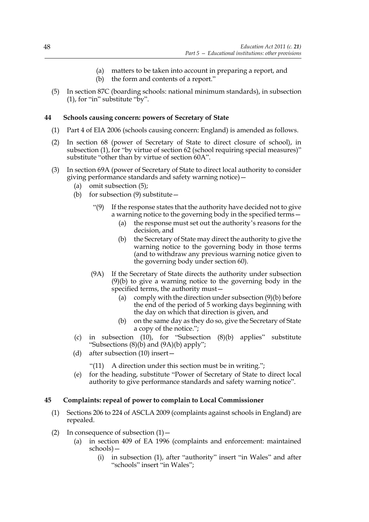- (a) matters to be taken into account in preparing a report, and
- (b) the form and contents of a report."
- (5) In section 87C (boarding schools: national minimum standards), in subsection (1), for "in" substitute "by".

## **44 Schools causing concern: powers of Secretary of State**

- (1) Part 4 of EIA 2006 (schools causing concern: England) is amended as follows.
- (2) In section 68 (power of Secretary of State to direct closure of school), in subsection (1), for "by virtue of section 62 (school requiring special measures)" substitute "other than by virtue of section 60A".
- (3) In section 69A (power of Secretary of State to direct local authority to consider giving performance standards and safety warning notice)—
	- (a) omit subsection (5);
	- (b) for subsection (9) substitute—
		- "(9) If the response states that the authority have decided not to give a warning notice to the governing body in the specified terms -
			- (a) the response must set out the authority's reasons for the decision, and
			- (b) the Secretary of State may direct the authority to give the warning notice to the governing body in those terms (and to withdraw any previous warning notice given to the governing body under section 60).
		- (9A) If the Secretary of State directs the authority under subsection (9)(b) to give a warning notice to the governing body in the specified terms, the authority must—
			- (a) comply with the direction under subsection (9)(b) before the end of the period of 5 working days beginning with the day on which that direction is given, and
			- (b) on the same day as they do so, give the Secretary of State a copy of the notice.";
	- (c) in subsection (10), for "Subsection (8)(b) applies" substitute "Subsections  $(8)(b)$  and  $(9A)(b)$  apply";
	- (d) after subsection (10) insert—

"(11) A direction under this section must be in writing.";

(e) for the heading, substitute "Power of Secretary of State to direct local authority to give performance standards and safety warning notice".

## **45 Complaints: repeal of power to complain to Local Commissioner**

- (1) Sections 206 to 224 of ASCLA 2009 (complaints against schools in England) are repealed.
- (2) In consequence of subsection  $(1)$  -
	- (a) in section 409 of EA 1996 (complaints and enforcement: maintained schools)—
		- (i) in subsection (1), after "authority" insert "in Wales" and after "schools" insert "in Wales";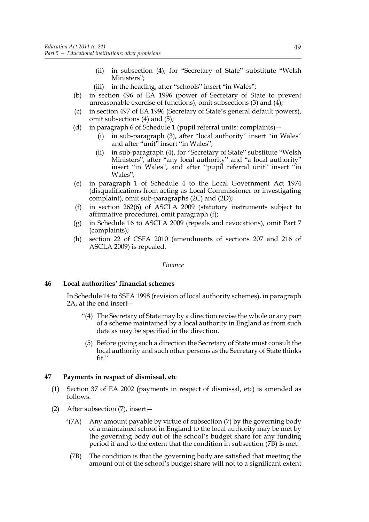- (ii) in subsection (4), for "Secretary of State" substitute "Welsh Ministers";
- (iii) in the heading, after "schools" insert "in Wales";
- (b) in section 496 of EA 1996 (power of Secretary of State to prevent unreasonable exercise of functions), omit subsections (3) and  $(4)$ ;
- (c) in section 497 of EA 1996 (Secretary of State's general default powers), omit subsections (4) and (5);
- (d) in paragraph 6 of Schedule 1 (pupil referral units: complaints)—
	- (i) in sub-paragraph (3), after "local authority" insert "in Wales" and after "unit" insert "in Wales";
	- (ii) in sub-paragraph (4), for "Secretary of State" substitute "Welsh Ministers", after "any local authority" and "a local authority" insert "in Wales", and after "pupil referral unit" insert "in Wales";
- (e) in paragraph 1 of Schedule 4 to the Local Government Act 1974 (disqualifications from acting as Local Commissioner or investigating complaint), omit sub-paragraphs (2C) and (2D);
- (f) in section 262(6) of ASCLA 2009 (statutory instruments subject to affirmative procedure), omit paragraph (f);
- (g) in Schedule 16 to ASCLA 2009 (repeals and revocations), omit Part 7 (complaints);
- (h) section 22 of CSFA 2010 (amendments of sections 207 and 216 of ASCLA 2009) is repealed.

#### *Finance*

## **46 Local authorities' financial schemes**

In Schedule 14 to SSFA 1998 (revision of local authority schemes), in paragraph 2A, at the end insert—

- "(4) The Secretary of State may by a direction revise the whole or any part of a scheme maintained by a local authority in England as from such date as may be specified in the direction.
- (5) Before giving such a direction the Secretary of State must consult the local authority and such other persons as the Secretary of State thinks fit."

## **47 Payments in respect of dismissal, etc**

- (1) Section 37 of EA 2002 (payments in respect of dismissal, etc) is amended as follows.
- (2) After subsection (7), insert—
	- "(7A) Any amount payable by virtue of subsection (7) by the governing body of a maintained school in England to the local authority may be met by the governing body out of the school's budget share for any funding period if and to the extent that the condition in subsection (7B) is met.
		- (7B) The condition is that the governing body are satisfied that meeting the amount out of the school's budget share will not to a significant extent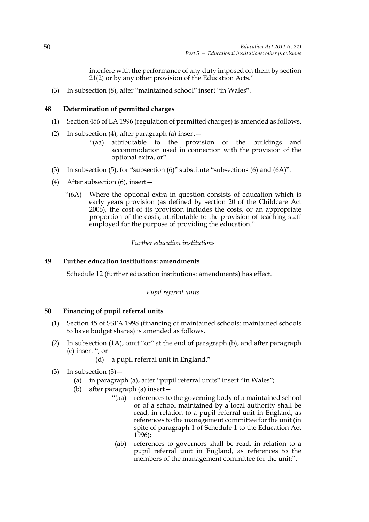interfere with the performance of any duty imposed on them by section 21(2) or by any other provision of the Education Acts."

(3) In subsection (8), after "maintained school" insert "in Wales".

## **48 Determination of permitted charges**

- (1) Section 456 of EA 1996 (regulation of permitted charges) is amended as follows.
- (2) In subsection (4), after paragraph (a) insert—
	- "(aa) attributable to the provision of the buildings and accommodation used in connection with the provision of the optional extra, or".
- (3) In subsection (5), for "subsection (6)" substitute "subsections (6) and (6A)".
- (4) After subsection (6), insert—
	- "(6A) Where the optional extra in question consists of education which is early years provision (as defined by section 20 of the Childcare Act 2006), the cost of its provision includes the costs, or an appropriate proportion of the costs, attributable to the provision of teaching staff employed for the purpose of providing the education."

## *Further education institutions*

## **49 Further education institutions: amendments**

Schedule 12 (further education institutions: amendments) has effect.

*Pupil referral units*

# **50 Financing of pupil referral units**

- (1) Section 45 of SSFA 1998 (financing of maintained schools: maintained schools to have budget shares) is amended as follows.
- (2) In subsection (1A), omit "or" at the end of paragraph (b), and after paragraph (c) insert ", or
	- (d) a pupil referral unit in England."
- (3) In subsection  $(3)$ 
	- (a) in paragraph (a), after "pupil referral units" insert "in Wales";
	- (b) after paragraph (a) insert—
		- "(aa) references to the governing body of a maintained school or of a school maintained by a local authority shall be read, in relation to a pupil referral unit in England, as references to the management committee for the unit (in spite of paragraph 1 of Schedule 1 to the Education Act  $1996$ );
		- (ab) references to governors shall be read, in relation to a pupil referral unit in England, as references to the members of the management committee for the unit;".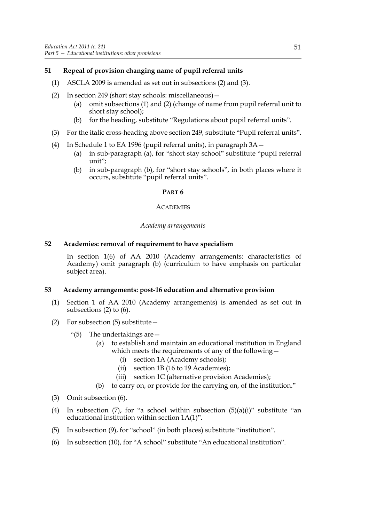# **51 Repeal of provision changing name of pupil referral units**

- (1) ASCLA 2009 is amended as set out in subsections (2) and (3).
- (2) In section 249 (short stay schools: miscellaneous)—
	- (a) omit subsections (1) and (2) (change of name from pupil referral unit to short stay school);
	- (b) for the heading, substitute "Regulations about pupil referral units".
- (3) For the italic cross-heading above section 249, substitute "Pupil referral units".
- (4) In Schedule 1 to EA 1996 (pupil referral units), in paragraph 3A—
	- (a) in sub-paragraph (a), for "short stay school" substitute "pupil referral unit";
	- (b) in sub-paragraph (b), for "short stay schools", in both places where it occurs, substitute "pupil referral units".

## **PART 6**

#### **ACADEMIES**

## *Academy arrangements*

## **52 Academies: removal of requirement to have specialism**

In section 1(6) of AA 2010 (Academy arrangements: characteristics of Academy) omit paragraph (b) (curriculum to have emphasis on particular subject area).

## **53 Academy arrangements: post-16 education and alternative provision**

- (1) Section 1 of AA 2010 (Academy arrangements) is amended as set out in subsections (2) to (6).
- (2) For subsection (5) substitute—
	- "(5) The undertakings are—
		- (a) to establish and maintain an educational institution in England which meets the requirements of any of the following—
			- (i) section 1A (Academy schools);
			- (ii) section 1B (16 to 19 Academies);
			- (iii) section 1C (alternative provision Academies);
		- (b) to carry on, or provide for the carrying on, of the institution."
- (3) Omit subsection (6).
- (4) In subsection  $(7)$ , for "a school within subsection  $(5)(a)(i)$ " substitute "an educational institution within section 1A(1)".
- (5) In subsection (9), for "school" (in both places) substitute "institution".
- (6) In subsection (10), for "A school" substitute "An educational institution".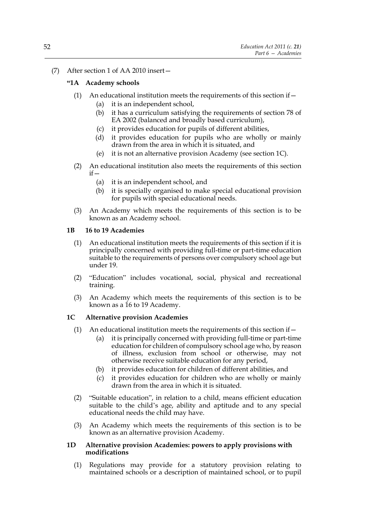## (7) After section 1 of AA 2010 insert—

## **"1A Academy schools**

- (1) An educational institution meets the requirements of this section if  $-$ 
	- (a) it is an independent school,
	- (b) it has a curriculum satisfying the requirements of section 78 of EA 2002 (balanced and broadly based curriculum),
	- (c) it provides education for pupils of different abilities,
	- (d) it provides education for pupils who are wholly or mainly drawn from the area in which it is situated, and
	- (e) it is not an alternative provision Academy (see section 1C).
- (2) An educational institution also meets the requirements of this section if—
	- (a) it is an independent school, and
	- (b) it is specially organised to make special educational provision for pupils with special educational needs.
- (3) An Academy which meets the requirements of this section is to be known as an Academy school.

## **1B 16 to 19 Academies**

- (1) An educational institution meets the requirements of this section if it is principally concerned with providing full-time or part-time education suitable to the requirements of persons over compulsory school age but under 19.
- (2) "Education" includes vocational, social, physical and recreational training.
- (3) An Academy which meets the requirements of this section is to be known as a 16 to 19 Academy.

## **1C Alternative provision Academies**

- (1) An educational institution meets the requirements of this section if  $-$ 
	- (a) it is principally concerned with providing full-time or part-time education for children of compulsory school age who, by reason of illness, exclusion from school or otherwise, may not otherwise receive suitable education for any period,
	- (b) it provides education for children of different abilities, and
	- (c) it provides education for children who are wholly or mainly drawn from the area in which it is situated.
- (2) "Suitable education", in relation to a child, means efficient education suitable to the child's age, ability and aptitude and to any special educational needs the child may have.
- (3) An Academy which meets the requirements of this section is to be known as an alternative provision Academy.

#### **1D Alternative provision Academies: powers to apply provisions with modifications**

(1) Regulations may provide for a statutory provision relating to maintained schools or a description of maintained school, or to pupil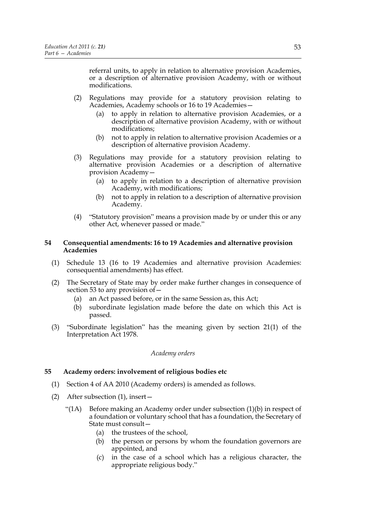referral units, to apply in relation to alternative provision Academies, or a description of alternative provision Academy, with or without modifications.

- (2) Regulations may provide for a statutory provision relating to Academies, Academy schools or 16 to 19 Academies—
	- (a) to apply in relation to alternative provision Academies, or a description of alternative provision Academy, with or without modifications;
	- (b) not to apply in relation to alternative provision Academies or a description of alternative provision Academy.
- (3) Regulations may provide for a statutory provision relating to alternative provision Academies or a description of alternative provision Academy—
	- (a) to apply in relation to a description of alternative provision Academy, with modifications;
	- (b) not to apply in relation to a description of alternative provision Academy.
- (4) "Statutory provision" means a provision made by or under this or any other Act, whenever passed or made."

#### **54 Consequential amendments: 16 to 19 Academies and alternative provision Academies**

- (1) Schedule 13 (16 to 19 Academies and alternative provision Academies: consequential amendments) has effect.
- (2) The Secretary of State may by order make further changes in consequence of section 53 to any provision of—
	- (a) an Act passed before, or in the same Session as, this Act;
	- (b) subordinate legislation made before the date on which this Act is passed.
- (3) "Subordinate legislation" has the meaning given by section 21(1) of the Interpretation Act 1978.

## *Academy orders*

## **55 Academy orders: involvement of religious bodies etc**

- (1) Section 4 of AA 2010 (Academy orders) is amended as follows.
- (2) After subsection (1), insert—
	- "(1A) Before making an Academy order under subsection (1)(b) in respect of a foundation or voluntary school that has a foundation, the Secretary of State must consult—
		- (a) the trustees of the school,
		- (b) the person or persons by whom the foundation governors are appointed, and
		- (c) in the case of a school which has a religious character, the appropriate religious body."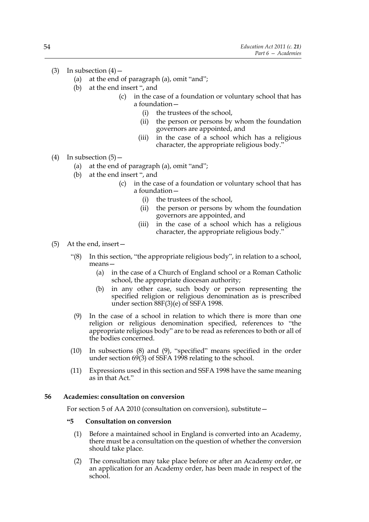- (3) In subsection  $(4)$ 
	- (a) at the end of paragraph (a), omit "and";
	- (b) at the end insert ", and
		- (c) in the case of a foundation or voluntary school that has a foundation—
			- (i) the trustees of the school,
			- (ii) the person or persons by whom the foundation governors are appointed, and
			- (iii) in the case of a school which has a religious character, the appropriate religious body."
- (4) In subsection  $(5)$  -
	- (a) at the end of paragraph (a), omit "and";
	- (b) at the end insert ", and
		- (c) in the case of a foundation or voluntary school that has a foundation—
			- (i) the trustees of the school,
			- (ii) the person or persons by whom the foundation governors are appointed, and
			- (iii) in the case of a school which has a religious character, the appropriate religious body."
- (5) At the end, insert—
	- "(8) In this section, "the appropriate religious body", in relation to a school, means—
		- (a) in the case of a Church of England school or a Roman Catholic school, the appropriate diocesan authority;
		- (b) in any other case, such body or person representing the specified religion or religious denomination as is prescribed under section 88F(3)(e) of SSFA 1998.
	- (9) In the case of a school in relation to which there is more than one religion or religious denomination specified, references to "the appropriate religious body" are to be read as references to both or all of the bodies concerned.
	- (10) In subsections (8) and (9), "specified" means specified in the order under section 69(3) of SSFA 1998 relating to the school.
	- (11) Expressions used in this section and SSFA 1998 have the same meaning as in that Act."

## **56 Academies: consultation on conversion**

For section 5 of AA 2010 (consultation on conversion), substitute—

#### **"5 Consultation on conversion**

- (1) Before a maintained school in England is converted into an Academy, there must be a consultation on the question of whether the conversion should take place.
- (2) The consultation may take place before or after an Academy order, or an application for an Academy order, has been made in respect of the school.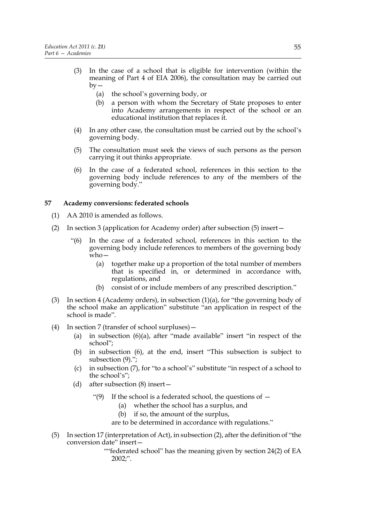- (3) In the case of a school that is eligible for intervention (within the meaning of Part 4 of EIA 2006), the consultation may be carried out  $by -$ 
	- (a) the school's governing body, or
	- (b) a person with whom the Secretary of State proposes to enter into Academy arrangements in respect of the school or an educational institution that replaces it.
- (4) In any other case, the consultation must be carried out by the school's governing body.
- (5) The consultation must seek the views of such persons as the person carrying it out thinks appropriate.
- (6) In the case of a federated school, references in this section to the governing body include references to any of the members of the governing body."

## **57 Academy conversions: federated schools**

- (1) AA 2010 is amended as follows.
- (2) In section 3 (application for Academy order) after subsection (5) insert—
	- "(6) In the case of a federated school, references in this section to the governing body include references to members of the governing body  $w$ ho —
		- (a) together make up a proportion of the total number of members that is specified in, or determined in accordance with, regulations, and
		- (b) consist of or include members of any prescribed description."
- (3) In section 4 (Academy orders), in subsection (1)(a), for "the governing body of the school make an application" substitute "an application in respect of the school is made".
- (4) In section 7 (transfer of school surpluses)—
	- (a) in subsection (6)(a), after "made available" insert "in respect of the school";
	- (b) in subsection (6), at the end, insert "This subsection is subject to subsection (9).";
	- (c) in subsection (7), for "to a school's" substitute "in respect of a school to the school's";
	- (d) after subsection (8) insert—
		- "(9) If the school is a federated school, the questions of  $-$ 
			- (a) whether the school has a surplus, and
			- (b) if so, the amount of the surplus,
			- are to be determined in accordance with regulations."
- (5) In section 17 (interpretation of Act), in subsection (2), after the definition of "the conversion date" insert—

""federated school" has the meaning given by section 24(2) of EA 2002;".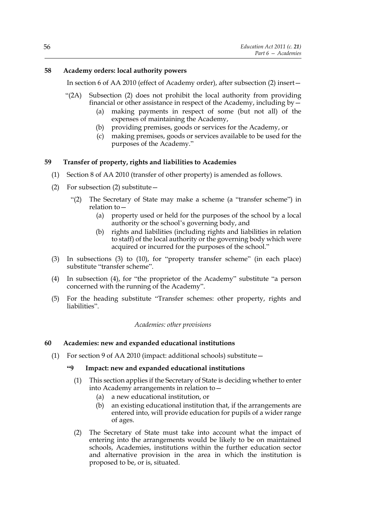## **58 Academy orders: local authority powers**

In section 6 of AA 2010 (effect of Academy order), after subsection (2) insert—

- "(2A) Subsection (2) does not prohibit the local authority from providing financial or other assistance in respect of the Academy, including by—
	- (a) making payments in respect of some (but not all) of the expenses of maintaining the Academy,
	- (b) providing premises, goods or services for the Academy, or
	- (c) making premises, goods or services available to be used for the purposes of the Academy."

## **59 Transfer of property, rights and liabilities to Academies**

- (1) Section 8 of AA 2010 (transfer of other property) is amended as follows.
- (2) For subsection (2) substitute—
	- "(2) The Secretary of State may make a scheme (a "transfer scheme") in relation to—
		- (a) property used or held for the purposes of the school by a local authority or the school's governing body, and
		- (b) rights and liabilities (including rights and liabilities in relation to staff) of the local authority or the governing body which were acquired or incurred for the purposes of the school."
- (3) In subsections (3) to (10), for "property transfer scheme" (in each place) substitute "transfer scheme".
- (4) In subsection (4), for "the proprietor of the Academy" substitute "a person concerned with the running of the Academy".
- (5) For the heading substitute "Transfer schemes: other property, rights and liabilities".

*Academies: other provisions*

## **60 Academies: new and expanded educational institutions**

(1) For section 9 of AA 2010 (impact: additional schools) substitute—

## **"9 Impact: new and expanded educational institutions**

- (1) This section applies if the Secretary of State is deciding whether to enter into Academy arrangements in relation to—
	- (a) a new educational institution, or
	- (b) an existing educational institution that, if the arrangements are entered into, will provide education for pupils of a wider range of ages.
- (2) The Secretary of State must take into account what the impact of entering into the arrangements would be likely to be on maintained schools, Academies, institutions within the further education sector and alternative provision in the area in which the institution is proposed to be, or is, situated.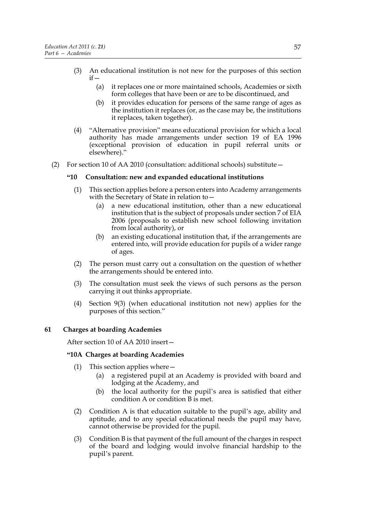- (3) An educational institution is not new for the purposes of this section  $if -$ 
	- (a) it replaces one or more maintained schools, Academies or sixth form colleges that have been or are to be discontinued, and
	- (b) it provides education for persons of the same range of ages as the institution it replaces (or, as the case may be, the institutions it replaces, taken together).
- (4) "Alternative provision" means educational provision for which a local authority has made arrangements under section 19 of EA 1996 (exceptional provision of education in pupil referral units or elsewhere)."
- (2) For section 10 of AA 2010 (consultation: additional schools) substitute—

## **"10 Consultation: new and expanded educational institutions**

- (1) This section applies before a person enters into Academy arrangements with the Secretary of State in relation to—
	- (a) a new educational institution, other than a new educational institution that is the subject of proposals under section 7 of EIA 2006 (proposals to establish new school following invitation from local authority), or
	- (b) an existing educational institution that, if the arrangements are entered into, will provide education for pupils of a wider range of ages.
- (2) The person must carry out a consultation on the question of whether the arrangements should be entered into.
- (3) The consultation must seek the views of such persons as the person carrying it out thinks appropriate.
- (4) Section 9(3) (when educational institution not new) applies for the purposes of this section."

## **61 Charges at boarding Academies**

After section 10 of AA 2010 insert—

## **"10A Charges at boarding Academies**

- (1) This section applies where—
	- (a) a registered pupil at an Academy is provided with board and lodging at the Academy, and
	- (b) the local authority for the pupil's area is satisfied that either condition A or condition B is met.
- (2) Condition A is that education suitable to the pupil's age, ability and aptitude, and to any special educational needs the pupil may have, cannot otherwise be provided for the pupil.
- (3) Condition B is that payment of the full amount of the charges in respect of the board and lodging would involve financial hardship to the pupil's parent.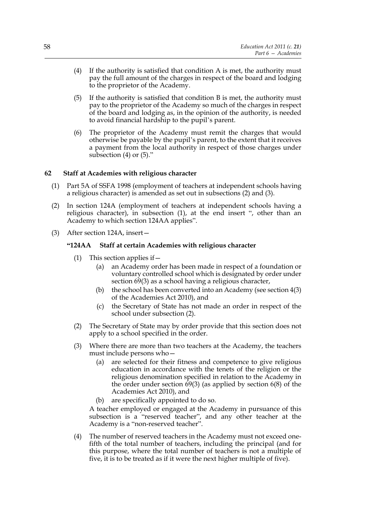- (4) If the authority is satisfied that condition A is met, the authority must pay the full amount of the charges in respect of the board and lodging to the proprietor of the Academy.
- (5) If the authority is satisfied that condition B is met, the authority must pay to the proprietor of the Academy so much of the charges in respect of the board and lodging as, in the opinion of the authority, is needed to avoid financial hardship to the pupil's parent.
- (6) The proprietor of the Academy must remit the charges that would otherwise be payable by the pupil's parent, to the extent that it receives a payment from the local authority in respect of those charges under subsection (4) or (5)."

## **62 Staff at Academies with religious character**

- (1) Part 5A of SSFA 1998 (employment of teachers at independent schools having a religious character) is amended as set out in subsections (2) and (3).
- (2) In section 124A (employment of teachers at independent schools having a religious character), in subsection (1), at the end insert ", other than an Academy to which section 124AA applies".
- (3) After section 124A, insert—

## **"124AA Staff at certain Academies with religious character**

- (1) This section applies if  $-$ 
	- (a) an Academy order has been made in respect of a foundation or voluntary controlled school which is designated by order under section 69(3) as a school having a religious character,
	- (b) the school has been converted into an Academy (see section 4(3) of the Academies Act 2010), and
	- (c) the Secretary of State has not made an order in respect of the school under subsection (2).
- (2) The Secretary of State may by order provide that this section does not apply to a school specified in the order.
- (3) Where there are more than two teachers at the Academy, the teachers must include persons who—
	- (a) are selected for their fitness and competence to give religious education in accordance with the tenets of the religion or the religious denomination specified in relation to the Academy in the order under section  $\frac{69}{3}$  (as applied by section 6(8) of the Academies Act 2010), and
	- (b) are specifically appointed to do so.

A teacher employed or engaged at the Academy in pursuance of this subsection is a "reserved teacher", and any other teacher at the Academy is a "non-reserved teacher".

(4) The number of reserved teachers in the Academy must not exceed onefifth of the total number of teachers, including the principal (and for this purpose, where the total number of teachers is not a multiple of five, it is to be treated as if it were the next higher multiple of five).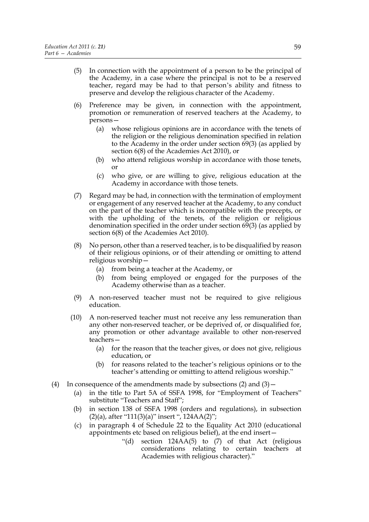- (5) In connection with the appointment of a person to be the principal of the Academy, in a case where the principal is not to be a reserved teacher, regard may be had to that person's ability and fitness to preserve and develop the religious character of the Academy.
- (6) Preference may be given, in connection with the appointment, promotion or remuneration of reserved teachers at the Academy, to persons—
	- (a) whose religious opinions are in accordance with the tenets of the religion or the religious denomination specified in relation to the Academy in the order under section 69(3) (as applied by section 6(8) of the Academies Act 2010), or
	- (b) who attend religious worship in accordance with those tenets, or
	- (c) who give, or are willing to give, religious education at the Academy in accordance with those tenets.
- (7) Regard may be had, in connection with the termination of employment or engagement of any reserved teacher at the Academy, to any conduct on the part of the teacher which is incompatible with the precepts, or with the upholding of the tenets, of the religion or religious denomination specified in the order under section 69(3) (as applied by section 6(8) of the Academies Act 2010).
- (8) No person, other than a reserved teacher, is to be disqualified by reason of their religious opinions, or of their attending or omitting to attend religious worship—
	- (a) from being a teacher at the Academy, or
	- (b) from being employed or engaged for the purposes of the Academy otherwise than as a teacher.
- (9) A non-reserved teacher must not be required to give religious education.
- (10) A non-reserved teacher must not receive any less remuneration than any other non-reserved teacher, or be deprived of, or disqualified for, any promotion or other advantage available to other non-reserved teachers—
	- (a) for the reason that the teacher gives, or does not give, religious education, or
	- (b) for reasons related to the teacher's religious opinions or to the teacher's attending or omitting to attend religious worship."
- (4) In consequence of the amendments made by subsections  $(2)$  and  $(3)$  -
	- (a) in the title to Part 5A of SSFA 1998, for "Employment of Teachers" substitute "Teachers and Staff";
	- (b) in section 138 of SSFA 1998 (orders and regulations), in subsection (2)(a), after "111(3)(a)" insert ", 124AA(2)";
	- (c) in paragraph 4 of Schedule 22 to the Equality Act 2010 (educational appointments etc based on religious belief), at the end insert—
		- "(d) section 124AA(5) to (7) of that Act (religious considerations relating to certain teachers at Academies with religious character)."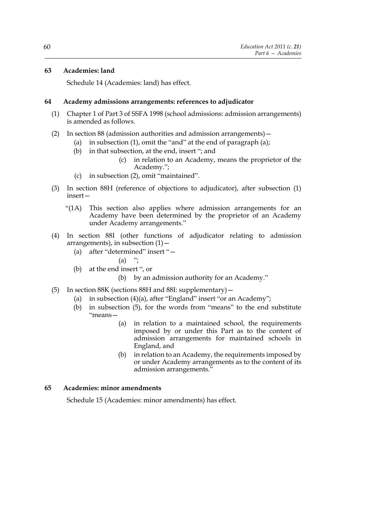## **63 Academies: land**

Schedule 14 (Academies: land) has effect.

#### **64 Academy admissions arrangements: references to adjudicator**

- (1) Chapter 1 of Part 3 of SSFA 1998 (school admissions: admission arrangements) is amended as follows.
- (2) In section 88 (admission authorities and admission arrangements)—
	- (a) in subsection  $(1)$ , omit the "and" at the end of paragraph  $(a)$ ;
	- (b) in that subsection, at the end, insert "; and
		- (c) in relation to an Academy, means the proprietor of the Academy.";
	- (c) in subsection (2), omit "maintained".
- (3) In section 88H (reference of objections to adjudicator), after subsection (1) insert—
	- "(1A) This section also applies where admission arrangements for an Academy have been determined by the proprietor of an Academy under Academy arrangements."
- (4) In section 88I (other functions of adjudicator relating to admission arrangements), in subsection  $(1)$  -
	- (a) after "determined" insert "—

$$
(a) \t";
$$

- (b) at the end insert ", or
	- (b) by an admission authority for an Academy."
- (5) In section 88K (sections 88H and 88I: supplementary)—
	- (a) in subsection (4)(a), after "England" insert "or an Academy";
	- (b) in subsection (5), for the words from "means" to the end substitute "means—
		- (a) in relation to a maintained school, the requirements imposed by or under this Part as to the content of admission arrangements for maintained schools in England, and
		- (b) in relation to an Academy, the requirements imposed by or under Academy arrangements as to the content of its admission arrangements."

#### **65 Academies: minor amendments**

Schedule 15 (Academies: minor amendments) has effect.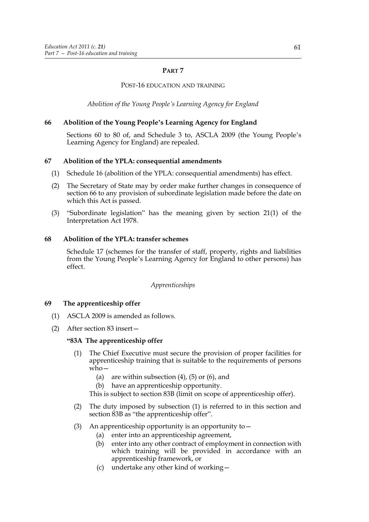## **PART 7**

## POST-16 EDUCATION AND TRAINING

*Abolition of the Young People's Learning Agency for England*

# **66 Abolition of the Young People's Learning Agency for England**

Sections 60 to 80 of, and Schedule 3 to, ASCLA 2009 (the Young People's Learning Agency for England) are repealed.

# **67 Abolition of the YPLA: consequential amendments**

- (1) Schedule 16 (abolition of the YPLA: consequential amendments) has effect.
- (2) The Secretary of State may by order make further changes in consequence of section 66 to any provision of subordinate legislation made before the date on which this Act is passed.
- (3) "Subordinate legislation" has the meaning given by section 21(1) of the Interpretation Act 1978.

## **68 Abolition of the YPLA: transfer schemes**

Schedule 17 (schemes for the transfer of staff, property, rights and liabilities from the Young People's Learning Agency for England to other persons) has effect.

# *Apprenticeships*

# **69 The apprenticeship offer**

- (1) ASCLA 2009 is amended as follows.
- (2) After section 83 insert—

## **"83A The apprenticeship offer**

- (1) The Chief Executive must secure the provision of proper facilities for apprenticeship training that is suitable to the requirements of persons who—
	- (a) are within subsection  $(4)$ ,  $(5)$  or  $(6)$ , and
	- (b) have an apprenticeship opportunity.

This is subject to section 83B (limit on scope of apprenticeship offer).

- (2) The duty imposed by subsection (1) is referred to in this section and section 83B as "the apprenticeship offer".
- (3) An apprenticeship opportunity is an opportunity to  $-$ 
	- (a) enter into an apprenticeship agreement,
	- (b) enter into any other contract of employment in connection with which training will be provided in accordance with an apprenticeship framework, or
	- (c) undertake any other kind of working—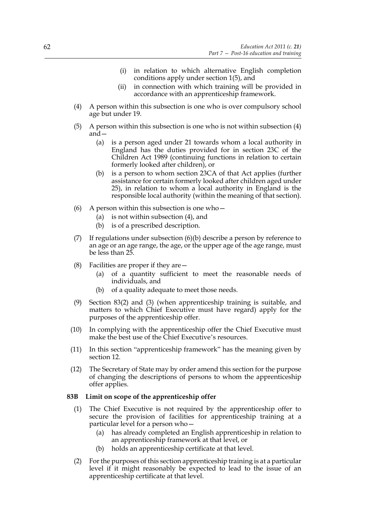- (i) in relation to which alternative English completion conditions apply under section 1(5), and
- (ii) in connection with which training will be provided in accordance with an apprenticeship framework.
- (4) A person within this subsection is one who is over compulsory school age but under 19.
- (5) A person within this subsection is one who is not within subsection (4) and—
	- (a) is a person aged under 21 towards whom a local authority in England has the duties provided for in section 23C of the Children Act 1989 (continuing functions in relation to certain formerly looked after children), or
	- (b) is a person to whom section 23CA of that Act applies (further assistance for certain formerly looked after children aged under 25), in relation to whom a local authority in England is the responsible local authority (within the meaning of that section).
- (6) A person within this subsection is one who  $-$ 
	- (a) is not within subsection (4), and
	- (b) is of a prescribed description.
- (7) If regulations under subsection (6)(b) describe a person by reference to an age or an age range, the age, or the upper age of the age range, must be less than 25.
- (8) Facilities are proper if they are—
	- (a) of a quantity sufficient to meet the reasonable needs of individuals, and
	- (b) of a quality adequate to meet those needs.
- (9) Section 83(2) and (3) (when apprenticeship training is suitable, and matters to which Chief Executive must have regard) apply for the purposes of the apprenticeship offer.
- (10) In complying with the apprenticeship offer the Chief Executive must make the best use of the Chief Executive's resources.
- (11) In this section "apprenticeship framework" has the meaning given by section 12.
- (12) The Secretary of State may by order amend this section for the purpose of changing the descriptions of persons to whom the apprenticeship offer applies.

#### **83B Limit on scope of the apprenticeship offer**

- (1) The Chief Executive is not required by the apprenticeship offer to secure the provision of facilities for apprenticeship training at a particular level for a person who—
	- (a) has already completed an English apprenticeship in relation to an apprenticeship framework at that level, or
	- (b) holds an apprenticeship certificate at that level.
- (2) For the purposes of this section apprenticeship training is at a particular level if it might reasonably be expected to lead to the issue of an apprenticeship certificate at that level.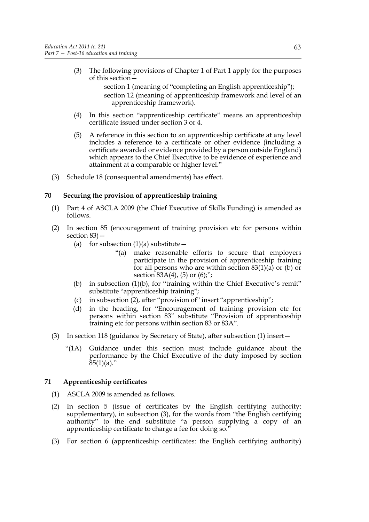- (3) The following provisions of Chapter 1 of Part 1 apply for the purposes of this section
	- section 1 (meaning of "completing an English apprenticeship"); section 12 (meaning of apprenticeship framework and level of an apprenticeship framework).
- (4) In this section "apprenticeship certificate" means an apprenticeship certificate issued under section 3 or 4.
- (5) A reference in this section to an apprenticeship certificate at any level includes a reference to a certificate or other evidence (including a certificate awarded or evidence provided by a person outside England) which appears to the Chief Executive to be evidence of experience and attainment at a comparable or higher level."
- (3) Schedule 18 (consequential amendments) has effect.

## **70 Securing the provision of apprenticeship training**

- (1) Part 4 of ASCLA 2009 (the Chief Executive of Skills Funding) is amended as follows.
- (2) In section 85 (encouragement of training provision etc for persons within section 83)—
	- (a) for subsection  $(1)(a)$  substitute
		- "(a) make reasonable efforts to secure that employers participate in the provision of apprenticeship training for all persons who are within section 83(1)(a) or (b) or section 83A(4), (5) or (6);";
	- (b) in subsection  $(1)(b)$ , for "training within the Chief Executive's remit" substitute "apprenticeship training";
	- (c) in subsection (2), after "provision of" insert "apprenticeship";
	- (d) in the heading, for "Encouragement of training provision etc for persons within section 83" substitute "Provision of apprenticeship training etc for persons within section 83 or 83A".
- (3) In section 118 (guidance by Secretary of State), after subsection (1) insert—
	- "(1A) Guidance under this section must include guidance about the performance by the Chief Executive of the duty imposed by section  $85(1)(a)$ ."

# **71 Apprenticeship certificates**

- (1) ASCLA 2009 is amended as follows.
- (2) In section 5 (issue of certificates by the English certifying authority: supplementary), in subsection (3), for the words from "the English certifying authority" to the end substitute "a person supplying a copy of an apprenticeship certificate to charge a fee for doing so."
- (3) For section 6 (apprenticeship certificates: the English certifying authority)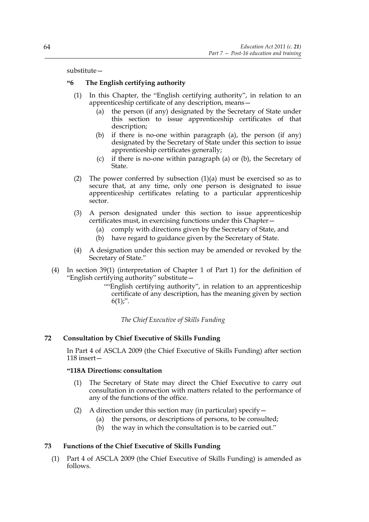#### substitute—

## **"6 The English certifying authority**

- (1) In this Chapter, the "English certifying authority", in relation to an apprenticeship certificate of any description, means—
	- (a) the person (if any) designated by the Secretary of State under this section to issue apprenticeship certificates of that description;
	- (b) if there is no-one within paragraph (a), the person (if any) designated by the Secretary of State under this section to issue apprenticeship certificates generally;
	- (c) if there is no-one within paragraph (a) or (b), the Secretary of State.
- (2) The power conferred by subsection (1)(a) must be exercised so as to secure that, at any time, only one person is designated to issue apprenticeship certificates relating to a particular apprenticeship sector.
- (3) A person designated under this section to issue apprenticeship certificates must, in exercising functions under this Chapter—
	- (a) comply with directions given by the Secretary of State, and
	- (b) have regard to guidance given by the Secretary of State.
- (4) A designation under this section may be amended or revoked by the Secretary of State."
- (4) In section 39(1) (interpretation of Chapter 1 of Part 1) for the definition of "English certifying authority" substitute—
	- ""English certifying authority", in relation to an apprenticeship certificate of any description, has the meaning given by section  $6(1)$ ;".

*The Chief Executive of Skills Funding*

## **72 Consultation by Chief Executive of Skills Funding**

In Part 4 of ASCLA 2009 (the Chief Executive of Skills Funding) after section 118 insert—

## **"118A Directions: consultation**

- (1) The Secretary of State may direct the Chief Executive to carry out consultation in connection with matters related to the performance of any of the functions of the office.
- (2) A direction under this section may (in particular) specify  $-$ 
	- (a) the persons, or descriptions of persons, to be consulted;
	- (b) the way in which the consultation is to be carried out."

## **73 Functions of the Chief Executive of Skills Funding**

(1) Part 4 of ASCLA 2009 (the Chief Executive of Skills Funding) is amended as follows.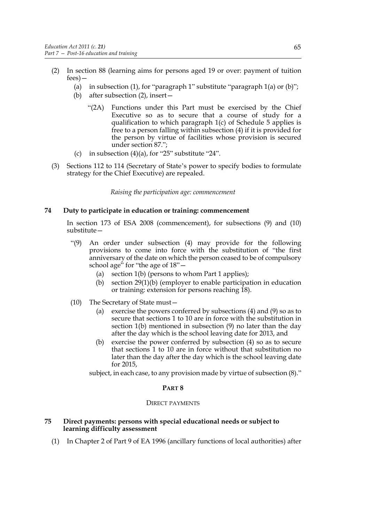- (2) In section 88 (learning aims for persons aged 19 or over: payment of tuition fees)—
	- (a) in subsection (1), for "paragraph 1" substitute "paragraph  $1(a)$  or  $(b)$ ";
	- (b) after subsection (2), insert—
		- "(2A) Functions under this Part must be exercised by the Chief Executive so as to secure that a course of study for a qualification to which paragraph 1(c) of Schedule 5 applies is free to a person falling within subsection (4) if it is provided for the person by virtue of facilities whose provision is secured under section 87.";
	- (c) in subsection  $(4)(a)$ , for "25" substitute "24".
- (3) Sections 112 to 114 (Secretary of State's power to specify bodies to formulate strategy for the Chief Executive) are repealed.

*Raising the participation age: commencement*

## **74 Duty to participate in education or training: commencement**

In section 173 of ESA 2008 (commencement), for subsections (9) and (10) substitute—

- "(9) An order under subsection (4) may provide for the following provisions to come into force with the substitution of "the first anniversary of the date on which the person ceased to be of compulsory school age" for "the age of  $18"$  -
	- (a) section 1(b) (persons to whom Part 1 applies);
	- (b) section 29(1)(b) (employer to enable participation in education or training: extension for persons reaching 18).
- (10) The Secretary of State must—
	- (a) exercise the powers conferred by subsections (4) and (9) so as to secure that sections 1 to 10 are in force with the substitution in section 1(b) mentioned in subsection (9) no later than the day after the day which is the school leaving date for 2013, and
	- (b) exercise the power conferred by subsection (4) so as to secure that sections 1 to 10 are in force without that substitution no later than the day after the day which is the school leaving date for 2015,

subject, in each case, to any provision made by virtue of subsection (8)."

#### **PART 8**

#### DIRECT PAYMENTS

## **75 Direct payments: persons with special educational needs or subject to learning difficulty assessment**

(1) In Chapter 2 of Part 9 of EA 1996 (ancillary functions of local authorities) after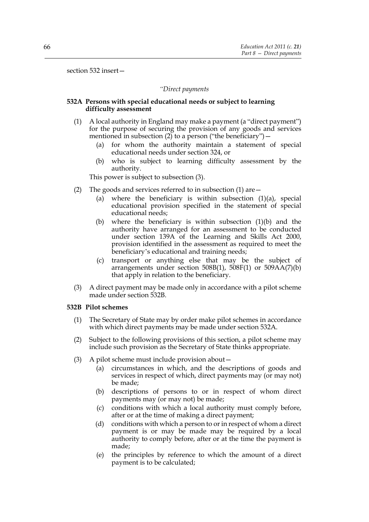section 532 insert—

#### *"Direct payments*

#### **532A Persons with special educational needs or subject to learning difficulty assessment**

- (1) A local authority in England may make a payment (a "direct payment") for the purpose of securing the provision of any goods and services mentioned in subsection  $(2)$  to a person ("the beneficiary") –
	- (a) for whom the authority maintain a statement of special educational needs under section 324, or
	- (b) who is subject to learning difficulty assessment by the authority.

This power is subject to subsection (3).

- (2) The goods and services referred to in subsection  $(1)$  are  $-$ 
	- (a) where the beneficiary is within subsection (1)(a), special educational provision specified in the statement of special educational needs;
	- (b) where the beneficiary is within subsection (1)(b) and the authority have arranged for an assessment to be conducted under section 139A of the Learning and Skills Act 2000, provision identified in the assessment as required to meet the beneficiary's educational and training needs;
	- (c) transport or anything else that may be the subject of arrangements under section  $508B(1)$ ,  $508F(1)$  or  $509AA(7)(b)$ that apply in relation to the beneficiary.
- (3) A direct payment may be made only in accordance with a pilot scheme made under section 532B.

#### **532B Pilot schemes**

- (1) The Secretary of State may by order make pilot schemes in accordance with which direct payments may be made under section 532A.
- (2) Subject to the following provisions of this section, a pilot scheme may include such provision as the Secretary of State thinks appropriate.
- (3) A pilot scheme must include provision about—
	- (a) circumstances in which, and the descriptions of goods and services in respect of which, direct payments may (or may not) be made;
	- (b) descriptions of persons to or in respect of whom direct payments may (or may not) be made;
	- (c) conditions with which a local authority must comply before, after or at the time of making a direct payment;
	- (d) conditions with which a person to or in respect of whom a direct payment is or may be made may be required by a local authority to comply before, after or at the time the payment is made;
	- (e) the principles by reference to which the amount of a direct payment is to be calculated;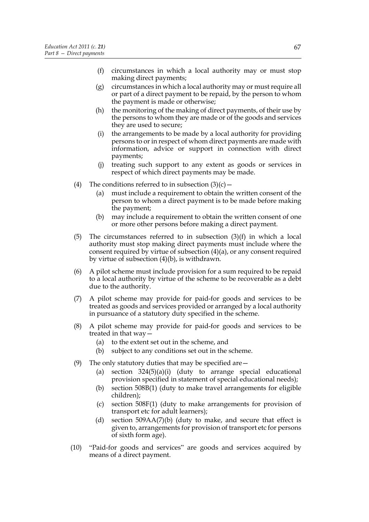- (f) circumstances in which a local authority may or must stop making direct payments;
- (g) circumstances in which a local authority may or must require all or part of a direct payment to be repaid, by the person to whom the payment is made or otherwise;
- (h) the monitoring of the making of direct payments, of their use by the persons to whom they are made or of the goods and services they are used to secure;
- (i) the arrangements to be made by a local authority for providing persons to or in respect of whom direct payments are made with information, advice or support in connection with direct payments;
- (j) treating such support to any extent as goods or services in respect of which direct payments may be made.
- (4) The conditions referred to in subsection  $(3)(c)$ 
	- (a) must include a requirement to obtain the written consent of the person to whom a direct payment is to be made before making the payment;
	- (b) may include a requirement to obtain the written consent of one or more other persons before making a direct payment.
- (5) The circumstances referred to in subsection  $(3)(f)$  in which a local authority must stop making direct payments must include where the consent required by virtue of subsection (4)(a), or any consent required by virtue of subsection (4)(b), is withdrawn.
- (6) A pilot scheme must include provision for a sum required to be repaid to a local authority by virtue of the scheme to be recoverable as a debt due to the authority.
- (7) A pilot scheme may provide for paid-for goods and services to be treated as goods and services provided or arranged by a local authority in pursuance of a statutory duty specified in the scheme.
- (8) A pilot scheme may provide for paid-for goods and services to be treated in that way—
	- (a) to the extent set out in the scheme, and
	- (b) subject to any conditions set out in the scheme.
- (9) The only statutory duties that may be specified are—
	- (a) section 324(5)(a)(i) (duty to arrange special educational provision specified in statement of special educational needs);
	- (b) section 508B(1) (duty to make travel arrangements for eligible children);
	- (c) section 508F(1) (duty to make arrangements for provision of transport etc for adult learners);
	- (d) section  $509AA(7)$ (b) (duty to make, and secure that effect is given to, arrangements for provision of transport etc for persons of sixth form age).
- (10) "Paid-for goods and services" are goods and services acquired by means of a direct payment.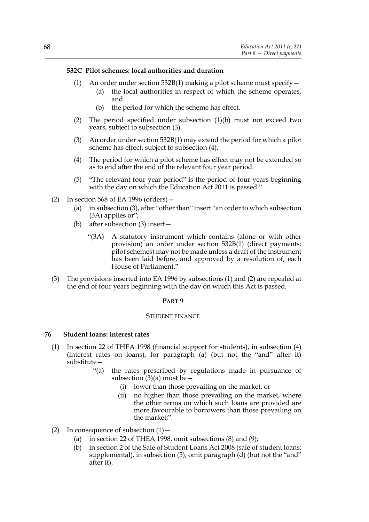#### **532C Pilot schemes: local authorities and duration**

- (1) An order under section 532B(1) making a pilot scheme must specify  $-$ 
	- (a) the local authorities in respect of which the scheme operates, and
		- (b) the period for which the scheme has effect.
- (2) The period specified under subsection (1)(b) must not exceed two years, subject to subsection (3).
- (3) An order under section 532B(1) may extend the period for which a pilot scheme has effect, subject to subsection (4).
- (4) The period for which a pilot scheme has effect may not be extended so as to end after the end of the relevant four year period.
- (5) "The relevant four year period" is the period of four years beginning with the day on which the Education Act 2011 is passed."
- (2) In section 568 of EA 1996 (orders)—
	- (a) in subsection (3), after "other than" insert "an order to which subsection (3A) applies or";
	- (b) after subsection (3) insert—
		- "(3A) A statutory instrument which contains (alone or with other provision) an order under section 532B(1) (direct payments: pilot schemes) may not be made unless a draft of the instrument has been laid before, and approved by a resolution of, each House of Parliament."
- (3) The provisions inserted into EA 1996 by subsections (1) and (2) are repealed at the end of four years beginning with the day on which this Act is passed.

## **PART 9**

#### STUDENT FINANCE

#### **76 Student loans: interest rates**

- (1) In section 22 of THEA 1998 (financial support for students), in subsection (4) (interest rates on loans), for paragraph (a) (but not the "and" after it) substitute—
	- "(a) the rates prescribed by regulations made in pursuance of subsection  $(3)(a)$  must be -
		- (i) lower than those prevailing on the market, or
		- (ii) no higher than those prevailing on the market, where the other terms on which such loans are provided are more favourable to borrowers than those prevailing on the market;".
- (2) In consequence of subsection  $(1)$ 
	- (a) in section 22 of THEA 1998, omit subsections (8) and (9);
	- (b) in section 2 of the Sale of Student Loans Act 2008 (sale of student loans: supplemental), in subsection (5), omit paragraph (d) (but not the "and" after it).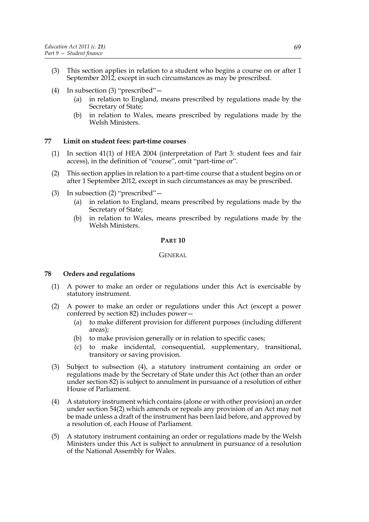- (3) This section applies in relation to a student who begins a course on or after 1 September 2012, except in such circumstances as may be prescribed.
- (4) In subsection (3) "prescribed"—
	- (a) in relation to England, means prescribed by regulations made by the Secretary of State;
	- (b) in relation to Wales, means prescribed by regulations made by the Welsh Ministers.

## **77 Limit on student fees: part-time courses**

- (1) In section 41(1) of HEA 2004 (interpretation of Part 3: student fees and fair access), in the definition of "course", omit "part-time or".
- (2) This section applies in relation to a part-time course that a student begins on or after 1 September 2012, except in such circumstances as may be prescribed.
- (3) In subsection (2) "prescribed"—
	- (a) in relation to England, means prescribed by regulations made by the Secretary of State;
	- (b) in relation to Wales, means prescribed by regulations made by the Welsh Ministers.

#### **PART 10**

GENERAL

## **78 Orders and regulations**

- (1) A power to make an order or regulations under this Act is exercisable by statutory instrument.
- (2) A power to make an order or regulations under this Act (except a power conferred by section 82) includes power—
	- (a) to make different provision for different purposes (including different areas);
	- (b) to make provision generally or in relation to specific cases;
	- (c) to make incidental, consequential, supplementary, transitional, transitory or saving provision.
- (3) Subject to subsection (4), a statutory instrument containing an order or regulations made by the Secretary of State under this Act (other than an order under section 82) is subject to annulment in pursuance of a resolution of either House of Parliament.
- (4) A statutory instrument which contains (alone or with other provision) an order under section 54(2) which amends or repeals any provision of an Act may not be made unless a draft of the instrument has been laid before, and approved by a resolution of, each House of Parliament.
- (5) A statutory instrument containing an order or regulations made by the Welsh Ministers under this Act is subject to annulment in pursuance of a resolution of the National Assembly for Wales.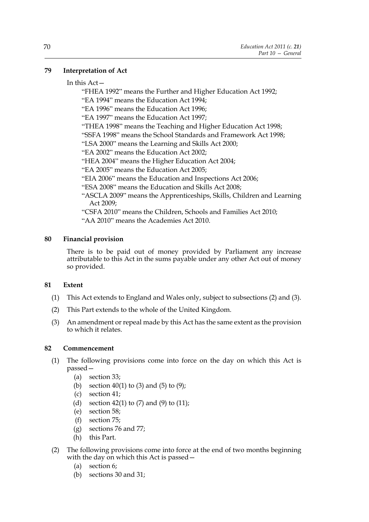## **79 Interpretation of Act**

#### In this Act—

"FHEA 1992" means the Further and Higher Education Act 1992; "EA 1994" means the Education Act 1994; "EA 1996" means the Education Act 1996; "EA 1997" means the Education Act 1997; "THEA 1998" means the Teaching and Higher Education Act 1998; "SSFA 1998" means the School Standards and Framework Act 1998; "LSA 2000" means the Learning and Skills Act 2000; "EA 2002" means the Education Act 2002; "HEA 2004" means the Higher Education Act 2004; "EA 2005" means the Education Act 2005; "EIA 2006" means the Education and Inspections Act 2006; "ESA 2008" means the Education and Skills Act 2008; "ASCLA 2009" means the Apprenticeships, Skills, Children and Learning Act 2009; "CSFA 2010" means the Children, Schools and Families Act 2010; "AA 2010" means the Academies Act 2010.

#### **80 Financial provision**

There is to be paid out of money provided by Parliament any increase attributable to this Act in the sums payable under any other Act out of money so provided.

## **81 Extent**

- (1) This Act extends to England and Wales only, subject to subsections (2) and (3).
- (2) This Part extends to the whole of the United Kingdom.
- (3) An amendment or repeal made by this Act has the same extent as the provision to which it relates.

#### **82 Commencement**

- (1) The following provisions come into force on the day on which this Act is passed—
	- (a) section 33;
	- (b) section 40(1) to (3) and (5) to (9);
	- (c) section 41;
	- (d) section 42(1) to  $(7)$  and  $(9)$  to  $(11)$ ;
	- (e) section 58;
	- (f) section 75;
	- (g) sections 76 and 77;
	- (h) this Part.
- (2) The following provisions come into force at the end of two months beginning with the day on which this Act is passed—
	- (a) section 6;
	- (b) sections 30 and 31;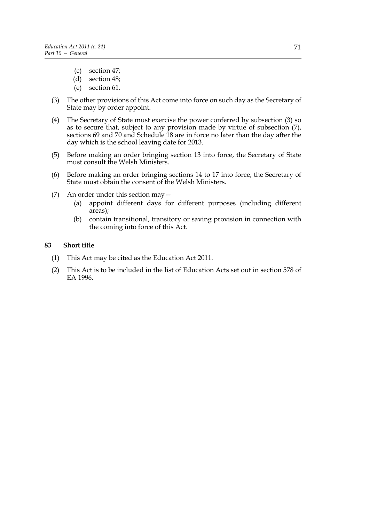- (c) section 47;
- (d) section 48;
- (e) section 61.
- (3) The other provisions of this Act come into force on such day as the Secretary of State may by order appoint.
- (4) The Secretary of State must exercise the power conferred by subsection (3) so as to secure that, subject to any provision made by virtue of subsection (7), sections 69 and 70 and Schedule 18 are in force no later than the day after the day which is the school leaving date for 2013.
- (5) Before making an order bringing section 13 into force, the Secretary of State must consult the Welsh Ministers.
- (6) Before making an order bringing sections 14 to 17 into force, the Secretary of State must obtain the consent of the Welsh Ministers.
- (7) An order under this section may—
	- (a) appoint different days for different purposes (including different areas);
	- (b) contain transitional, transitory or saving provision in connection with the coming into force of this Act.

#### **83 Short title**

- (1) This Act may be cited as the Education Act 2011.
- (2) This Act is to be included in the list of Education Acts set out in section 578 of EA 1996.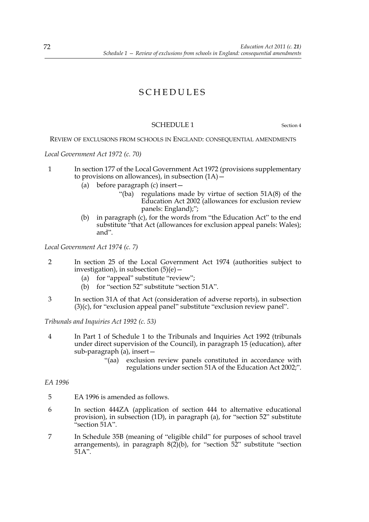# SCHEDULES

## SCHEDULE 1 Section 4

REVIEW OF EXCLUSIONS FROM SCHOOLS IN ENGLAND: CONSEQUENTIAL AMENDMENTS

*Local Government Act 1972 (c. 70)*

- 1 In section 177 of the Local Government Act 1972 (provisions supplementary to provisions on allowances), in subsection  $(1A)$  –
	- (a) before paragraph (c) insert—
		- "(ba) regulations made by virtue of section 51A(8) of the Education Act 2002 (allowances for exclusion review panels: England);";
	- (b) in paragraph (c), for the words from "the Education Act" to the end substitute "that Act (allowances for exclusion appeal panels: Wales); and".

*Local Government Act 1974 (c. 7)*

- 2 In section 25 of the Local Government Act 1974 (authorities subject to investigation), in subsection  $(5)(e)$  –
	- (a) for "appeal" substitute "review";
	- (b) for "section 52" substitute "section 51A".
- 3 In section 31A of that Act (consideration of adverse reports), in subsection (3)(c), for "exclusion appeal panel" substitute "exclusion review panel".

*Tribunals and Inquiries Act 1992 (c. 53)*

- 4 In Part 1 of Schedule 1 to the Tribunals and Inquiries Act 1992 (tribunals under direct supervision of the Council), in paragraph 15 (education), after sub-paragraph (a), insert—
	- "(aa) exclusion review panels constituted in accordance with regulations under section 51A of the Education Act 2002;".

*EA 1996*

- 5 EA 1996 is amended as follows.
- 6 In section 444ZA (application of section 444 to alternative educational provision), in subsection (1D), in paragraph (a), for "section 52" substitute "section 51A".
- 7 In Schedule 35B (meaning of "eligible child" for purposes of school travel arrangements), in paragraph  $8(2)(b)$ , for "section  $52$ " substitute "section  $51A"$ .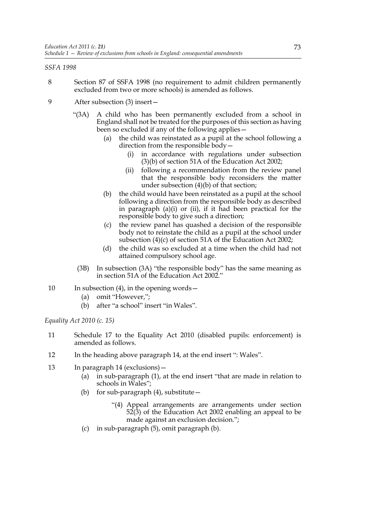## *SSFA 1998*

- 8 Section 87 of SSFA 1998 (no requirement to admit children permanently excluded from two or more schools) is amended as follows.
- 9 After subsection (3) insert—
	- "(3A) A child who has been permanently excluded from a school in England shall not be treated for the purposes of this section as having been so excluded if any of the following applies—
		- (a) the child was reinstated as a pupil at the school following a direction from the responsible body
			- in accordance with regulations under subsection (3)(b) of section 51A of the Education Act 2002;
			- (ii) following a recommendation from the review panel that the responsible body reconsiders the matter under subsection (4)(b) of that section;
		- (b) the child would have been reinstated as a pupil at the school following a direction from the responsible body as described in paragraph (a)(i) or (ii), if it had been practical for the responsible body to give such a direction;
		- (c) the review panel has quashed a decision of the responsible body not to reinstate the child as a pupil at the school under subsection (4)(c) of section 51A of the Education Act 2002;
		- (d) the child was so excluded at a time when the child had not attained compulsory school age.
		- (3B) In subsection (3A) "the responsible body" has the same meaning as in section 51A of the Education Act 2002."
- 10 In subsection (4), in the opening words
	- (a) omit "However,";
	- (b) after "a school" insert "in Wales".

*Equality Act 2010 (c. 15)*

- 11 Schedule 17 to the Equality Act 2010 (disabled pupils: enforcement) is amended as follows.
- 12 In the heading above paragraph 14, at the end insert ": Wales".
- 13 In paragraph 14 (exclusions)—
	- (a) in sub-paragraph (1), at the end insert "that are made in relation to schools in Wales";
	- (b) for sub-paragraph  $(4)$ , substitute  $-$ 
		- "(4) Appeal arrangements are arrangements under section  $52(3)$  of the Education Act 2002 enabling an appeal to be made against an exclusion decision.";
	- (c) in sub-paragraph (5), omit paragraph (b).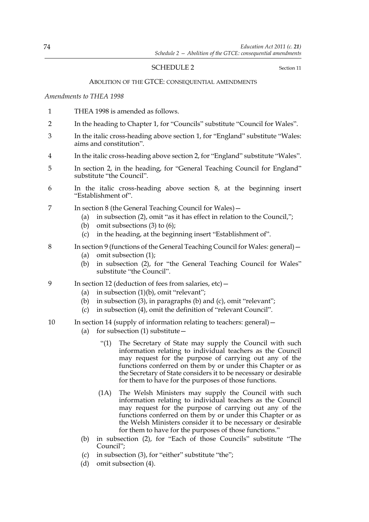## SCHEDULE 2 Section 11

#### ABOLITION OF THE GTCE: CONSEQUENTIAL AMENDMENTS

#### *Amendments to THEA 1998*

- 1 THEA 1998 is amended as follows.
- 2 In the heading to Chapter 1, for "Councils" substitute "Council for Wales".
- 3 In the italic cross-heading above section 1, for "England" substitute "Wales: aims and constitution".
- 4 In the italic cross-heading above section 2, for "England" substitute "Wales".
- 5 In section 2, in the heading, for "General Teaching Council for England" substitute "the Council".
- 6 In the italic cross-heading above section 8, at the beginning insert "Establishment of".
- 7 In section 8 (the General Teaching Council for Wales)—
	- (a) in subsection (2), omit "as it has effect in relation to the Council,";
	- (b) omit subsections (3) to (6);
	- (c) in the heading, at the beginning insert "Establishment of".
- 8 In section 9 (functions of the General Teaching Council for Wales: general)—
	- (a) omit subsection (1);
	- (b) in subsection (2), for "the General Teaching Council for Wales" substitute "the Council".
- 9 In section 12 (deduction of fees from salaries, etc)
	- (a) in subsection  $(1)(b)$ , omit "relevant";
	- (b) in subsection (3), in paragraphs (b) and (c), omit "relevant";
	- (c) in subsection (4), omit the definition of "relevant Council".
- 10 In section 14 (supply of information relating to teachers: general)—
	- (a) for subsection  $(1)$  substitute  $-$ 
		- "(1) The Secretary of State may supply the Council with such information relating to individual teachers as the Council may request for the purpose of carrying out any of the functions conferred on them by or under this Chapter or as the Secretary of State considers it to be necessary or desirable for them to have for the purposes of those functions.
		- (1A) The Welsh Ministers may supply the Council with such information relating to individual teachers as the Council may request for the purpose of carrying out any of the functions conferred on them by or under this Chapter or as the Welsh Ministers consider it to be necessary or desirable for them to have for the purposes of those functions."
	- (b) in subsection (2), for "Each of those Councils" substitute "The Council";
	- (c) in subsection (3), for "either" substitute "the";
	- (d) omit subsection (4).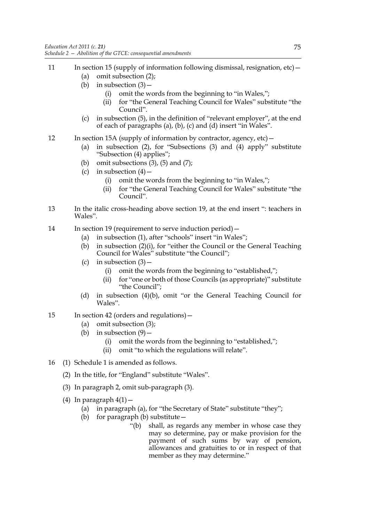- 11 In section 15 (supply of information following dismissal, resignation, etc)
	- (a) omit subsection (2);
	- (b) in subsection  $(3)$  -
		- (i) omit the words from the beginning to "in Wales,";
		- (ii) for "the General Teaching Council for Wales" substitute "the Council".
	- (c) in subsection (5), in the definition of "relevant employer", at the end of each of paragraphs (a), (b), (c) and (d) insert "in Wales".
- 12 In section 15A (supply of information by contractor, agency, etc)
	- (a) in subsection (2), for "Subsections (3) and (4) apply" substitute "Subsection (4) applies";
	- (b) omit subsections  $(3)$ ,  $(5)$  and  $(7)$ ;
	- (c) in subsection  $(4)$ 
		- (i) omit the words from the beginning to "in Wales,";
		- (ii) for "the General Teaching Council for Wales" substitute "the Council".
- 13 In the italic cross-heading above section 19, at the end insert ": teachers in Wales".
- 14 In section 19 (requirement to serve induction period)—
	- (a) in subsection (1), after "schools" insert "in Wales";
	- (b) in subsection (2)(i), for "either the Council or the General Teaching Council for Wales" substitute "the Council";
	- (c) in subsection  $(3)$ 
		- (i) omit the words from the beginning to "established,";
		- (ii) for "one or both of those Councils (as appropriate)" substitute "the Council";
	- (d) in subsection (4)(b), omit "or the General Teaching Council for Wales".
- 15 In section 42 (orders and regulations)—
	- (a) omit subsection (3);
	- (b) in subsection  $(9)$ 
		- (i) omit the words from the beginning to "established,";
		- (ii) omit "to which the regulations will relate".
- 16 (1) Schedule 1 is amended as follows.
	- (2) In the title, for "England" substitute "Wales".
	- (3) In paragraph 2, omit sub-paragraph (3).
	- (4) In paragraph  $4(1)$  -
		- (a) in paragraph (a), for "the Secretary of State" substitute "they";
		- (b) for paragraph (b) substitute—
			- "(b) shall, as regards any member in whose case they may so determine, pay or make provision for the payment of such sums by way of pension, allowances and gratuities to or in respect of that member as they may determine."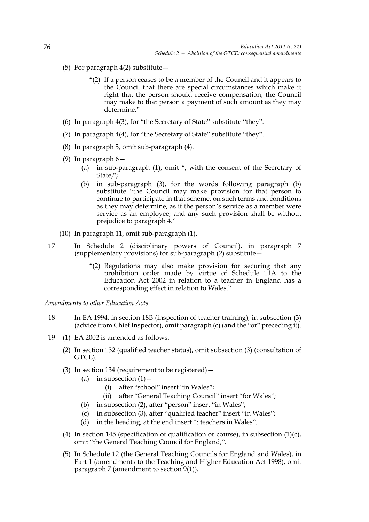- (5) For paragraph  $4(2)$  substitute
	- "(2) If a person ceases to be a member of the Council and it appears to the Council that there are special circumstances which make it right that the person should receive compensation, the Council may make to that person a payment of such amount as they may determine."
- (6) In paragraph 4(3), for "the Secretary of State" substitute "they".
- (7) In paragraph 4(4), for "the Secretary of State" substitute "they".
- (8) In paragraph 5, omit sub-paragraph (4).
- (9) In paragraph 6—
	- (a) in sub-paragraph (1), omit ", with the consent of the Secretary of State,";
	- (b) in sub-paragraph (3), for the words following paragraph (b) substitute "the Council may make provision for that person to continue to participate in that scheme, on such terms and conditions as they may determine, as if the person's service as a member were service as an employee; and any such provision shall be without prejudice to paragraph 4."
- (10) In paragraph 11, omit sub-paragraph (1).
- 17 In Schedule 2 (disciplinary powers of Council), in paragraph 7 (supplementary provisions) for sub-paragraph  $(2)$  substitute  $-$ 
	- "(2) Regulations may also make provision for securing that any prohibition order made by virtue of Schedule 11A to the Education Act 2002 in relation to a teacher in England has a corresponding effect in relation to Wales."

*Amendments to other Education Acts*

- 18 In EA 1994, in section 18B (inspection of teacher training), in subsection (3) (advice from Chief Inspector), omit paragraph (c) (and the "or" preceding it).
- 19 (1) EA 2002 is amended as follows.
	- (2) In section 132 (qualified teacher status), omit subsection (3) (consultation of GTCE).
	- (3) In section 134 (requirement to be registered)—
		- (a) in subsection  $(1)$  -
			- (i) after "school" insert "in Wales";
			- (ii) after "General Teaching Council" insert "for Wales";
		- (b) in subsection (2), after "person" insert "in Wales";
		- (c) in subsection (3), after "qualified teacher" insert "in Wales";
		- (d) in the heading, at the end insert ": teachers in Wales".
	- (4) In section 145 (specification of qualification or course), in subsection (1)(c), omit "the General Teaching Council for England,".
	- (5) In Schedule 12 (the General Teaching Councils for England and Wales), in Part 1 (amendments to the Teaching and Higher Education Act 1998), omit paragraph 7 (amendment to section 9(1)).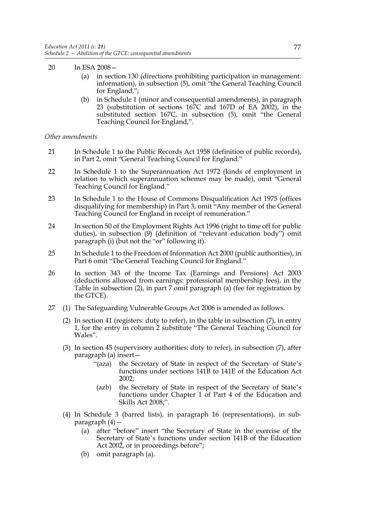- 20 In ESA 2008—
	- (a) in section 130 (directions prohibiting participation in management: information), in subsection (5), omit "the General Teaching Council for England,";
	- (b) in Schedule 1 (minor and consequential amendments), in paragraph 23 (substitution of sections 167C and 167D of EA 2002), in the substituted section 167C, in subsection (5), omit "the General Teaching Council for England,".

#### *Other amendments*

- 21 In Schedule 1 to the Public Records Act 1958 (definition of public records), in Part 2, omit "General Teaching Council for England."
- 22 In Schedule 1 to the Superannuation Act 1972 (kinds of employment in relation to which superannuation schemes may be made), omit "General Teaching Council for England."
- 23 In Schedule 1 to the House of Commons Disqualification Act 1975 (offices disqualifying for membership) in Part 3, omit "Any member of the General Teaching Council for England in receipt of remuneration."
- 24 In section 50 of the Employment Rights Act 1996 (right to time off for public duties), in subsection (9) (definition of "relevant education body") omit paragraph (i) (but not the "or" following it).
- 25 In Schedule 1 to the Freedom of Information Act 2000 (public authorities), in Part 6 omit "The General Teaching Council for England."
- 26 In section 343 of the Income Tax (Earnings and Pensions) Act 2003 (deductions allowed from earnings: professional membership fees), in the Table in subsection (2), in part 7 omit paragraph (a) (fee for registration by the GTCE).
- 27 (1) The Safeguarding Vulnerable Groups Act 2006 is amended as follows.
	- (2) In section 41 (registers: duty to refer), in the table in subsection (7), in entry 1, for the entry in column 2 substitute "The General Teaching Council for Wales".
	- (3) In section 45 (supervisory authorities: duty to refer), in subsection (7), after paragraph (a) insert—
		- "(aza) the Secretary of State in respect of the Secretary of State's functions under sections 141B to 141E of the Education Act 2002;
		- (azb) the Secretary of State in respect of the Secretary of State's functions under Chapter 1 of Part 4 of the Education and Skills Act 2008;".
	- (4) In Schedule 3 (barred lists), in paragraph 16 (representations), in subparagraph (4)—
		- (a) after "before" insert "the Secretary of State in the exercise of the Secretary of State's functions under section 141B of the Education Act 2002, or in proceedings before";
		- (b) omit paragraph (a).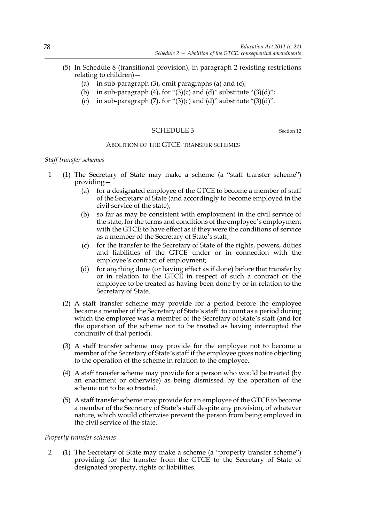- (5) In Schedule 8 (transitional provision), in paragraph 2 (existing restrictions relating to children)—
	- (a) in sub-paragraph (3), omit paragraphs (a) and (c);
	- (b) in sub-paragraph  $(4)$ , for " $(3)(c)$  and  $(d)$ " substitute " $(3)(d)$ ";
	- (c) in sub-paragraph  $(7)$ , for " $(3)$ (c) and  $(d)$ " substitute " $(3)$ (d)".

#### SCHEDULE 3 Section 12

#### ABOLITION OF THE GTCE: TRANSFER SCHEMES

#### *Staff transfer schemes*

- 1 (1) The Secretary of State may make a scheme (a "staff transfer scheme") providing—
	- (a) for a designated employee of the GTCE to become a member of staff of the Secretary of State (and accordingly to become employed in the civil service of the state);
	- (b) so far as may be consistent with employment in the civil service of the state, for the terms and conditions of the employee's employment with the GTCE to have effect as if they were the conditions of service as a member of the Secretary of State's staff;
	- (c) for the transfer to the Secretary of State of the rights, powers, duties and liabilities of the GTCE under or in connection with the employee's contract of employment;
	- (d) for anything done (or having effect as if done) before that transfer by or in relation to the GTCE in respect of such a contract or the employee to be treated as having been done by or in relation to the Secretary of State.
	- (2) A staff transfer scheme may provide for a period before the employee became a member of the Secretary of State's staff to count as a period during which the employee was a member of the Secretary of State's staff (and for the operation of the scheme not to be treated as having interrupted the continuity of that period).
	- (3) A staff transfer scheme may provide for the employee not to become a member of the Secretary of State's staff if the employee gives notice objecting to the operation of the scheme in relation to the employee.
	- (4) A staff transfer scheme may provide for a person who would be treated (by an enactment or otherwise) as being dismissed by the operation of the scheme not to be so treated.
	- (5) A staff transfer scheme may provide for an employee of the GTCE to become a member of the Secretary of State's staff despite any provision, of whatever nature, which would otherwise prevent the person from being employed in the civil service of the state.

## *Property transfer schemes*

2 (1) The Secretary of State may make a scheme (a "property transfer scheme") providing for the transfer from the GTCE to the Secretary of State of designated property, rights or liabilities.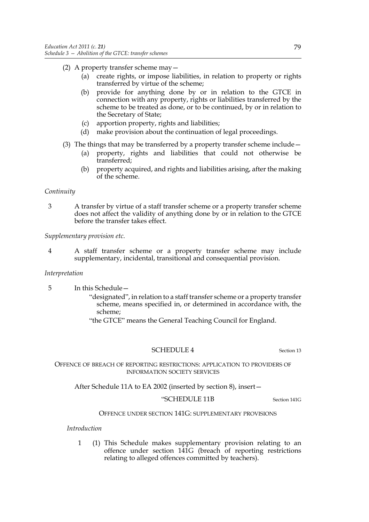- (2) A property transfer scheme may—
	- (a) create rights, or impose liabilities, in relation to property or rights transferred by virtue of the scheme;
	- (b) provide for anything done by or in relation to the GTCE in connection with any property, rights or liabilities transferred by the scheme to be treated as done, or to be continued, by or in relation to the Secretary of State;
	- (c) apportion property, rights and liabilities;
	- (d) make provision about the continuation of legal proceedings.
- (3) The things that may be transferred by a property transfer scheme include—
	- (a) property, rights and liabilities that could not otherwise be transferred;
	- (b) property acquired, and rights and liabilities arising, after the making of the scheme.

## *Continuity*

3 A transfer by virtue of a staff transfer scheme or a property transfer scheme does not affect the validity of anything done by or in relation to the GTCE before the transfer takes effect.

*Supplementary provision etc.*

4 A staff transfer scheme or a property transfer scheme may include supplementary, incidental, transitional and consequential provision.

## *Interpretation*

- 5 In this Schedule—
	- "designated", in relation to a staff transfer scheme or a property transfer scheme, means specified in, or determined in accordance with, the scheme;
	- "the GTCE" means the General Teaching Council for England.

## SCHEDULE 4 Section 13

OFFENCE OF BREACH OF REPORTING RESTRICTIONS: APPLICATION TO PROVIDERS OF INFORMATION SOCIETY SERVICES

After Schedule 11A to EA 2002 (inserted by section 8), insert—

#### "SCHEDULE 11B Section 141G

## OFFENCE UNDER SECTION 141G: SUPPLEMENTARY PROVISIONS

*Introduction*

1 (1) This Schedule makes supplementary provision relating to an offence under section 141G (breach of reporting restrictions relating to alleged offences committed by teachers).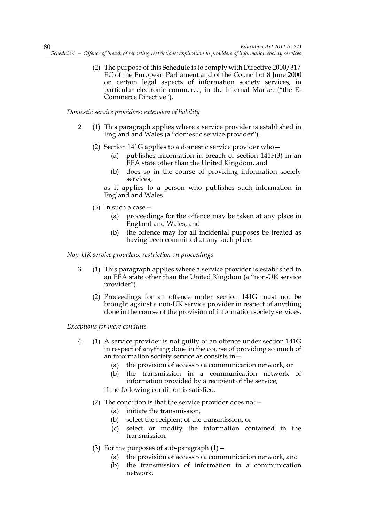(2) The purpose of this Schedule is to comply with Directive 2000/31/ EC of the European Parliament and of the Council of 8 June 2000 on certain legal aspects of information society services, in particular electronic commerce, in the Internal Market ("the E-Commerce Directive").

*Domestic service providers: extension of liability*

- 2 (1) This paragraph applies where a service provider is established in England and Wales (a "domestic service provider").
	- (2) Section 141G applies to a domestic service provider who—
		- (a) publishes information in breach of section 141F(3) in an EEA state other than the United Kingdom, and
		- (b) does so in the course of providing information society services,

as it applies to a person who publishes such information in England and Wales.

- (3) In such a case—
	- (a) proceedings for the offence may be taken at any place in England and Wales, and
	- (b) the offence may for all incidental purposes be treated as having been committed at any such place.

*Non-UK service providers: restriction on proceedings*

- 3 (1) This paragraph applies where a service provider is established in an EEA state other than the United Kingdom (a "non-UK service provider").
	- (2) Proceedings for an offence under section 141G must not be brought against a non-UK service provider in respect of anything done in the course of the provision of information society services.

*Exceptions for mere conduits*

- 4 (1) A service provider is not guilty of an offence under section 141G in respect of anything done in the course of providing so much of an information society service as consists in—
	- (a) the provision of access to a communication network, or
	- (b) the transmission in a communication network of information provided by a recipient of the service,

if the following condition is satisfied.

- (2) The condition is that the service provider does not—
	- (a) initiate the transmission,
	- (b) select the recipient of the transmission, or
	- (c) select or modify the information contained in the transmission.
- (3) For the purposes of sub-paragraph  $(1)$  -
	- (a) the provision of access to a communication network, and
	- (b) the transmission of information in a communication network,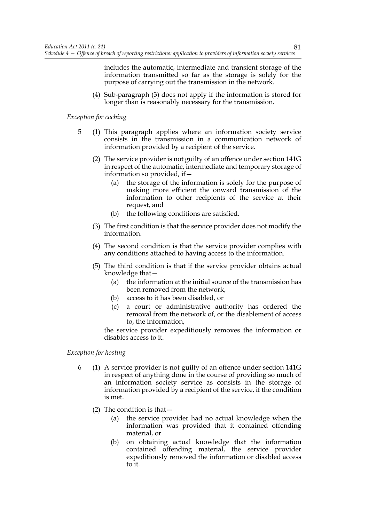includes the automatic, intermediate and transient storage of the information transmitted so far as the storage is solely for the purpose of carrying out the transmission in the network.

(4) Sub-paragraph (3) does not apply if the information is stored for longer than is reasonably necessary for the transmission.

#### *Exception for caching*

- 5 (1) This paragraph applies where an information society service consists in the transmission in a communication network of information provided by a recipient of the service.
	- (2) The service provider is not guilty of an offence under section 141G in respect of the automatic, intermediate and temporary storage of information so provided, if—
		- (a) the storage of the information is solely for the purpose of making more efficient the onward transmission of the information to other recipients of the service at their request, and
		- (b) the following conditions are satisfied.
	- (3) The first condition is that the service provider does not modify the information.
	- (4) The second condition is that the service provider complies with any conditions attached to having access to the information.
	- (5) The third condition is that if the service provider obtains actual knowledge that—
		- (a) the information at the initial source of the transmission has been removed from the network,
		- (b) access to it has been disabled, or
		- (c) a court or administrative authority has ordered the removal from the network of, or the disablement of access to, the information,

the service provider expeditiously removes the information or disables access to it.

## *Exception for hosting*

- 6 (1) A service provider is not guilty of an offence under section 141G in respect of anything done in the course of providing so much of an information society service as consists in the storage of information provided by a recipient of the service, if the condition is met.
	- (2) The condition is that—
		- (a) the service provider had no actual knowledge when the information was provided that it contained offending material, or
		- (b) on obtaining actual knowledge that the information contained offending material, the service provider expeditiously removed the information or disabled access to it.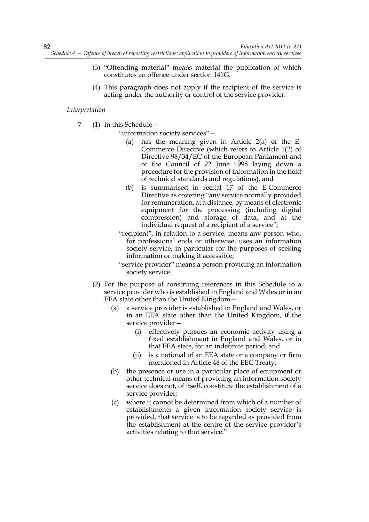- (3) "Offending material" means material the publication of which constitutes an offence under section 141G.
- (4) This paragraph does not apply if the recipient of the service is acting under the authority or control of the service provider.

#### *Interpretation*

7 (1) In this Schedule—

"information society services"—

- has the meaning given in Article  $2(a)$  of the E-Commerce Directive (which refers to Article 1(2) of Directive 98/34/EC of the European Parliament and of the Council of 22 June 1998 laying down a procedure for the provision of information in the field of technical standards and regulations), and
- (b) is summarised in recital 17 of the E-Commerce Directive as covering "any service normally provided for remuneration, at a distance, by means of electronic equipment for the processing (including digital compression) and storage of data, and at the individual request of a recipient of a service";
- "recipient", in relation to a service, means any person who, for professional ends or otherwise, uses an information society service, in particular for the purposes of seeking information or making it accessible;
- "service provider" means a person providing an information society service.
- (2) For the purpose of construing references in this Schedule to a service provider who is established in England and Wales or in an EEA state other than the United Kingdom—
	- (a) a service provider is established in England and Wales, or in an EEA state other than the United Kingdom, if the service provider—
		- (i) effectively pursues an economic activity using a fixed establishment in England and Wales, or in that EEA state, for an indefinite period, and
		- (ii) is a national of an EEA state or a company or firm mentioned in Article 48 of the EEC Treaty;
	- (b) the presence or use in a particular place of equipment or other technical means of providing an information society service does not, of itself, constitute the establishment of a service provider;
	- (c) where it cannot be determined from which of a number of establishments a given information society service is provided, that service is to be regarded as provided from the establishment at the centre of the service provider's activities relating to that service."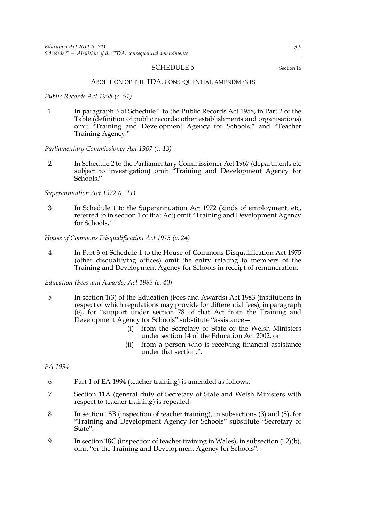#### SCHEDULE 5 Section 16

#### ABOLITION OF THE TDA: CONSEQUENTIAL AMENDMENTS

*Public Records Act 1958 (c. 51)*

1 In paragraph 3 of Schedule 1 to the Public Records Act 1958, in Part 2 of the Table (definition of public records: other establishments and organisations) omit "Training and Development Agency for Schools." and "Teacher Training Agency."

#### *Parliamentary Commissioner Act 1967 (c. 13)*

2 In Schedule 2 to the Parliamentary Commissioner Act 1967 (departments etc subject to investigation) omit "Training and Development Agency for Schools."

#### *Superannuation Act 1972 (c. 11)*

3 In Schedule 1 to the Superannuation Act 1972 (kinds of employment, etc, referred to in section 1 of that Act) omit "Training and Development Agency for Schools."

#### *House of Commons Disqualification Act 1975 (c. 24)*

4 In Part 3 of Schedule 1 to the House of Commons Disqualification Act 1975 (other disqualifying offices) omit the entry relating to members of the Training and Development Agency for Schools in receipt of remuneration.

#### *Education (Fees and Awards) Act 1983 (c. 40)*

- 5 In section 1(3) of the Education (Fees and Awards) Act 1983 (institutions in respect of which regulations may provide for differential fees), in paragraph (e), for "support under section 78 of that Act from the Training and Development Agency for Schools" substitute "assistance—
	- (i) from the Secretary of State or the Welsh Ministers under section 14 of the Education Act 2002, or
	- (ii) from a person who is receiving financial assistance under that section;".

#### *EA 1994*

- 6 Part 1 of EA 1994 (teacher training) is amended as follows.
- 7 Section 11A (general duty of Secretary of State and Welsh Ministers with respect to teacher training) is repealed.
- 8 In section 18B (inspection of teacher training), in subsections (3) and (8), for "Training and Development Agency for Schools" substitute "Secretary of State".
- 9 In section 18C (inspection of teacher training in Wales), in subsection (12)(b), omit "or the Training and Development Agency for Schools".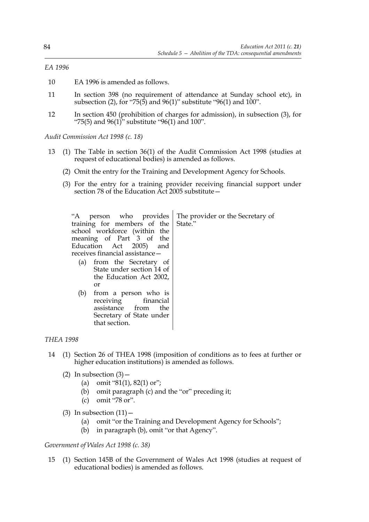## *EA 1996*

- 10 EA 1996 is amended as follows.
- 11 In section 398 (no requirement of attendance at Sunday school etc), in subsection (2), for "75(5) and 96(1)" substitute "96(1) and 100".
- 12 In section 450 (prohibition of charges for admission), in subsection (3), for "75(5) and  $96(1)$ " substitute " $96(1)$  and  $100$ ".

*Audit Commission Act 1998 (c. 18)*

- 13 (1) The Table in section 36(1) of the Audit Commission Act 1998 (studies at request of educational bodies) is amended as follows.
	- (2) Omit the entry for the Training and Development Agency for Schools.
	- (3) For the entry for a training provider receiving financial support under section 78 of the Education Act 2005 substitute—

| "A person who provides<br>training for members of the<br>school workforce (within the<br>meaning of Part 3 of the<br>Education Act 2005) and<br>receives financial assistance - | The provider or the Secretary of<br>State." |
|---------------------------------------------------------------------------------------------------------------------------------------------------------------------------------|---------------------------------------------|
| (a) from the Secretary of<br>State under section 14 of<br>the Education Act 2002,<br>or                                                                                         |                                             |
| from a person who is<br>(b)<br>receiving financial<br>assistance from<br>the<br>Secretary of State under<br>that section.                                                       |                                             |

## *THEA 1998*

- 14 (1) Section 26 of THEA 1998 (imposition of conditions as to fees at further or higher education institutions) is amended as follows.
	- (2) In subsection  $(3)$ 
		- (a) omit "81(1), 82(1) or";
		- (b) omit paragraph (c) and the "or" preceding it;
		- (c) omit "78 or".
	- (3) In subsection  $(11)$ 
		- (a) omit "or the Training and Development Agency for Schools";
		- (b) in paragraph (b), omit "or that Agency".

#### *Government of Wales Act 1998 (c. 38)*

15 (1) Section 145B of the Government of Wales Act 1998 (studies at request of educational bodies) is amended as follows.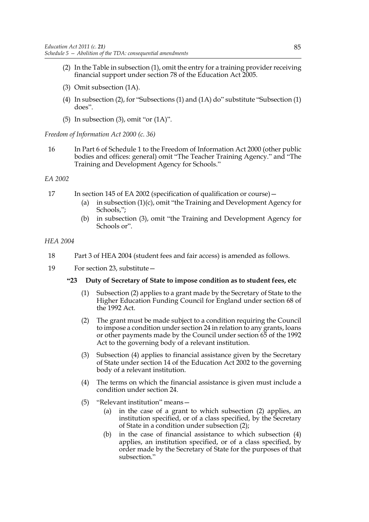- (2) In the Table in subsection (1), omit the entry for a training provider receiving financial support under section 78 of the Education Act 2005.
- (3) Omit subsection (1A).
- (4) In subsection (2), for "Subsections (1) and (1A) do" substitute "Subsection (1) does".
- (5) In subsection (3), omit "or  $(1A)$ ".

*Freedom of Information Act 2000 (c. 36)*

16 In Part 6 of Schedule 1 to the Freedom of Information Act 2000 (other public bodies and offices: general) omit "The Teacher Training Agency." and "The Training and Development Agency for Schools."

#### *EA 2002*

- 17 In section 145 of EA 2002 (specification of qualification or course)
	- (a) in subsection (1)(c), omit "the Training and Development Agency for Schools,";
	- (b) in subsection (3), omit "the Training and Development Agency for Schools or".

## *HEA 2004*

- 18 Part 3 of HEA 2004 (student fees and fair access) is amended as follows.
- 19 For section 23, substitute—

#### **"23 Duty of Secretary of State to impose condition as to student fees, etc**

- (1) Subsection (2) applies to a grant made by the Secretary of State to the Higher Education Funding Council for England under section 68 of the 1992 Act.
- (2) The grant must be made subject to a condition requiring the Council to impose a condition under section 24 in relation to any grants, loans or other payments made by the Council under section 65 of the 1992 Act to the governing body of a relevant institution.
- (3) Subsection (4) applies to financial assistance given by the Secretary of State under section 14 of the Education Act 2002 to the governing body of a relevant institution.
- (4) The terms on which the financial assistance is given must include a condition under section 24.
- (5) "Relevant institution" means—
	- (a) in the case of a grant to which subsection (2) applies, an institution specified, or of a class specified, by the Secretary of State in a condition under subsection (2);
	- (b) in the case of financial assistance to which subsection (4) applies, an institution specified, or of a class specified, by order made by the Secretary of State for the purposes of that subsection."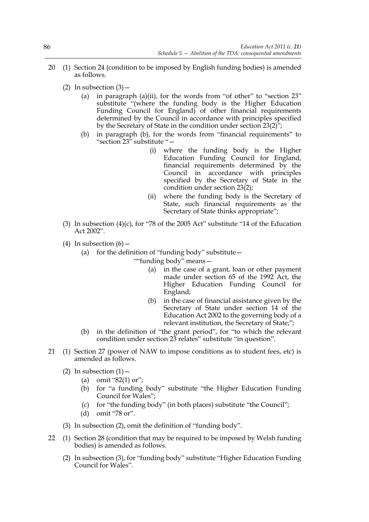- 20 (1) Section 24 (condition to be imposed by English funding bodies) is amended as follows.
	- (2) In subsection  $(3)$ 
		- (a) in paragraph (a)(ii), for the words from "of other" to "section 23" substitute "(where the funding body is the Higher Education Funding Council for England) of other financial requirements determined by the Council in accordance with principles specified by the Secretary of State in the condition under section 23(2)";
		- (b) in paragraph (b), for the words from "financial requirements" to "section 23" substitute "—
			- (i) where the funding body is the Higher Education Funding Council for England, financial requirements determined by the Council in accordance with principles specified by the Secretary of State in the condition under section 23(2);
			- (ii) where the funding body is the Secretary of State, such financial requirements as the Secretary of State thinks appropriate";
	- (3) In subsection (4)(c), for "78 of the 2005 Act" substitute "14 of the Education Act 2002".
	- (4) In subsection  $(6)$ 
		- (a) for the definition of "funding body" substitute  $-$ 
			- ""funding body" means—
				- (a) in the case of a grant, loan or other payment made under section 65 of the 1992 Act, the Higher Education Funding Council for England;
				- (b) in the case of financial assistance given by the Secretary of State under section 14 of the Education Act 2002 to the governing body of a relevant institution, the Secretary of State;";
		- (b) in the definition of "the grant period", for "to which the relevant condition under section 23 relates" substitute "in question".
- 21 (1) Section 27 (power of NAW to impose conditions as to student fees, etc) is amended as follows.
	- (2) In subsection  $(1)$ 
		- (a) omit " $82(1)$  or";
		- (b) for "a funding body" substitute "the Higher Education Funding Council for Wales";
		- (c) for "the funding body" (in both places) substitute "the Council";
		- (d) omit "78 or".
	- (3) In subsection (2), omit the definition of "funding body".
- 22 (1) Section 28 (condition that may be required to be imposed by Welsh funding bodies) is amended as follows.
	- (2) In subsection (3), for "funding body" substitute "Higher Education Funding Council for Wales".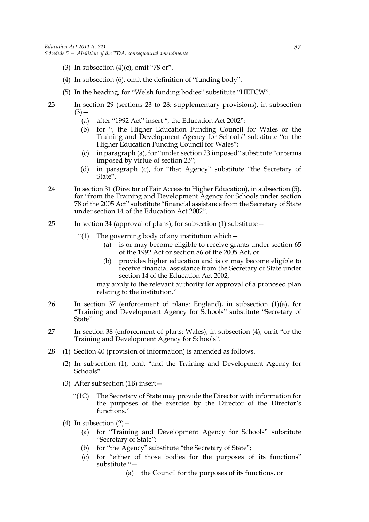- (3) In subsection  $(4)(c)$ , omit "78 or".
- (4) In subsection (6), omit the definition of "funding body".
- (5) In the heading, for "Welsh funding bodies" substitute "HEFCW".
- 23 In section 29 (sections 23 to 28: supplementary provisions), in subsection  $(3)$  —
	- (a) after "1992 Act" insert ", the Education Act 2002";
	- (b) for ", the Higher Education Funding Council for Wales or the Training and Development Agency for Schools" substitute "or the Higher Education Funding Council for Wales";
	- (c) in paragraph (a), for "under section 23 imposed" substitute "or terms imposed by virtue of section 23";
	- (d) in paragraph (c), for "that Agency" substitute "the Secretary of State".
- 24 In section 31 (Director of Fair Access to Higher Education), in subsection (5), for "from the Training and Development Agency for Schools under section 78 of the 2005 Act" substitute "financial assistance from the Secretary of State under section 14 of the Education Act 2002".
- 25 In section 34 (approval of plans), for subsection (1) substitute—
	- "(1) The governing body of any institution which—
		- (a) is or may become eligible to receive grants under section 65 of the 1992 Act or section 86 of the 2005 Act, or
		- (b) provides higher education and is or may become eligible to receive financial assistance from the Secretary of State under section 14 of the Education Act 2002,

may apply to the relevant authority for approval of a proposed plan relating to the institution."

- 26 In section 37 (enforcement of plans: England), in subsection (1)(a), for "Training and Development Agency for Schools" substitute "Secretary of State".
- 27 In section 38 (enforcement of plans: Wales), in subsection (4), omit "or the Training and Development Agency for Schools".
- 28 (1) Section 40 (provision of information) is amended as follows.
	- (2) In subsection (1), omit "and the Training and Development Agency for Schools".
	- (3) After subsection (1B) insert—
		- "(1C) The Secretary of State may provide the Director with information for the purposes of the exercise by the Director of the Director's functions."
	- (4) In subsection  $(2)$ 
		- (a) for "Training and Development Agency for Schools" substitute "Secretary of State";
		- (b) for "the Agency" substitute "the Secretary of State";
		- (c) for "either of those bodies for the purposes of its functions" substitute "—
			- (a) the Council for the purposes of its functions, or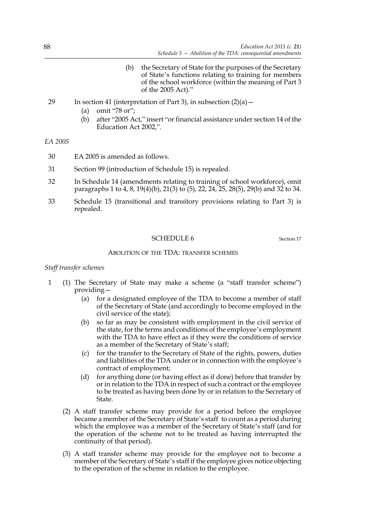- (b) the Secretary of State for the purposes of the Secretary of State's functions relating to training for members of the school workforce (within the meaning of Part 3 of the 2005 Act)."
- 29 In section 41 (interpretation of Part 3), in subsection  $(2)(a)$ 
	- (a) omit "78 or";
	- (b) after "2005 Act," insert "or financial assistance under section 14 of the Education Act 2002,".

*EA 2005*

- 30 EA 2005 is amended as follows.
- 31 Section 99 (introduction of Schedule 15) is repealed.
- 32 In Schedule 14 (amendments relating to training of school workforce), omit paragraphs 1 to 4, 8, 19(4)(b), 21(3) to (5), 22, 24, 25, 28(5), 29(b) and 32 to 34.
- 33 Schedule 15 (transitional and transitory provisions relating to Part 3) is repealed.

#### SCHEDULE 6 Section 17

## ABOLITION OF THE TDA: TRANSFER SCHEMES

#### *Staff transfer schemes*

- 1 (1) The Secretary of State may make a scheme (a "staff transfer scheme") providing—
	- (a) for a designated employee of the TDA to become a member of staff of the Secretary of State (and accordingly to become employed in the civil service of the state);
	- (b) so far as may be consistent with employment in the civil service of the state, for the terms and conditions of the employee's employment with the TDA to have effect as if they were the conditions of service as a member of the Secretary of State's staff;
	- (c) for the transfer to the Secretary of State of the rights, powers, duties and liabilities of the TDA under or in connection with the employee's contract of employment;
	- (d) for anything done (or having effect as if done) before that transfer by or in relation to the TDA in respect of such a contract or the employee to be treated as having been done by or in relation to the Secretary of State.
	- (2) A staff transfer scheme may provide for a period before the employee became a member of the Secretary of State's staff to count as a period during which the employee was a member of the Secretary of State's staff (and for the operation of the scheme not to be treated as having interrupted the continuity of that period).
	- (3) A staff transfer scheme may provide for the employee not to become a member of the Secretary of State's staff if the employee gives notice objecting to the operation of the scheme in relation to the employee.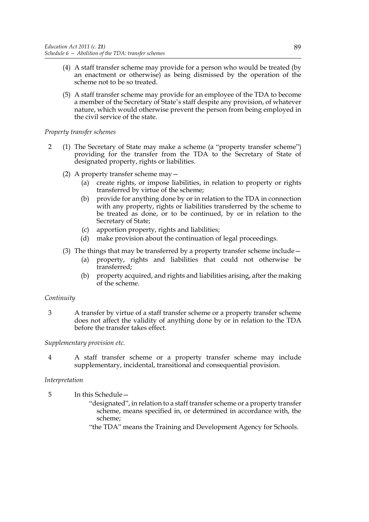- (4) A staff transfer scheme may provide for a person who would be treated (by an enactment or otherwise) as being dismissed by the operation of the scheme not to be so treated.
- (5) A staff transfer scheme may provide for an employee of the TDA to become a member of the Secretary of State's staff despite any provision, of whatever nature, which would otherwise prevent the person from being employed in the civil service of the state.

## *Property transfer schemes*

- 2 (1) The Secretary of State may make a scheme (a "property transfer scheme") providing for the transfer from the TDA to the Secretary of State of designated property, rights or liabilities.
	- (2) A property transfer scheme may—
		- (a) create rights, or impose liabilities, in relation to property or rights transferred by virtue of the scheme;
		- (b) provide for anything done by or in relation to the TDA in connection with any property, rights or liabilities transferred by the scheme to be treated as done, or to be continued, by or in relation to the Secretary of State;
		- (c) apportion property, rights and liabilities;
		- (d) make provision about the continuation of legal proceedings.
	- (3) The things that may be transferred by a property transfer scheme include—
		- (a) property, rights and liabilities that could not otherwise be transferred;
		- (b) property acquired, and rights and liabilities arising, after the making of the scheme.

## *Continuity*

3 A transfer by virtue of a staff transfer scheme or a property transfer scheme does not affect the validity of anything done by or in relation to the TDA before the transfer takes effect.

## *Supplementary provision etc.*

4 A staff transfer scheme or a property transfer scheme may include supplementary, incidental, transitional and consequential provision.

## *Interpretation*

- 5 In this Schedule—
	- "designated", in relation to a staff transfer scheme or a property transfer scheme, means specified in, or determined in accordance with, the scheme;
	- "the TDA" means the Training and Development Agency for Schools.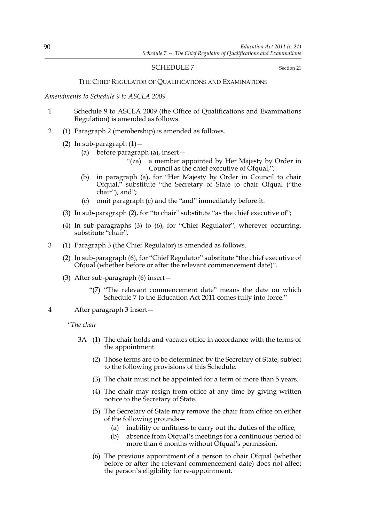## SCHEDULE 7 Section 21

#### THE CHIEF REGULATOR OF QUALIFICATIONS AND EXAMINATIONS

*Amendments to Schedule 9 to ASCLA 2009*

- 1 Schedule 9 to ASCLA 2009 (the Office of Qualifications and Examinations Regulation) is amended as follows.
- 2 (1) Paragraph 2 (membership) is amended as follows.
	- (2) In sub-paragraph  $(1)$  -
		- (a) before paragraph (a), insert—
			- "(za) a member appointed by Her Majesty by Order in Council as the chief executive of Ofqual,";
		- (b) in paragraph (a), for "Her Majesty by Order in Council to chair Ofqual," substitute "the Secretary of State to chair Ofqual ("the chair"), and";
		- (c) omit paragraph (c) and the "and" immediately before it.
	- (3) In sub-paragraph (2), for "to chair" substitute "as the chief executive of";
	- (4) In sub-paragraphs (3) to (6), for "Chief Regulator", wherever occurring, substitute "chair".
- 3 (1) Paragraph 3 (the Chief Regulator) is amended as follows.
	- (2) In sub-paragraph (6), for "Chief Regulator" substitute "the chief executive of Ofqual (whether before or after the relevant commencement date)".
	- (3) After sub-paragraph (6) insert—
		- "(7) "The relevant commencement date" means the date on which Schedule 7 to the Education Act 2011 comes fully into force."
- 4 After paragraph 3 insert—
	- *"The chair*
		- 3A (1) The chair holds and vacates office in accordance with the terms of the appointment.
			- (2) Those terms are to be determined by the Secretary of State, subject to the following provisions of this Schedule.
			- (3) The chair must not be appointed for a term of more than 5 years.
			- (4) The chair may resign from office at any time by giving written notice to the Secretary of State.
			- (5) The Secretary of State may remove the chair from office on either of the following grounds—
				- (a) inability or unfitness to carry out the duties of the office;
				- (b) absence from Ofqual's meetings for a continuous period of more than 6 months without Ofqual's permission.
			- (6) The previous appointment of a person to chair Ofqual (whether before or after the relevant commencement date) does not affect the person's eligibility for re-appointment.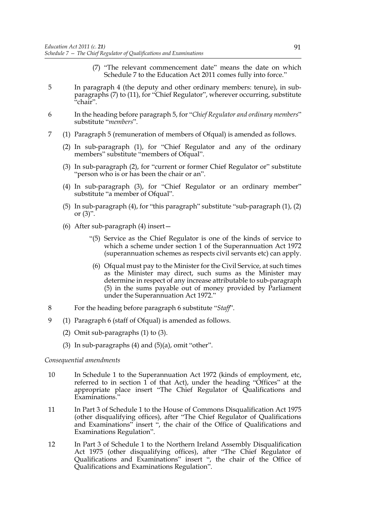- (7) "The relevant commencement date" means the date on which Schedule 7 to the Education Act 2011 comes fully into force."
- 5 In paragraph 4 (the deputy and other ordinary members: tenure), in subparagraphs (7) to (11), for "Chief Regulator", wherever occurring, substitute "chair".
- 6 In the heading before paragraph 5, for "*Chief Regulator and ordinary members*" substitute "*members*".
- 7 (1) Paragraph 5 (remuneration of members of Ofqual) is amended as follows.
	- (2) In sub-paragraph (1), for "Chief Regulator and any of the ordinary members" substitute "members of Ofqual".
	- (3) In sub-paragraph (2), for "current or former Chief Regulator or" substitute "person who is or has been the chair or an".
	- (4) In sub-paragraph (3), for "Chief Regulator or an ordinary member" substitute "a member of Ofqual".
	- (5) In sub-paragraph (4), for "this paragraph" substitute "sub-paragraph (1), (2) or  $(3)$ ".
	- (6) After sub-paragraph (4) insert—
		- "(5) Service as the Chief Regulator is one of the kinds of service to which a scheme under section 1 of the Superannuation Act 1972 (superannuation schemes as respects civil servants etc) can apply.
		- (6) Ofqual must pay to the Minister for the Civil Service, at such times as the Minister may direct, such sums as the Minister may determine in respect of any increase attributable to sub-paragraph (5) in the sums payable out of money provided by Parliament under the Superannuation Act 1972."
- 8 For the heading before paragraph 6 substitute "*Staff*".
- 9 (1) Paragraph 6 (staff of Ofqual) is amended as follows.
	- (2) Omit sub-paragraphs (1) to (3).
	- (3) In sub-paragraphs  $(4)$  and  $(5)(a)$ , omit "other".

#### *Consequential amendments*

- 10 In Schedule 1 to the Superannuation Act 1972 (kinds of employment, etc, referred to in section 1 of that Act), under the heading "Offices" at the appropriate place insert "The Chief Regulator of Qualifications and Examinations."
- 11 In Part 3 of Schedule 1 to the House of Commons Disqualification Act 1975 (other disqualifying offices), after "The Chief Regulator of Qualifications and Examinations" insert ", the chair of the Office of Qualifications and Examinations Regulation".
- 12 In Part 3 of Schedule 1 to the Northern Ireland Assembly Disqualification Act 1975 (other disqualifying offices), after "The Chief Regulator of Qualifications and Examinations" insert ", the chair of the Office of Qualifications and Examinations Regulation".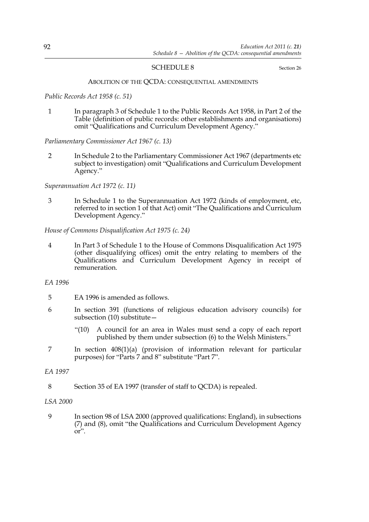## SCHEDULE 8 Section 26

#### ABOLITION OF THE QCDA: CONSEQUENTIAL AMENDMENTS

*Public Records Act 1958 (c. 51)*

1 In paragraph 3 of Schedule 1 to the Public Records Act 1958, in Part 2 of the Table (definition of public records: other establishments and organisations) omit "Qualifications and Curriculum Development Agency."

*Parliamentary Commissioner Act 1967 (c. 13)*

2 In Schedule 2 to the Parliamentary Commissioner Act 1967 (departments etc subject to investigation) omit "Qualifications and Curriculum Development Agency."

*Superannuation Act 1972 (c. 11)*

3 In Schedule 1 to the Superannuation Act 1972 (kinds of employment, etc, referred to in section 1 of that Act) omit "The Qualifications and Curriculum Development Agency."

*House of Commons Disqualification Act 1975 (c. 24)*

4 In Part 3 of Schedule 1 to the House of Commons Disqualification Act 1975 (other disqualifying offices) omit the entry relating to members of the Qualifications and Curriculum Development Agency in receipt of remuneration.

*EA 1996*

- 5 EA 1996 is amended as follows.
- 6 In section 391 (functions of religious education advisory councils) for subsection (10) substitute—
	- "(10) A council for an area in Wales must send a copy of each report published by them under subsection (6) to the Welsh Ministers."
- 7 In section 408(1)(a) (provision of information relevant for particular purposes) for "Parts 7 and 8" substitute "Part 7".

## *EA 1997*

8 Section 35 of EA 1997 (transfer of staff to QCDA) is repealed.

*LSA 2000*

9 In section 98 of LSA 2000 (approved qualifications: England), in subsections (7) and (8), omit "the Qualifications and Curriculum Development Agency  $or''$ .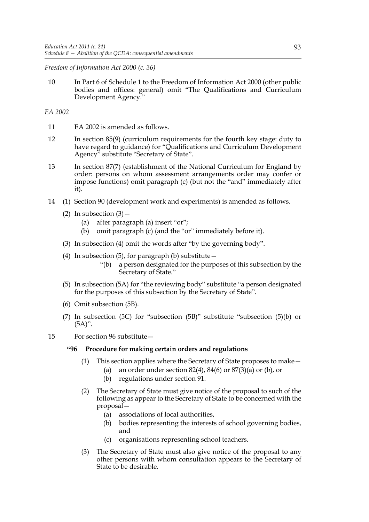## *Freedom of Information Act 2000 (c. 36)*

10 In Part 6 of Schedule 1 to the Freedom of Information Act 2000 (other public bodies and offices: general) omit "The Qualifications and Curriculum Development Agency."

## *EA 2002*

- 11 EA 2002 is amended as follows.
- 12 In section 85(9) (curriculum requirements for the fourth key stage: duty to have regard to guidance) for "Qualifications and Curriculum Development Agency" substitute "Secretary of State".
- 13 In section 87(7) (establishment of the National Curriculum for England by order: persons on whom assessment arrangements order may confer or impose functions) omit paragraph (c) (but not the "and" immediately after it).
- 14 (1) Section 90 (development work and experiments) is amended as follows.
	- (2) In subsection  $(3)$  -
		- (a) after paragraph (a) insert "or";
		- (b) omit paragraph (c) (and the "or" immediately before it).
	- (3) In subsection (4) omit the words after "by the governing body".
	- (4) In subsection  $(5)$ , for paragraph  $(b)$  substitute  $-$ 
		- "(b) a person designated for the purposes of this subsection by the Secretary of State."
	- (5) In subsection (5A) for "the reviewing body" substitute "a person designated for the purposes of this subsection by the Secretary of State".
	- (6) Omit subsection (5B).
	- (7) In subsection (5C) for "subsection (5B)" substitute "subsection (5)(b) or  $(5A)$ ".
- 15 For section 96 substitute—

## **"96 Procedure for making certain orders and regulations**

- (1) This section applies where the Secretary of State proposes to make—
	- (a) an order under section  $82(4)$ ,  $84(6)$  or  $87(3)(a)$  or (b), or
	- (b) regulations under section 91.
- (2) The Secretary of State must give notice of the proposal to such of the following as appear to the Secretary of State to be concerned with the proposal—
	- (a) associations of local authorities,
	- (b) bodies representing the interests of school governing bodies, and
	- (c) organisations representing school teachers.
- (3) The Secretary of State must also give notice of the proposal to any other persons with whom consultation appears to the Secretary of State to be desirable.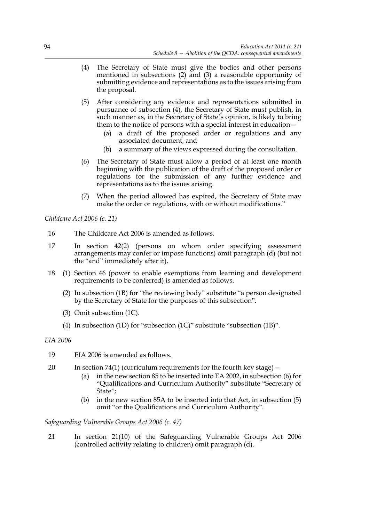- (4) The Secretary of State must give the bodies and other persons mentioned in subsections (2) and (3) a reasonable opportunity of submitting evidence and representations as to the issues arising from the proposal.
- (5) After considering any evidence and representations submitted in pursuance of subsection (4), the Secretary of State must publish, in such manner as, in the Secretary of State's opinion, is likely to bring them to the notice of persons with a special interest in education—
	- (a) a draft of the proposed order or regulations and any associated document, and
	- (b) a summary of the views expressed during the consultation.
- (6) The Secretary of State must allow a period of at least one month beginning with the publication of the draft of the proposed order or regulations for the submission of any further evidence and representations as to the issues arising.
- (7) When the period allowed has expired, the Secretary of State may make the order or regulations, with or without modifications."

*Childcare Act 2006 (c. 21)*

- 16 The Childcare Act 2006 is amended as follows.
- 17 In section 42(2) (persons on whom order specifying assessment arrangements may confer or impose functions) omit paragraph (d) (but not the "and" immediately after it).
- 18 (1) Section 46 (power to enable exemptions from learning and development requirements to be conferred) is amended as follows.
	- (2) In subsection (1B) for "the reviewing body" substitute "a person designated by the Secretary of State for the purposes of this subsection".
	- (3) Omit subsection (1C).
	- (4) In subsection (1D) for "subsection (1C)" substitute "subsection (1B)".

*EIA 2006*

- 19 EIA 2006 is amended as follows.
- 20 In section 74(1) (curriculum requirements for the fourth key stage)—
	- (a) in the new section 85 to be inserted into EA 2002, in subsection (6) for "Qualifications and Curriculum Authority" substitute "Secretary of State";
	- (b) in the new section 85A to be inserted into that Act, in subsection (5) omit "or the Qualifications and Curriculum Authority".

*Safeguarding Vulnerable Groups Act 2006 (c. 47)*

21 In section 21(10) of the Safeguarding Vulnerable Groups Act 2006 (controlled activity relating to children) omit paragraph (d).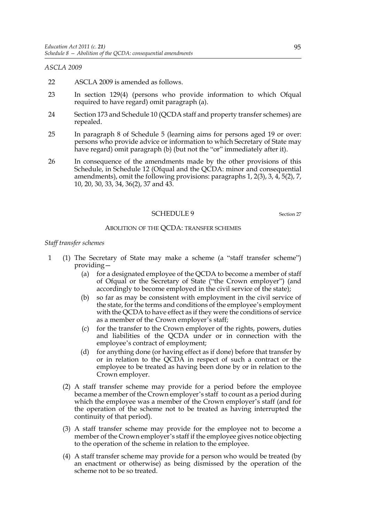## *ASCLA 2009*

- 22 ASCLA 2009 is amended as follows.
- 23 In section 129(4) (persons who provide information to which Ofqual required to have regard) omit paragraph (a).
- 24 Section 173 and Schedule 10 (QCDA staff and property transfer schemes) are repealed.
- 25 In paragraph 8 of Schedule 5 (learning aims for persons aged 19 or over: persons who provide advice or information to which Secretary of State may have regard) omit paragraph (b) (but not the "or" immediately after it).
- 26 In consequence of the amendments made by the other provisions of this Schedule, in Schedule 12 (Ofqual and the QCDA: minor and consequential amendments), omit the following provisions: paragraphs 1, 2(3), 3, 4, 5(2), 7, 10, 20, 30, 33, 34, 36(2), 37 and 43.

## SCHEDULE 9 Section 27

## ABOLITION OF THE QCDA: TRANSFER SCHEMES

#### *Staff transfer schemes*

- 1 (1) The Secretary of State may make a scheme (a "staff transfer scheme") providing—
	- (a) for a designated employee of the QCDA to become a member of staff of Ofqual or the Secretary of State ("the Crown employer") (and accordingly to become employed in the civil service of the state);
	- (b) so far as may be consistent with employment in the civil service of the state, for the terms and conditions of the employee's employment with the QCDA to have effect as if they were the conditions of service as a member of the Crown employer's staff;
	- (c) for the transfer to the Crown employer of the rights, powers, duties and liabilities of the QCDA under or in connection with the employee's contract of employment;
	- (d) for anything done (or having effect as if done) before that transfer by or in relation to the QCDA in respect of such a contract or the employee to be treated as having been done by or in relation to the Crown employer.
	- (2) A staff transfer scheme may provide for a period before the employee became a member of the Crown employer's staff to count as a period during which the employee was a member of the Crown employer's staff (and for the operation of the scheme not to be treated as having interrupted the continuity of that period).
	- (3) A staff transfer scheme may provide for the employee not to become a member of the Crown employer's staff if the employee gives notice objecting to the operation of the scheme in relation to the employee.
	- (4) A staff transfer scheme may provide for a person who would be treated (by an enactment or otherwise) as being dismissed by the operation of the scheme not to be so treated.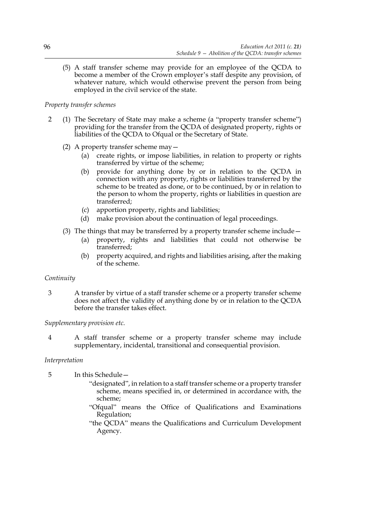(5) A staff transfer scheme may provide for an employee of the QCDA to become a member of the Crown employer's staff despite any provision, of whatever nature, which would otherwise prevent the person from being employed in the civil service of the state.

## *Property transfer schemes*

- 2 (1) The Secretary of State may make a scheme (a "property transfer scheme") providing for the transfer from the QCDA of designated property, rights or liabilities of the QCDA to Ofqual or the Secretary of State.
	- (2) A property transfer scheme may—
		- (a) create rights, or impose liabilities, in relation to property or rights transferred by virtue of the scheme;
		- (b) provide for anything done by or in relation to the QCDA in connection with any property, rights or liabilities transferred by the scheme to be treated as done, or to be continued, by or in relation to the person to whom the property, rights or liabilities in question are transferred;
		- (c) apportion property, rights and liabilities;
		- (d) make provision about the continuation of legal proceedings.
	- (3) The things that may be transferred by a property transfer scheme include—
		- (a) property, rights and liabilities that could not otherwise be transferred;
		- (b) property acquired, and rights and liabilities arising, after the making of the scheme.

## *Continuity*

3 A transfer by virtue of a staff transfer scheme or a property transfer scheme does not affect the validity of anything done by or in relation to the QCDA before the transfer takes effect.

*Supplementary provision etc.*

4 A staff transfer scheme or a property transfer scheme may include supplementary, incidental, transitional and consequential provision.

## *Interpretation*

5 In this Schedule—

- "designated", in relation to a staff transfer scheme or a property transfer scheme, means specified in, or determined in accordance with, the scheme;
- "Ofqual" means the Office of Qualifications and Examinations Regulation;
- "the QCDA" means the Qualifications and Curriculum Development Agency.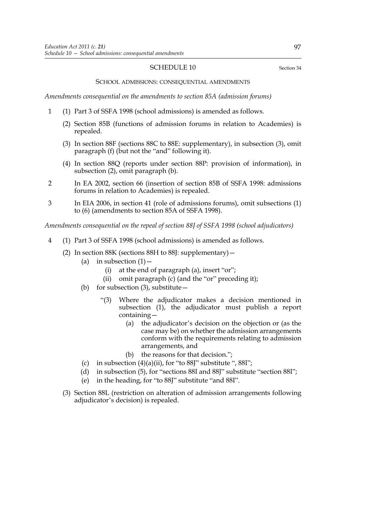#### SCHEDULE 10 Section 34

#### SCHOOL ADMISSIONS: CONSEQUENTIAL AMENDMENTS

*Amendments consequential on the amendments to section 85A (admission forums)*

- 1 (1) Part 3 of SSFA 1998 (school admissions) is amended as follows.
	- (2) Section 85B (functions of admission forums in relation to Academies) is repealed.
	- (3) In section 88F (sections 88C to 88E: supplementary), in subsection (3), omit paragraph (f) (but not the "and" following it).
	- (4) In section 88Q (reports under section 88P: provision of information), in subsection (2), omit paragraph (b).
- 2 In EA 2002, section 66 (insertion of section 85B of SSFA 1998: admissions forums in relation to Academies) is repealed.
- 3 In EIA 2006, in section 41 (role of admissions forums), omit subsections (1) to (6) (amendments to section 85A of SSFA 1998).

*Amendments consequential on the repeal of section 88J of SSFA 1998 (school adjudicators)*

- 4 (1) Part 3 of SSFA 1998 (school admissions) is amended as follows.
	- (2) In section 88K (sections 88H to 88J: supplementary)—
		- (a) in subsection  $(1)$  -
			- (i) at the end of paragraph (a), insert "or";
			- (ii) omit paragraph (c) (and the "or" preceding it);
		- (b) for subsection  $(3)$ , substitute
			- "(3) Where the adjudicator makes a decision mentioned in subsection (1), the adjudicator must publish a report containing—
				- (a) the adjudicator's decision on the objection or (as the case may be) on whether the admission arrangements conform with the requirements relating to admission arrangements, and
				- (b) the reasons for that decision.";
		- (c) in subsection  $(4)(a)(ii)$ , for "to 88J" substitute ", 88I";
		- (d) in subsection (5), for "sections 88I and 88J" substitute "section 88I";
		- (e) in the heading, for "to 88J" substitute "and 88I".
	- (3) Section 88L (restriction on alteration of admission arrangements following adjudicator's decision) is repealed.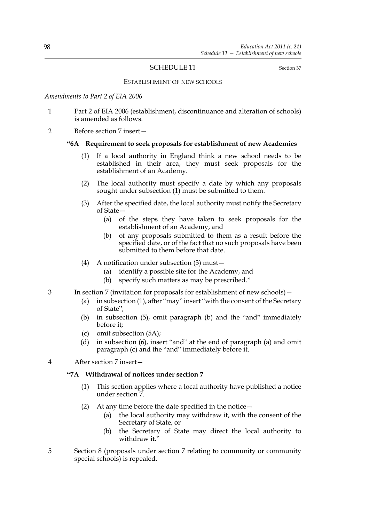## SCHEDULE 11 Section 37

#### ESTABLISHMENT OF NEW SCHOOLS

*Amendments to Part 2 of EIA 2006*

- 1 Part 2 of EIA 2006 (establishment, discontinuance and alteration of schools) is amended as follows.
- 2 Before section 7 insert—

#### **"6A Requirement to seek proposals for establishment of new Academies**

- (1) If a local authority in England think a new school needs to be established in their area, they must seek proposals for the establishment of an Academy.
- (2) The local authority must specify a date by which any proposals sought under subsection (1) must be submitted to them.
- (3) After the specified date, the local authority must notify the Secretary of State—
	- (a) of the steps they have taken to seek proposals for the establishment of an Academy, and
	- (b) of any proposals submitted to them as a result before the specified date, or of the fact that no such proposals have been submitted to them before that date.
- (4) A notification under subsection (3) must—
	- (a) identify a possible site for the Academy, and
	- (b) specify such matters as may be prescribed."
- 3 In section 7 (invitation for proposals for establishment of new schools)—
	- (a) in subsection (1), after "may" insert "with the consent of the Secretary of State";
	- (b) in subsection (5), omit paragraph (b) and the "and" immediately before it;
	- (c) omit subsection (5A);
	- (d) in subsection (6), insert "and" at the end of paragraph (a) and omit paragraph (c) and the "and" immediately before it.
- 4 After section 7 insert—

#### **"7A Withdrawal of notices under section 7**

- (1) This section applies where a local authority have published a notice under section 7.
- (2) At any time before the date specified in the notice—
	- (a) the local authority may withdraw it, with the consent of the Secretary of State, or
	- (b) the Secretary of State may direct the local authority to withdraw it."
- 5 Section 8 (proposals under section 7 relating to community or community special schools) is repealed.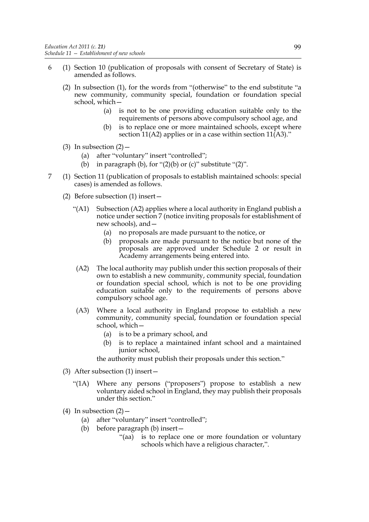- 6 (1) Section 10 (publication of proposals with consent of Secretary of State) is amended as follows.
	- (2) In subsection (1), for the words from "(otherwise" to the end substitute "a new community, community special, foundation or foundation special school, which—
		- (a) is not to be one providing education suitable only to the requirements of persons above compulsory school age, and
		- (b) is to replace one or more maintained schools, except where section 11(A2) applies or in a case within section  $11(A3)$ ."
	- (3) In subsection  $(2)$ 
		- (a) after "voluntary" insert "controlled";
		- (b) in paragraph (b), for " $(2)(b)$  or  $(c)$ " substitute " $(2)$ ".
- 7 (1) Section 11 (publication of proposals to establish maintained schools: special cases) is amended as follows.
	- (2) Before subsection (1) insert—
		- "(A1) Subsection (A2) applies where a local authority in England publish a notice under section 7 (notice inviting proposals for establishment of new schools), and—
			- (a) no proposals are made pursuant to the notice, or
			- (b) proposals are made pursuant to the notice but none of the proposals are approved under Schedule 2 or result in Academy arrangements being entered into.
		- (A2) The local authority may publish under this section proposals of their own to establish a new community, community special, foundation or foundation special school, which is not to be one providing education suitable only to the requirements of persons above compulsory school age.
		- (A3) Where a local authority in England propose to establish a new community, community special, foundation or foundation special school, which—
			- (a) is to be a primary school, and
			- (b) is to replace a maintained infant school and a maintained junior school,

the authority must publish their proposals under this section."

- (3) After subsection (1) insert—
	- "(1A) Where any persons ("proposers") propose to establish a new voluntary aided school in England, they may publish their proposals under this section."
- (4) In subsection  $(2)$ 
	- (a) after "voluntary" insert "controlled";
	- (b) before paragraph (b) insert—
		- "(aa) is to replace one or more foundation or voluntary schools which have a religious character,".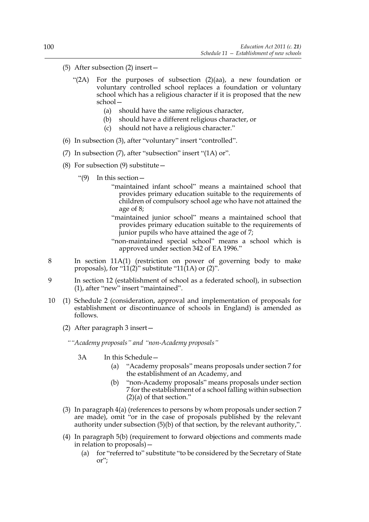- (5) After subsection (2) insert—
	- "(2A) For the purposes of subsection (2)(aa), a new foundation or voluntary controlled school replaces a foundation or voluntary school which has a religious character if it is proposed that the new school—
		- (a) should have the same religious character,
		- (b) should have a different religious character, or
		- (c) should not have a religious character."
- (6) In subsection (3), after "voluntary" insert "controlled".
- (7) In subsection (7), after "subsection" insert "(1A) or".
- (8) For subsection (9) substitute  $-$ 
	- "(9) In this section—
		- "maintained infant school" means a maintained school that provides primary education suitable to the requirements of children of compulsory school age who have not attained the age of 8;
		- "maintained junior school" means a maintained school that provides primary education suitable to the requirements of junior pupils who have attained the age of 7;
		- "non-maintained special school" means a school which is approved under section 342 of EA 1996."
- 8 In section 11A(1) (restriction on power of governing body to make proposals), for " $11(2)$ " substitute " $11(1)$  or  $(2)$ ".
- 9 In section 12 (establishment of school as a federated school), in subsection (1), after "new" insert "maintained".
- 10 (1) Schedule 2 (consideration, approval and implementation of proposals for establishment or discontinuance of schools in England) is amended as follows.
	- (2) After paragraph 3 insert—

*""Academy proposals" and "non-Academy proposals"*

- 3A In this Schedule—
	- (a) "Academy proposals" means proposals under section 7 for the establishment of an Academy, and
	- (b) "non-Academy proposals" means proposals under section 7 for the establishment of a school falling within subsection (2)(a) of that section."
- (3) In paragraph 4(a) (references to persons by whom proposals under section 7 are made), omit "or in the case of proposals published by the relevant authority under subsection (5)(b) of that section, by the relevant authority,".
- (4) In paragraph 5(b) (requirement to forward objections and comments made in relation to proposals)—
	- (a) for "referred to" substitute "to be considered by the Secretary of State or";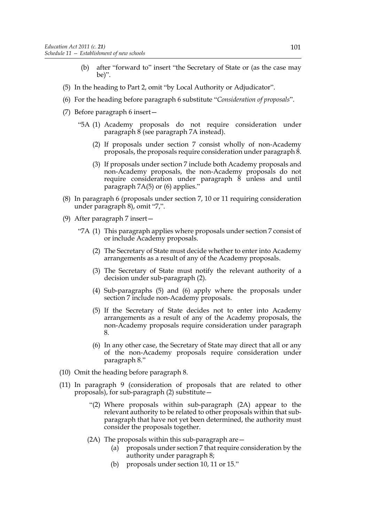- (b) after "forward to" insert "the Secretary of State or (as the case may be)".
- (5) In the heading to Part 2, omit "by Local Authority or Adjudicator".
- (6) For the heading before paragraph 6 substitute "*Consideration of proposals*".
- (7) Before paragraph 6 insert—
	- "5A (1) Academy proposals do not require consideration under paragraph 8 (see paragraph 7A instead).
		- (2) If proposals under section 7 consist wholly of non-Academy proposals, the proposals require consideration under paragraph 8.
		- (3) If proposals under section 7 include both Academy proposals and non-Academy proposals, the non-Academy proposals do not require consideration under paragraph 8 unless and until paragraph 7A(5) or (6) applies."
- (8) In paragraph 6 (proposals under section 7, 10 or 11 requiring consideration under paragraph 8), omit "7,".
- (9) After paragraph 7 insert—
	- "7A (1) This paragraph applies where proposals under section 7 consist of or include Academy proposals.
		- (2) The Secretary of State must decide whether to enter into Academy arrangements as a result of any of the Academy proposals.
		- (3) The Secretary of State must notify the relevant authority of a decision under sub-paragraph (2).
		- (4) Sub-paragraphs (5) and (6) apply where the proposals under section 7 include non-Academy proposals.
		- (5) If the Secretary of State decides not to enter into Academy arrangements as a result of any of the Academy proposals, the non-Academy proposals require consideration under paragraph 8.
		- (6) In any other case, the Secretary of State may direct that all or any of the non-Academy proposals require consideration under paragraph 8."
- (10) Omit the heading before paragraph 8.
- (11) In paragraph 9 (consideration of proposals that are related to other proposals), for sub-paragraph (2) substitute—
	- "(2) Where proposals within sub-paragraph (2A) appear to the relevant authority to be related to other proposals within that subparagraph that have not yet been determined, the authority must consider the proposals together.
	- (2A) The proposals within this sub-paragraph are—
		- (a) proposals under section 7 that require consideration by the authority under paragraph 8;
		- (b) proposals under section 10, 11 or 15."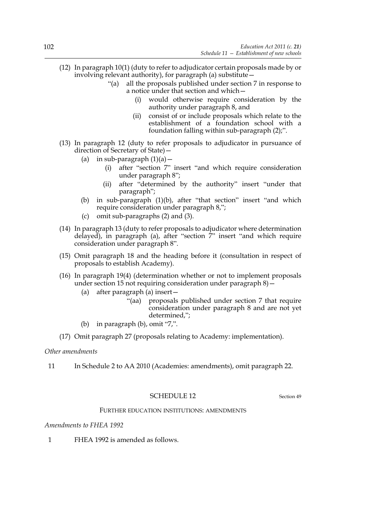- (12) In paragraph 10(1) (duty to refer to adjudicator certain proposals made by or involving relevant authority), for paragraph (a) substitute—
	- "(a) all the proposals published under section 7 in response to a notice under that section and which—
		- (i) would otherwise require consideration by the authority under paragraph 8, and
		- (ii) consist of or include proposals which relate to the establishment of a foundation school with a foundation falling within sub-paragraph (2);".
- (13) In paragraph 12 (duty to refer proposals to adjudicator in pursuance of direction of Secretary of State)—
	- (a) in sub-paragraph  $(1)(a)$  -
		- (i) after "section 7" insert "and which require consideration under paragraph 8";
		- (ii) after "determined by the authority" insert "under that paragraph";
	- (b) in sub-paragraph (1)(b), after "that section" insert "and which require consideration under paragraph 8,";
	- (c) omit sub-paragraphs (2) and (3).
- (14) In paragraph 13 (duty to refer proposals to adjudicator where determination delayed), in paragraph (a), after "section 7" insert "and which require consideration under paragraph 8".
- (15) Omit paragraph 18 and the heading before it (consultation in respect of proposals to establish Academy).
- (16) In paragraph 19(4) (determination whether or not to implement proposals under section 15 not requiring consideration under paragraph 8)—
	- (a) after paragraph (a) insert—
		- "(aa) proposals published under section 7 that require consideration under paragraph 8 and are not yet determined,";
	- (b) in paragraph (b), omit "7,".
- (17) Omit paragraph 27 (proposals relating to Academy: implementation).

## *Other amendments*

11 In Schedule 2 to AA 2010 (Academies: amendments), omit paragraph 22.

## SCHEDULE 12 Section 49

## FURTHER EDUCATION INSTITUTIONS: AMENDMENTS

#### *Amendments to FHEA 1992*

1 FHEA 1992 is amended as follows.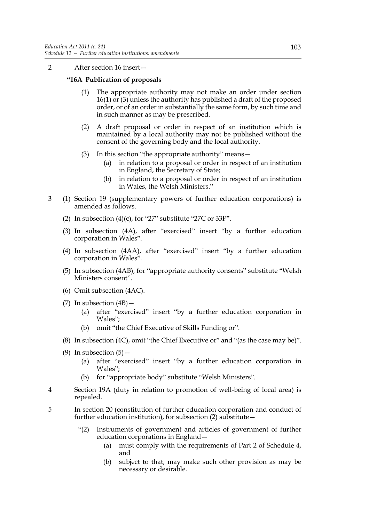2 After section 16 insert—

# **"16A Publication of proposals**

- (1) The appropriate authority may not make an order under section 16(1) or (3) unless the authority has published a draft of the proposed order, or of an order in substantially the same form, by such time and in such manner as may be prescribed.
- (2) A draft proposal or order in respect of an institution which is maintained by a local authority may not be published without the consent of the governing body and the local authority.
- (3) In this section "the appropriate authority" means—
	- (a) in relation to a proposal or order in respect of an institution in England, the Secretary of State;
	- (b) in relation to a proposal or order in respect of an institution in Wales, the Welsh Ministers."
- 3 (1) Section 19 (supplementary powers of further education corporations) is amended as follows.
	- (2) In subsection  $(4)(c)$ , for "27" substitute "27C or 33P".
	- (3) In subsection (4A), after "exercised" insert "by a further education corporation in Wales".
	- (4) In subsection (4AA), after "exercised" insert "by a further education corporation in Wales".
	- (5) In subsection (4AB), for "appropriate authority consents" substitute "Welsh Ministers consent".
	- (6) Omit subsection (4AC).
	- (7) In subsection  $(4B)$ 
		- (a) after "exercised" insert "by a further education corporation in Wales";
		- (b) omit "the Chief Executive of Skills Funding or".
	- (8) In subsection (4C), omit "the Chief Executive or" and "(as the case may be)".
	- (9) In subsection  $(5)$  -
		- (a) after "exercised" insert "by a further education corporation in Wales";
		- (b) for "appropriate body" substitute "Welsh Ministers".
- 4 Section 19A (duty in relation to promotion of well-being of local area) is repealed.
- 5 In section 20 (constitution of further education corporation and conduct of further education institution), for subsection (2) substitute—
	- "(2) Instruments of government and articles of government of further education corporations in England—
		- (a) must comply with the requirements of Part 2 of Schedule 4, and
		- (b) subject to that, may make such other provision as may be necessary or desirable.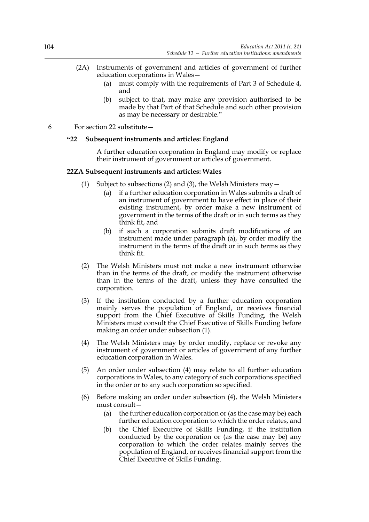- (2A) Instruments of government and articles of government of further education corporations in Wales—
	- (a) must comply with the requirements of Part 3 of Schedule 4, and
	- (b) subject to that, may make any provision authorised to be made by that Part of that Schedule and such other provision as may be necessary or desirable."
- 6 For section 22 substitute—

# **"22 Subsequent instruments and articles: England**

A further education corporation in England may modify or replace their instrument of government or articles of government.

## **22ZA Subsequent instruments and articles: Wales**

- (1) Subject to subsections (2) and (3), the Welsh Ministers may  $-$ 
	- (a) if a further education corporation in Wales submits a draft of an instrument of government to have effect in place of their existing instrument, by order make a new instrument of government in the terms of the draft or in such terms as they think fit, and
	- (b) if such a corporation submits draft modifications of an instrument made under paragraph (a), by order modify the instrument in the terms of the draft or in such terms as they think fit.
- (2) The Welsh Ministers must not make a new instrument otherwise than in the terms of the draft, or modify the instrument otherwise than in the terms of the draft, unless they have consulted the corporation.
- (3) If the institution conducted by a further education corporation mainly serves the population of England, or receives financial support from the Chief Executive of Skills Funding, the Welsh Ministers must consult the Chief Executive of Skills Funding before making an order under subsection (1).
- (4) The Welsh Ministers may by order modify, replace or revoke any instrument of government or articles of government of any further education corporation in Wales.
- (5) An order under subsection (4) may relate to all further education corporations in Wales, to any category of such corporations specified in the order or to any such corporation so specified.
- (6) Before making an order under subsection (4), the Welsh Ministers must consult—
	- (a) the further education corporation or (as the case may be) each further education corporation to which the order relates, and
	- (b) the Chief Executive of Skills Funding, if the institution conducted by the corporation or (as the case may be) any corporation to which the order relates mainly serves the population of England, or receives financial support from the Chief Executive of Skills Funding.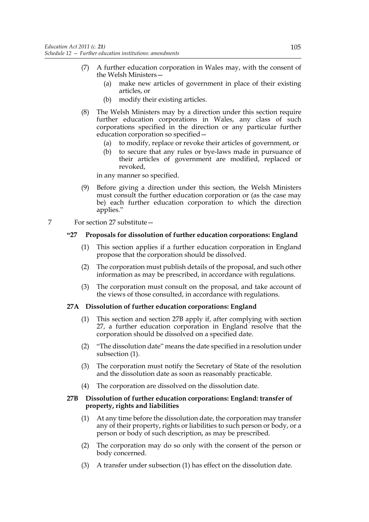- (7) A further education corporation in Wales may, with the consent of the Welsh Ministers—
	- (a) make new articles of government in place of their existing articles, or
	- (b) modify their existing articles.
- (8) The Welsh Ministers may by a direction under this section require further education corporations in Wales, any class of such corporations specified in the direction or any particular further education corporation so specified—
	- (a) to modify, replace or revoke their articles of government, or
	- (b) to secure that any rules or bye-laws made in pursuance of their articles of government are modified, replaced or revoked,

in any manner so specified.

- (9) Before giving a direction under this section, the Welsh Ministers must consult the further education corporation or (as the case may be) each further education corporation to which the direction applies."
- 7 For section 27 substitute—

# **"27 Proposals for dissolution of further education corporations: England**

- (1) This section applies if a further education corporation in England propose that the corporation should be dissolved.
- (2) The corporation must publish details of the proposal, and such other information as may be prescribed, in accordance with regulations.
- (3) The corporation must consult on the proposal, and take account of the views of those consulted, in accordance with regulations.

## **27A Dissolution of further education corporations: England**

- (1) This section and section 27B apply if, after complying with section 27, a further education corporation in England resolve that the corporation should be dissolved on a specified date.
- (2) "The dissolution date" means the date specified in a resolution under subsection (1).
- (3) The corporation must notify the Secretary of State of the resolution and the dissolution date as soon as reasonably practicable.
- (4) The corporation are dissolved on the dissolution date.

# **27B Dissolution of further education corporations: England: transfer of property, rights and liabilities**

- (1) At any time before the dissolution date, the corporation may transfer any of their property, rights or liabilities to such person or body, or a person or body of such description, as may be prescribed.
- (2) The corporation may do so only with the consent of the person or body concerned.
- (3) A transfer under subsection (1) has effect on the dissolution date.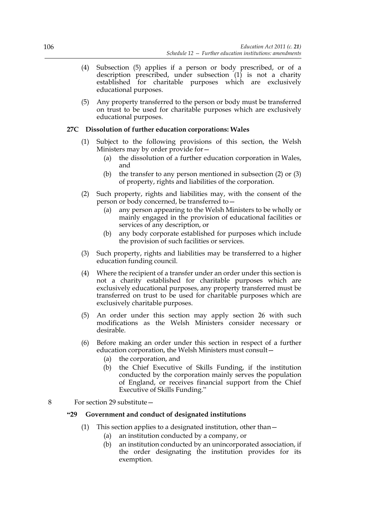- (4) Subsection (5) applies if a person or body prescribed, or of a description prescribed, under subsection  $(1)$  is not a charity established for charitable purposes which are exclusively educational purposes.
- (5) Any property transferred to the person or body must be transferred on trust to be used for charitable purposes which are exclusively educational purposes.

# **27C Dissolution of further education corporations: Wales**

- (1) Subject to the following provisions of this section, the Welsh Ministers may by order provide for—
	- (a) the dissolution of a further education corporation in Wales, and
	- (b) the transfer to any person mentioned in subsection (2) or (3) of property, rights and liabilities of the corporation.
- (2) Such property, rights and liabilities may, with the consent of the person or body concerned, be transferred to
	- any person appearing to the Welsh Ministers to be wholly or mainly engaged in the provision of educational facilities or services of any description, or
	- (b) any body corporate established for purposes which include the provision of such facilities or services.
- (3) Such property, rights and liabilities may be transferred to a higher education funding council.
- (4) Where the recipient of a transfer under an order under this section is not a charity established for charitable purposes which are exclusively educational purposes, any property transferred must be transferred on trust to be used for charitable purposes which are exclusively charitable purposes.
- (5) An order under this section may apply section 26 with such modifications as the Welsh Ministers consider necessary or desirable.
- (6) Before making an order under this section in respect of a further education corporation, the Welsh Ministers must consult—
	- (a) the corporation, and
	- (b) the Chief Executive of Skills Funding, if the institution conducted by the corporation mainly serves the population of England, or receives financial support from the Chief Executive of Skills Funding."
- 8 For section 29 substitute—

# **"29 Government and conduct of designated institutions**

- (1) This section applies to a designated institution, other than—
	- (a) an institution conducted by a company, or
	- (b) an institution conducted by an unincorporated association, if the order designating the institution provides for its exemption.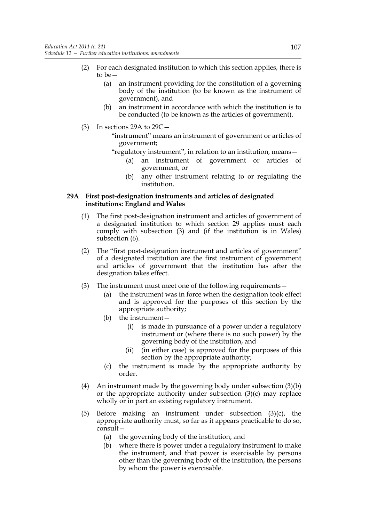- (2) For each designated institution to which this section applies, there is to be—
	- (a) an instrument providing for the constitution of a governing body of the institution (to be known as the instrument of government), and
	- (b) an instrument in accordance with which the institution is to be conducted (to be known as the articles of government).
- (3) In sections 29A to 29C—
	- "instrument" means an instrument of government or articles of government;
	- "regulatory instrument", in relation to an institution, means—
		- (a) an instrument of government or articles of government, or
		- (b) any other instrument relating to or regulating the institution.

# **29A First post-designation instruments and articles of designated institutions: England and Wales**

- (1) The first post-designation instrument and articles of government of a designated institution to which section 29 applies must each comply with subsection (3) and (if the institution is in Wales) subsection (6).
- (2) The "first post-designation instrument and articles of government" of a designated institution are the first instrument of government and articles of government that the institution has after the designation takes effect.
- (3) The instrument must meet one of the following requirements—
	- (a) the instrument was in force when the designation took effect and is approved for the purposes of this section by the appropriate authority;
	- (b) the instrument—
		- (i) is made in pursuance of a power under a regulatory instrument or (where there is no such power) by the governing body of the institution, and
		- (ii) (in either case) is approved for the purposes of this section by the appropriate authority;
	- (c) the instrument is made by the appropriate authority by order.
- (4) An instrument made by the governing body under subsection (3)(b) or the appropriate authority under subsection (3)(c) may replace wholly or in part an existing regulatory instrument.
- (5) Before making an instrument under subsection (3)(c), the appropriate authority must, so far as it appears practicable to do so, consult—
	- (a) the governing body of the institution, and
	- (b) where there is power under a regulatory instrument to make the instrument, and that power is exercisable by persons other than the governing body of the institution, the persons by whom the power is exercisable.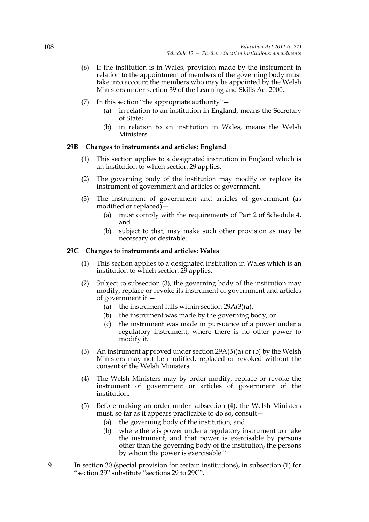- (6) If the institution is in Wales, provision made by the instrument in relation to the appointment of members of the governing body must take into account the members who may be appointed by the Welsh Ministers under section 39 of the Learning and Skills Act 2000.
- (7) In this section "the appropriate authority"—
	- (a) in relation to an institution in England, means the Secretary of State;
	- (b) in relation to an institution in Wales, means the Welsh Ministers.

# **29B Changes to instruments and articles: England**

- (1) This section applies to a designated institution in England which is an institution to which section 29 applies.
- (2) The governing body of the institution may modify or replace its instrument of government and articles of government.
- (3) The instrument of government and articles of government (as modified or replaced)—
	- (a) must comply with the requirements of Part 2 of Schedule 4, and
	- (b) subject to that, may make such other provision as may be necessary or desirable.

## **29C Changes to instruments and articles: Wales**

- (1) This section applies to a designated institution in Wales which is an institution to which section 29 applies.
- (2) Subject to subsection (3), the governing body of the institution may modify, replace or revoke its instrument of government and articles of government if —
	- (a) the instrument falls within section 29A(3)(a),
	- (b) the instrument was made by the governing body, or
	- (c) the instrument was made in pursuance of a power under a regulatory instrument, where there is no other power to modify it.
- (3) An instrument approved under section 29A(3)(a) or (b) by the Welsh Ministers may not be modified, replaced or revoked without the consent of the Welsh Ministers.
- (4) The Welsh Ministers may by order modify, replace or revoke the instrument of government or articles of government of the institution.
- (5) Before making an order under subsection (4), the Welsh Ministers must, so far as it appears practicable to do so, consult—
	- (a) the governing body of the institution, and
	- (b) where there is power under a regulatory instrument to make the instrument, and that power is exercisable by persons other than the governing body of the institution, the persons by whom the power is exercisable."
- 9 In section 30 (special provision for certain institutions), in subsection (1) for "section 29" substitute "sections 29 to 29C".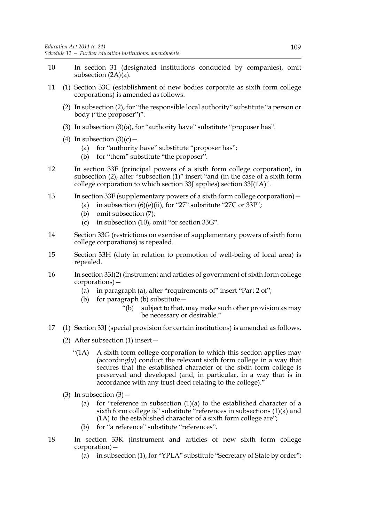- 10 In section 31 (designated institutions conducted by companies), omit subsection (2A)(a).
- 11 (1) Section 33C (establishment of new bodies corporate as sixth form college corporations) is amended as follows.
	- (2) In subsection (2), for "the responsible local authority" substitute "a person or body ("the proposer")".
	- (3) In subsection  $(3)(a)$ , for "authority have" substitute "proposer has".
	- (4) In subsection  $(3)(c)$ 
		- (a) for "authority have" substitute "proposer has";
		- (b) for "them" substitute "the proposer".
- 12 In section 33E (principal powers of a sixth form college corporation), in subsection (2), after "subsection (1)" insert "and (in the case of a sixth form college corporation to which section 33J applies) section 33J(1A)".
- 13 In section 33F (supplementary powers of a sixth form college corporation)—
	- (a) in subsection  $(6)(e)(ii)$ , for "27" substitute "27C or 33P";
	- (b) omit subsection (7);
	- (c) in subsection (10), omit "or section 33G".
- 14 Section 33G (restrictions on exercise of supplementary powers of sixth form college corporations) is repealed.
- 15 Section 33H (duty in relation to promotion of well-being of local area) is repealed.
- 16 In section 33I(2) (instrument and articles of government of sixth form college corporations)—
	- (a) in paragraph (a), after "requirements of" insert "Part  $2$  of";
	- (b) for paragraph (b) substitute—
		- "(b) subject to that, may make such other provision as may be necessary or desirable."
- 17 (1) Section 33J (special provision for certain institutions) is amended as follows.
	- (2) After subsection (1) insert—
		- "(1A) A sixth form college corporation to which this section applies may (accordingly) conduct the relevant sixth form college in a way that secures that the established character of the sixth form college is preserved and developed (and, in particular, in a way that is in accordance with any trust deed relating to the college)."
	- (3) In subsection  $(3)$ 
		- (a) for "reference in subsection  $(1)(a)$  to the established character of a sixth form college is" substitute "references in subsections (1)(a) and  $(1)$  to the established character of a sixth form college are";
		- (b) for "a reference" substitute "references".
- 18 In section 33K (instrument and articles of new sixth form college corporation)—
	- (a) in subsection (1), for "YPLA" substitute "Secretary of State by order";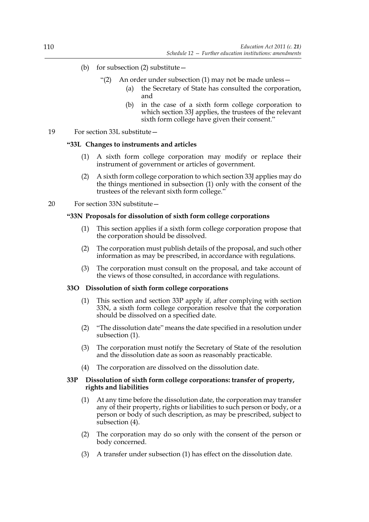- (b) for subsection  $(2)$  substitute
	- "(2) An order under subsection (1) may not be made unless
		- the Secretary of State has consulted the corporation, and
		- (b) in the case of a sixth form college corporation to which section 33J applies, the trustees of the relevant sixth form college have given their consent."
- 19 For section 33L substitute—

# **"33L Changes to instruments and articles**

- (1) A sixth form college corporation may modify or replace their instrument of government or articles of government.
- (2) A sixth form college corporation to which section 33J applies may do the things mentioned in subsection (1) only with the consent of the trustees of the relevant sixth form college."

# 20 For section 33N substitute—

# **"33N Proposals for dissolution of sixth form college corporations**

- (1) This section applies if a sixth form college corporation propose that the corporation should be dissolved.
- (2) The corporation must publish details of the proposal, and such other information as may be prescribed, in accordance with regulations.
- (3) The corporation must consult on the proposal, and take account of the views of those consulted, in accordance with regulations.

## **33O Dissolution of sixth form college corporations**

- (1) This section and section 33P apply if, after complying with section 33N, a sixth form college corporation resolve that the corporation should be dissolved on a specified date.
- (2) "The dissolution date" means the date specified in a resolution under subsection (1).
- (3) The corporation must notify the Secretary of State of the resolution and the dissolution date as soon as reasonably practicable.
- (4) The corporation are dissolved on the dissolution date.

## **33P Dissolution of sixth form college corporations: transfer of property, rights and liabilities**

- (1) At any time before the dissolution date, the corporation may transfer any of their property, rights or liabilities to such person or body, or a person or body of such description, as may be prescribed, subject to subsection (4).
- (2) The corporation may do so only with the consent of the person or body concerned.
- (3) A transfer under subsection (1) has effect on the dissolution date.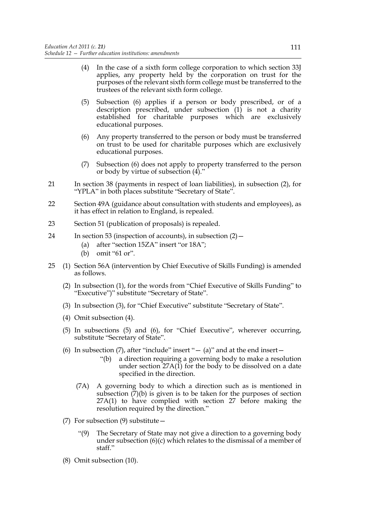- (4) In the case of a sixth form college corporation to which section 33J applies, any property held by the corporation on trust for the purposes of the relevant sixth form college must be transferred to the trustees of the relevant sixth form college.
- (5) Subsection (6) applies if a person or body prescribed, or of a description prescribed, under subsection (1) is not a charity established for charitable purposes which are exclusively educational purposes.
- (6) Any property transferred to the person or body must be transferred on trust to be used for charitable purposes which are exclusively educational purposes.
- (7) Subsection (6) does not apply to property transferred to the person or body by virtue of subsection (4)."
- 21 In section 38 (payments in respect of loan liabilities), in subsection (2), for "YPLA" in both places substitute "Secretary of State".
- 22 Section 49A (guidance about consultation with students and employees), as it has effect in relation to England, is repealed.
- 23 Section 51 (publication of proposals) is repealed.
- 24 In section 53 (inspection of accounts), in subsection (2)—
	- (a) after "section 15ZA" insert "or 18A";
	- (b) omit "61 or".
- 25 (1) Section 56A (intervention by Chief Executive of Skills Funding) is amended as follows.
	- (2) In subsection (1), for the words from "Chief Executive of Skills Funding" to "Executive")" substitute "Secretary of State".
	- (3) In subsection (3), for "Chief Executive" substitute "Secretary of State".
	- (4) Omit subsection (4).
	- (5) In subsections (5) and (6), for "Chief Executive", wherever occurring, substitute "Secretary of State".
	- (6) In subsection  $(7)$ , after "include" insert " (a)" and at the end insert
		- "(b) a direction requiring a governing body to make a resolution under section 27A(1) for the body to be dissolved on a date specified in the direction.
		- (7A) A governing body to which a direction such as is mentioned in subsection  $(\overline{7})(b)$  is given is to be taken for the purposes of section 27A(1) to have complied with section 27 before making the resolution required by the direction."
	- (7) For subsection (9) substitute—
		- "(9) The Secretary of State may not give a direction to a governing body under subsection (6)(c) which relates to the dismissal of a member of staff."
	- (8) Omit subsection (10).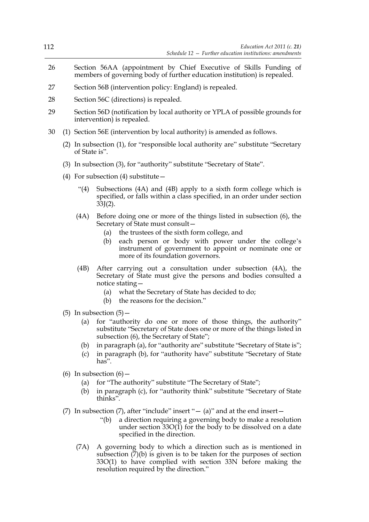| 112 |                                                                                                                                               | Education Act 2011 (c. $21$ )<br>Schedule $12$ – Further education institutions: amendments                                                                                                                                                                                                                                                                                          |  |  |
|-----|-----------------------------------------------------------------------------------------------------------------------------------------------|--------------------------------------------------------------------------------------------------------------------------------------------------------------------------------------------------------------------------------------------------------------------------------------------------------------------------------------------------------------------------------------|--|--|
| 26  | Section 56AA (appointment by Chief Executive of Skills Funding of<br>members of governing body of further education institution) is repealed. |                                                                                                                                                                                                                                                                                                                                                                                      |  |  |
| 27  | Section 56B (intervention policy: England) is repealed.                                                                                       |                                                                                                                                                                                                                                                                                                                                                                                      |  |  |
| 28  | Section 56C (directions) is repealed.                                                                                                         |                                                                                                                                                                                                                                                                                                                                                                                      |  |  |
| 29  | Section 56D (notification by local authority or YPLA of possible grounds for<br>intervention) is repealed.                                    |                                                                                                                                                                                                                                                                                                                                                                                      |  |  |
| 30  | (1) Section 56E (intervention by local authority) is amended as follows.                                                                      |                                                                                                                                                                                                                                                                                                                                                                                      |  |  |
|     | (2) In subsection (1), for "responsible local authority are" substitute "Secretary<br>of State is".                                           |                                                                                                                                                                                                                                                                                                                                                                                      |  |  |
|     | (3) In subsection (3), for "authority" substitute "Secretary of State".                                                                       |                                                                                                                                                                                                                                                                                                                                                                                      |  |  |
|     | (4) For subsection (4) substitute $-$                                                                                                         |                                                                                                                                                                                                                                                                                                                                                                                      |  |  |
|     | $\cdot$ (4)                                                                                                                                   | Subsections (4A) and (4B) apply to a sixth form college which is<br>specified, or falls within a class specified, in an order under section<br>$33J(2)$ .                                                                                                                                                                                                                            |  |  |
|     | (4A)                                                                                                                                          | Before doing one or more of the things listed in subsection $(6)$ , the<br>Secretary of State must consult-<br>the trustees of the sixth form college, and<br>(a)<br>each person or body with power under the college's<br>(b)<br>instrument of government to appoint or nominate one or<br>more of its foundation governors.                                                        |  |  |
|     | (4B)                                                                                                                                          | After carrying out a consultation under subsection (4A), the<br>Secretary of State must give the persons and bodies consulted a<br>notice stating -<br>what the Secretary of State has decided to do;<br>(a)<br>(b) the reasons for the decision."                                                                                                                                   |  |  |
|     | (b)<br>(c)                                                                                                                                    | (5) In subsection $(5)$ –<br>(a) for "authority do one or more of those things, the authority"<br>substitute "Secretary of State does one or more of the things listed in<br>subsection (6), the Secretary of State";<br>in paragraph (a), for "authority are" substitute "Secretary of State is";<br>in paragraph (b), for "authority have" substitute "Secretary of State<br>has". |  |  |
|     | (a)<br>(b)                                                                                                                                    | (6) In subsection $(6)$ –<br>for "The authority" substitute "The Secretary of State";<br>in paragraph (c), for "authority think" substitute "Secretary of State<br>thinks".                                                                                                                                                                                                          |  |  |
|     |                                                                                                                                               | (7) In subsection (7), after "include" insert " $-$ (a)" and at the end insert $-$<br>a direction requiring a governing body to make a resolution<br>"(b)<br>under section $33O(1)$ for the body to be dissolved on a date<br>specified in the direction.                                                                                                                            |  |  |
|     | (7A)                                                                                                                                          | A governing body to which a direction such as is mentioned in<br>subsection $(7)(b)$ is given is to be taken for the purposes of section<br>33O(1) to have complied with section 33N before making the                                                                                                                                                                               |  |  |

resolution required by the direction."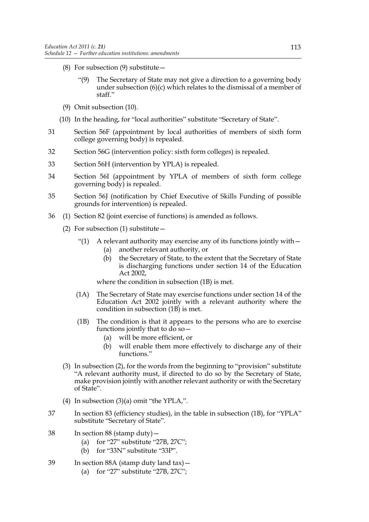- (8) For subsection (9) substitute—
	- "(9) The Secretary of State may not give a direction to a governing body under subsection (6)(c) which relates to the dismissal of a member of staff."
- (9) Omit subsection (10).
- (10) In the heading, for "local authorities" substitute "Secretary of State".
- 31 Section 56F (appointment by local authorities of members of sixth form college governing body) is repealed.
- 32 Section 56G (intervention policy: sixth form colleges) is repealed.
- 33 Section 56H (intervention by YPLA) is repealed.
- 34 Section 56I (appointment by YPLA of members of sixth form college governing body) is repealed.
- 35 Section 56J (notification by Chief Executive of Skills Funding of possible grounds for intervention) is repealed.
- 36 (1) Section 82 (joint exercise of functions) is amended as follows.
	- (2) For subsection (1) substitute  $-$ 
		- "(1) A relevant authority may exercise any of its functions jointly with  $-$ 
			- (a) another relevant authority, or
			- (b) the Secretary of State, to the extent that the Secretary of State is discharging functions under section 14 of the Education Act 2002,

where the condition in subsection (1B) is met.

- (1A) The Secretary of State may exercise functions under section 14 of the Education Act 2002 jointly with a relevant authority where the condition in subsection (1B) is met.
- (1B) The condition is that it appears to the persons who are to exercise functions jointly that to do so—
	- (a) will be more efficient, or
	- (b) will enable them more effectively to discharge any of their functions."
- (3) In subsection (2), for the words from the beginning to "provision" substitute "A relevant authority must, if directed to do so by the Secretary of State, make provision jointly with another relevant authority or with the Secretary of State".
- (4) In subsection (3)(a) omit "the YPLA,".
- 37 In section 83 (efficiency studies), in the table in subsection (1B), for "YPLA" substitute "Secretary of State".
- 38 In section 88 (stamp duty)—
	- (a) for "27" substitute "27B, 27C";
	- (b) for "33N" substitute "33P".
- 39 In section 88A (stamp duty land tax)—
	- (a) for "27" substitute "27B, 27C";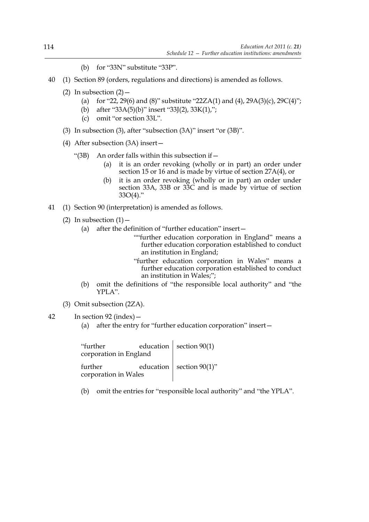- (b) for "33N" substitute "33P".
- 40 (1) Section 89 (orders, regulations and directions) is amended as follows.
	- (2) In subsection  $(2)$  -
		- (a) for "22, 29(6) and (8)" substitute "22ZA(1) and (4), 29A(3)(c), 29C(4)";
		- (b) after "33A(5)(b)" insert "33J(2), 33K(1),";
		- (c) omit "or section 33L".
	- (3) In subsection (3), after "subsection (3A)" insert "or (3B)".
	- (4) After subsection (3A) insert—
		- "(3B) An order falls within this subsection if—
			- (a) it is an order revoking (wholly or in part) an order under section 15 or 16 and is made by virtue of section 27A(4), or
			- (b) it is an order revoking (wholly or in part) an order under section 33A, 33B or 33C and is made by virtue of section  $33O(4)$ ."
- 41 (1) Section 90 (interpretation) is amended as follows.
	- (2) In subsection  $(1)$ 
		- (a) after the definition of "further education" insert—
			- ""further education corporation in England" means a further education corporation established to conduct an institution in England;
			- "further education corporation in Wales" means a further education corporation established to conduct an institution in Wales;";
		- (b) omit the definitions of "the responsible local authority" and "the YPLA".
	- (3) Omit subsection (2ZA).
- 42 In section 92 (index)—
	- (a) after the entry for "further education corporation" insert—

"further education corporation in England section 90(1) further education corporation in Wales section 90(1)"

(b) omit the entries for "responsible local authority" and "the YPLA".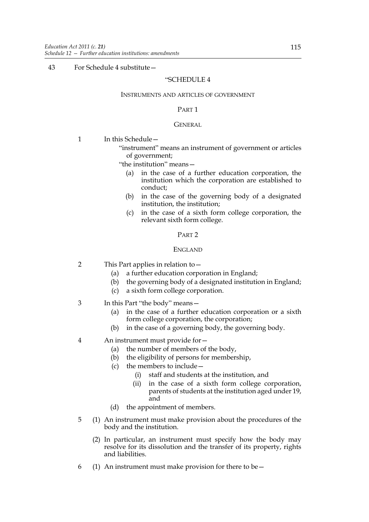# 43 For Schedule 4 substitute—

## "SCHEDULE 4

### INSTRUMENTS AND ARTICLES OF GOVERNMENT

## PART 1

## **GENERAL**

- 1 In this Schedule -
	- "instrument" means an instrument of government or articles of government;
	- "the institution" means—
		- (a) in the case of a further education corporation, the institution which the corporation are established to conduct;
		- (b) in the case of the governing body of a designated institution, the institution;
		- (c) in the case of a sixth form college corporation, the relevant sixth form college.

## PART 2

## ENGLAND

- 2 This Part applies in relation to—
	- (a) a further education corporation in England;
	- (b) the governing body of a designated institution in England;
	- (c) a sixth form college corporation.
- 3 In this Part "the body" means—
	- (a) in the case of a further education corporation or a sixth form college corporation, the corporation;
	- (b) in the case of a governing body, the governing body.
- 4 An instrument must provide for—
	- (a) the number of members of the body,
	- (b) the eligibility of persons for membership,
	- (c) the members to include—
		- (i) staff and students at the institution, and
		- (ii) in the case of a sixth form college corporation, parents of students at the institution aged under 19, and
	- (d) the appointment of members.
- 5 (1) An instrument must make provision about the procedures of the body and the institution.
	- (2) In particular, an instrument must specify how the body may resolve for its dissolution and the transfer of its property, rights and liabilities.
- 6 (1) An instrument must make provision for there to be  $-$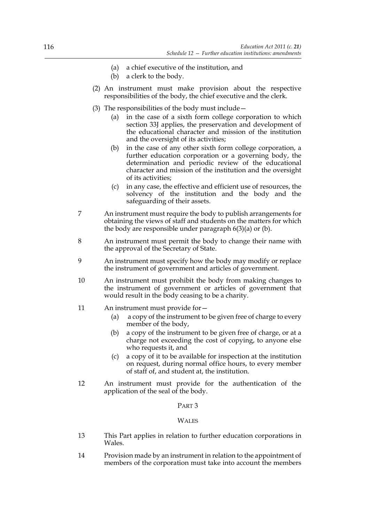- (a) a chief executive of the institution, and
- (b) a clerk to the body.
- (2) An instrument must make provision about the respective responsibilities of the body, the chief executive and the clerk.
- (3) The responsibilities of the body must include—
	- (a) in the case of a sixth form college corporation to which section 33J applies, the preservation and development of the educational character and mission of the institution and the oversight of its activities;
	- (b) in the case of any other sixth form college corporation, a further education corporation or a governing body, the determination and periodic review of the educational character and mission of the institution and the oversight of its activities;
	- (c) in any case, the effective and efficient use of resources, the solvency of the institution and the body and the safeguarding of their assets.
- 7 An instrument must require the body to publish arrangements for obtaining the views of staff and students on the matters for which the body are responsible under paragraph 6(3)(a) or (b).
- 8 An instrument must permit the body to change their name with the approval of the Secretary of State.
- 9 An instrument must specify how the body may modify or replace the instrument of government and articles of government.
- 10 An instrument must prohibit the body from making changes to the instrument of government or articles of government that would result in the body ceasing to be a charity.
- 11 An instrument must provide for—
	- (a) a copy of the instrument to be given free of charge to every member of the body,
	- (b) a copy of the instrument to be given free of charge, or at a charge not exceeding the cost of copying, to anyone else who requests it, and
	- (c) a copy of it to be available for inspection at the institution on request, during normal office hours, to every member of staff of, and student at, the institution.
- 12 An instrument must provide for the authentication of the application of the seal of the body.

## PART 3

## **WALES**

- 13 This Part applies in relation to further education corporations in Wales.
- 14 Provision made by an instrument in relation to the appointment of members of the corporation must take into account the members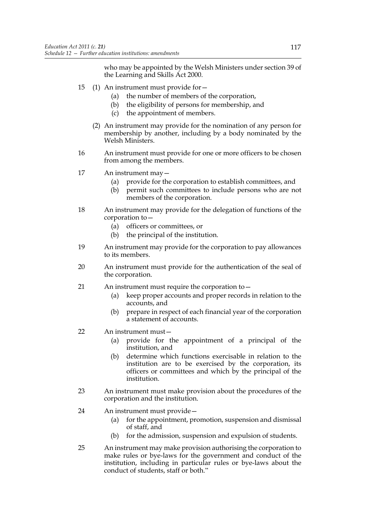who may be appointed by the Welsh Ministers under section 39 of the Learning and Skills Act 2000.

- 15 (1) An instrument must provide for—
	- (a) the number of members of the corporation,
	- (b) the eligibility of persons for membership, and
	- (c) the appointment of members.
	- (2) An instrument may provide for the nomination of any person for membership by another, including by a body nominated by the Welsh Ministers.
- 16 An instrument must provide for one or more officers to be chosen from among the members.
- 17 An instrument may—
	- (a) provide for the corporation to establish committees, and
	- (b) permit such committees to include persons who are not members of the corporation.
- 18 An instrument may provide for the delegation of functions of the corporation to—
	- (a) officers or committees, or
	- (b) the principal of the institution.
- 19 An instrument may provide for the corporation to pay allowances to its members.
- 20 An instrument must provide for the authentication of the seal of the corporation.
- 21 An instrument must require the corporation to—
	- (a) keep proper accounts and proper records in relation to the accounts, and
	- (b) prepare in respect of each financial year of the corporation a statement of accounts.
- 22 An instrument must—
	- (a) provide for the appointment of a principal of the institution, and
	- (b) determine which functions exercisable in relation to the institution are to be exercised by the corporation, its officers or committees and which by the principal of the institution.
- 23 An instrument must make provision about the procedures of the corporation and the institution.
- 24 An instrument must provide—
	- (a) for the appointment, promotion, suspension and dismissal of staff, and
	- (b) for the admission, suspension and expulsion of students.
- 25 An instrument may make provision authorising the corporation to make rules or bye-laws for the government and conduct of the institution, including in particular rules or bye-laws about the conduct of students, staff or both."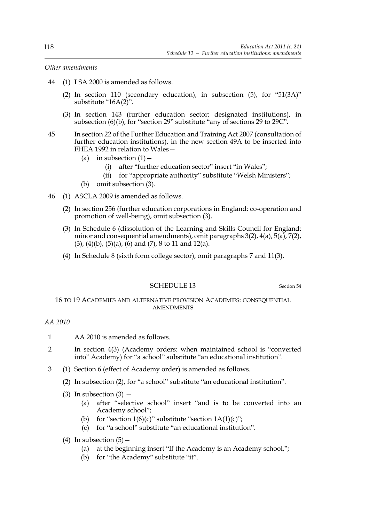*Other amendments*

- 44 (1) LSA 2000 is amended as follows.
	- (2) In section 110 (secondary education), in subsection (5), for "51(3A)" substitute "16A(2)".
	- (3) In section 143 (further education sector: designated institutions), in subsection (6)(b), for "section 29" substitute "any of sections 29 to 29C".
- 45 In section 22 of the Further Education and Training Act 2007 (consultation of further education institutions), in the new section 49A to be inserted into FHEA 1992 in relation to Wales—
	- (a) in subsection  $(1)$ 
		- (i) after "further education sector" insert "in Wales";
		- (ii) for "appropriate authority" substitute "Welsh Ministers";
	- (b) omit subsection (3).
- 46 (1) ASCLA 2009 is amended as follows.
	- (2) In section 256 (further education corporations in England: co-operation and promotion of well-being), omit subsection (3).
	- (3) In Schedule 6 (dissolution of the Learning and Skills Council for England: minor and consequential amendments), omit paragraphs 3(2), 4(a), 5(a), 7(2),  $(3)$ ,  $(4)(b)$ ,  $(5)(a)$ ,  $(6)$  and  $(7)$ ,  $8$  to 11 and 12 $(a)$ .
	- (4) In Schedule 8 (sixth form college sector), omit paragraphs 7 and 11(3).

# SCHEDULE 13 Section 54

# 16 TO 19 ACADEMIES AND ALTERNATIVE PROVISION ACADEMIES: CONSEQUENTIAL AMENDMENTS

# *AA 2010*

- 1 AA 2010 is amended as follows.
- 2 In section 4(3) (Academy orders: when maintained school is "converted into" Academy) for "a school" substitute "an educational institution".
- 3 (1) Section 6 (effect of Academy order) is amended as follows.
	- (2) In subsection (2), for "a school" substitute "an educational institution".
	- (3) In subsection  $(3)$ 
		- (a) after "selective school" insert "and is to be converted into an Academy school";
		- (b) for "section  $1(6)(c)$ " substitute "section  $1A(1)(c)$ ";
		- (c) for "a school" substitute "an educational institution".
	- (4) In subsection  $(5)$  -
		- (a) at the beginning insert "If the Academy is an Academy school,";
		- (b) for "the Academy" substitute "it".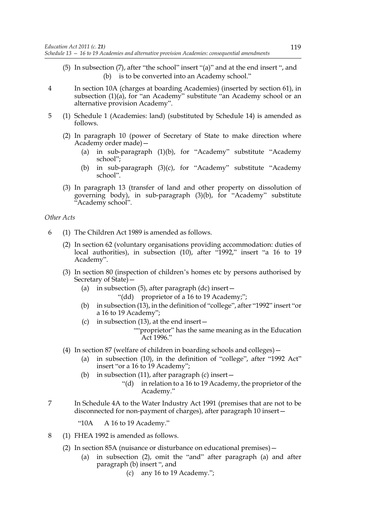- (5) In subsection (7), after "the school" insert "(a)" and at the end insert ", and (b) is to be converted into an Academy school."
- 4 In section 10A (charges at boarding Academies) (inserted by section 61), in subsection (1)(a), for "an Academy" substitute "an Academy school or an alternative provision Academy".
- 5 (1) Schedule 1 (Academies: land) (substituted by Schedule 14) is amended as follows.
	- (2) In paragraph 10 (power of Secretary of State to make direction where Academy order made)—
		- (a) in sub-paragraph (1)(b), for "Academy" substitute "Academy school";
		- (b) in sub-paragraph (3)(c), for "Academy" substitute "Academy school".
	- (3) In paragraph 13 (transfer of land and other property on dissolution of governing body), in sub-paragraph (3)(b), for "Academy" substitute "Academy school".

### *Other Acts*

- 6 (1) The Children Act 1989 is amended as follows.
	- (2) In section 62 (voluntary organisations providing accommodation: duties of local authorities), in subsection (10), after "1992," insert "a 16 to 19 Academy".
	- (3) In section 80 (inspection of children's homes etc by persons authorised by Secretary of State)—
		- (a) in subsection (5), after paragraph (dc) insert—
			- "(dd) proprietor of a 16 to 19 Academy;";
		- (b) in subsection (13), in the definition of "college", after "1992" insert "or a 16 to 19 Academy";
		- (c) in subsection  $(13)$ , at the end insert
			- ""proprietor" has the same meaning as in the Education  $Arf$  1996."
	- (4) In section 87 (welfare of children in boarding schools and colleges)—
		- (a) in subsection (10), in the definition of "college", after "1992 Act" insert "or a 16 to 19 Academy";
		- (b) in subsection (11), after paragraph (c) insert  $-$ 
			- "(d) in relation to a 16 to 19 Academy, the proprietor of the Academy."
- 7 In Schedule 4A to the Water Industry Act 1991 (premises that are not to be disconnected for non-payment of charges), after paragraph 10 insert—

"10A A 16 to 19 Academy."

- 8 (1) FHEA 1992 is amended as follows.
	- (2) In section 85A (nuisance or disturbance on educational premises)—
		- (a) in subsection (2), omit the "and" after paragraph (a) and after paragraph (b) insert ", and
			- (c) any 16 to 19 Academy.";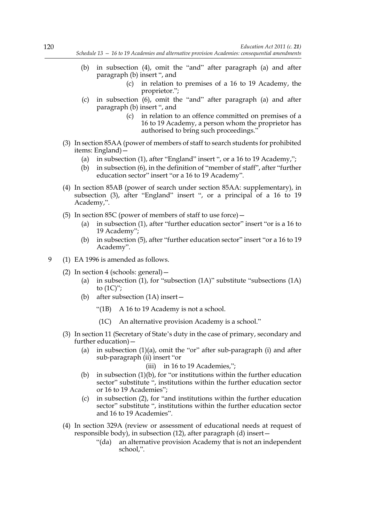- (b) in subsection (4), omit the "and" after paragraph (a) and after paragraph (b) insert ", and
	- (c) in relation to premises of a 16 to 19 Academy, the proprietor.";
- (c) in subsection (6), omit the "and" after paragraph (a) and after paragraph (b) insert ", and
	- (c) in relation to an offence committed on premises of a 16 to 19 Academy, a person whom the proprietor has authorised to bring such proceedings."
- (3) In section 85AA (power of members of staff to search students for prohibited items: England)—
	- (a) in subsection (1), after "England" insert ", or a 16 to 19 Academy,";
	- (b) in subsection (6), in the definition of "member of staff", after "further education sector" insert "or a 16 to 19 Academy".
- (4) In section 85AB (power of search under section 85AA: supplementary), in subsection (3), after "England" insert ", or a principal of a 16 to 19 Academy,".
- (5) In section 85C (power of members of staff to use force)—
	- (a) in subsection (1), after "further education sector" insert "or is a 16 to 19 Academy";
	- (b) in subsection (5), after "further education sector" insert "or a 16 to 19 Academy".
- 9 (1) EA 1996 is amended as follows.
	- (2) In section 4 (schools: general)—
		- (a) in subsection (1), for "subsection (1A)" substitute "subsections (1A) to  $(1C)$ ";
		- (b) after subsection (1A) insert—
			- "(1B) A 16 to 19 Academy is not a school.
			- (1C) An alternative provision Academy is a school."
	- (3) In section 11 (Secretary of State's duty in the case of primary, secondary and further education)—
		- (a) in subsection  $(1)(a)$ , omit the "or" after sub-paragraph  $(i)$  and after sub-paragraph (ii) insert "or

(iii) in 16 to 19 Academies,";

- (b) in subsection (1)(b), for "or institutions within the further education sector" substitute ", institutions within the further education sector or 16 to 19 Academies";
- (c) in subsection (2), for "and institutions within the further education sector" substitute ", institutions within the further education sector and 16 to 19 Academies".
- (4) In section 329A (review or assessment of educational needs at request of responsible body), in subsection (12), after paragraph (d) insert—
	- "(da) an alternative provision Academy that is not an independent school,".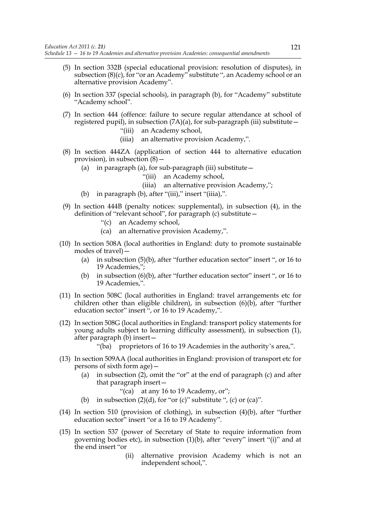- (5) In section 332B (special educational provision: resolution of disputes), in subsection (8)(c), for "or an Academy" substitute ", an Academy school or an alternative provision Academy".
- (6) In section 337 (special schools), in paragraph (b), for "Academy" substitute "Academy school".
- (7) In section 444 (offence: failure to secure regular attendance at school of registered pupil), in subsection  $(7A)(a)$ , for sub-paragraph (iii) substitute –
	- "(iii) an Academy school,
	- (iiia) an alternative provision Academy,".
- (8) In section 444ZA (application of section 444 to alternative education provision), in subsection (8)—
	- (a) in paragraph (a), for sub-paragraph (iii) substitute  $-$ 
		- "(iii) an Academy school,
		- (iiia) an alternative provision Academy,";
	- (b) in paragraph (b), after "(iii)," insert "(iiia),".
- (9) In section 444B (penalty notices: supplemental), in subsection (4), in the definition of "relevant school", for paragraph (c) substitute—
	- "(c) an Academy school,
	- (ca) an alternative provision Academy,".
- (10) In section 508A (local authorities in England: duty to promote sustainable modes of travel)—
	- (a) in subsection (5)(b), after "further education sector" insert ", or 16 to 19 Academies,";
	- (b) in subsection (6)(b), after "further education sector" insert ", or 16 to 19 Academies,".
- (11) In section 508C (local authorities in England: travel arrangements etc for children other than eligible children), in subsection (6)(b), after "further education sector" insert ", or 16 to 19 Academy,".
- (12) In section 508G (local authorities in England: transport policy statements for young adults subject to learning difficulty assessment), in subsection (1), after paragraph (b) insert—
	- "(ba) proprietors of 16 to 19 Academies in the authority's area,".
- (13) In section 509AA (local authorities in England: provision of transport etc for persons of sixth form age)—
	- (a) in subsection (2), omit the "or" at the end of paragraph (c) and after that paragraph insert—

"(ca) at any 16 to 19 Academy, or";

- (b) in subsection  $(2)(d)$ , for "or  $(c)$ " substitute ",  $(c)$  or  $(ca)$ ".
- (14) In section 510 (provision of clothing), in subsection (4)(b), after "further education sector" insert "or a 16 to 19 Academy".
- (15) In section 537 (power of Secretary of State to require information from governing bodies etc), in subsection (1)(b), after "every" insert "(i)" and at the end insert "or
	- (ii) alternative provision Academy which is not an independent school,".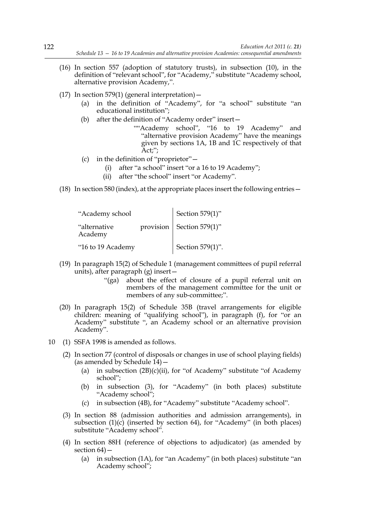- (16) In section 557 (adoption of statutory trusts), in subsection (10), in the definition of "relevant school", for "Academy," substitute "Academy school, alternative provision Academy,".
- (17) In section 579(1) (general interpretation)  $-$ 
	- (a) in the definition of "Academy", for "a school" substitute "an educational institution";
	- (b) after the definition of "Academy order" insert—
		- ""Academy school", "16 to 19 Academy" and "alternative provision Academy" have the meanings given by sections 1A, 1B and 1C respectively of that Act;";
	- (c) in the definition of "proprietor"—
		- (i) after "a school" insert "or a 16 to 19 Academy";
		- (ii) after "the school" insert "or Academy".
- (18) In section 580 (index), at the appropriate places insert the following entries—

| "Academy school"        | Section 579(1)" |                             |
|-------------------------|-----------------|-----------------------------|
| "alternative<br>Academy |                 | provision   Section 579(1)" |
| "16 to 19 Academy       |                 | Section 579(1)".            |

- (19) In paragraph 15(2) of Schedule 1 (management committees of pupil referral units), after paragraph (g) insert—
	- "(ga) about the effect of closure of a pupil referral unit on members of the management committee for the unit or members of any sub-committee;".
- (20) In paragraph 15(2) of Schedule 35B (travel arrangements for eligible children: meaning of "qualifying school"), in paragraph (f), for "or an Academy" substitute ", an Academy school or an alternative provision Academy".
- 10 (1) SSFA 1998 is amended as follows.
	- (2) In section 77 (control of disposals or changes in use of school playing fields) (as amended by Schedule  $14$ ) –
		- (a) in subsection  $(2B)(c)(ii)$ , for "of Academy" substitute "of Academy" school";
		- (b) in subsection (3), for "Academy" (in both places) substitute "Academy school";
		- (c) in subsection (4B), for "Academy" substitute "Academy school".
	- (3) In section 88 (admission authorities and admission arrangements), in subsection (1)(c) (inserted by section 64), for "Academy" (in both places) substitute "Academy school".
	- (4) In section 88H (reference of objections to adjudicator) (as amended by section 64)—
		- (a) in subsection (1A), for "an Academy" (in both places) substitute "an Academy school";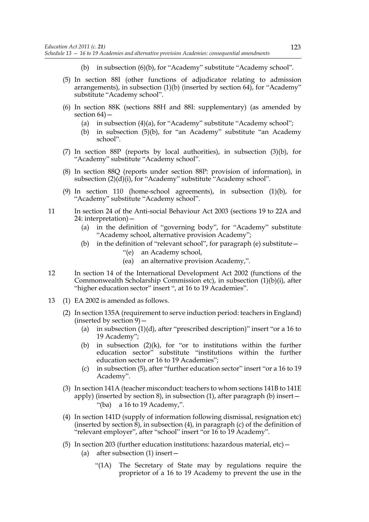- (b) in subsection (6)(b), for "Academy" substitute "Academy school".
- (5) In section 88I (other functions of adjudicator relating to admission arrangements), in subsection (1)(b) (inserted by section 64), for "Academy" substitute "Academy school".
- (6) In section 88K (sections 88H and 88I: supplementary) (as amended by section 64)—
	- (a) in subsection (4)(a), for "Academy" substitute "Academy school";
	- (b) in subsection (5)(b), for "an Academy" substitute "an Academy school".
- (7) In section 88P (reports by local authorities), in subsection (3)(b), for "Academy" substitute "Academy school".
- (8) In section 88Q (reports under section 88P: provision of information), in subsection  $(2)(d)(i)$ , for "Academy" substitute "Academy school".
- (9) In section 110 (home-school agreements), in subsection (1)(b), for "Academy" substitute "Academy school".
- 11 In section 24 of the Anti-social Behaviour Act 2003 (sections 19 to 22A and 24: interpretation)—
	- (a) in the definition of "governing body", for "Academy" substitute "Academy school, alternative provision Academy";
	- (b) in the definition of "relevant school", for paragraph (e) substitute—
		- "(e) an Academy school,
		- (ea) an alternative provision Academy,".
- 12 In section 14 of the International Development Act 2002 (functions of the Commonwealth Scholarship Commission etc), in subsection (1)(b)(i), after "higher education sector" insert ", at 16 to 19 Academies".
- 13 (1) EA 2002 is amended as follows.
	- (2) In section 135A (requirement to serve induction period: teachers in England) (inserted by section 9)—
		- (a) in subsection (1)(d), after "prescribed description)" insert "or a 16 to 19 Academy";
		- (b) in subsection  $(2)(k)$ , for "or to institutions within the further education sector<sup>"</sup> substitute "institutions within the further education sector or 16 to 19 Academies";
		- (c) in subsection (5), after "further education sector" insert "or a 16 to 19 Academy".
	- (3) In section 141A (teacher misconduct: teachers to whom sections 141B to 141E apply) (inserted by section 8), in subsection (1), after paragraph (b) insert— "(ba) a 16 to 19 Academy,".
	- (4) In section 141D (supply of information following dismissal, resignation etc) (inserted by section  $\overline{8}$ ), in subsection (4), in paragraph (c) of the definition of "relevant employer", after "school" insert "or 16 to 19 Academy".
	- (5) In section 203 (further education institutions: hazardous material, etc)— (a) after subsection (1) insert—
		- "(1A) The Secretary of State may by regulations require the proprietor of a 16 to 19 Academy to prevent the use in the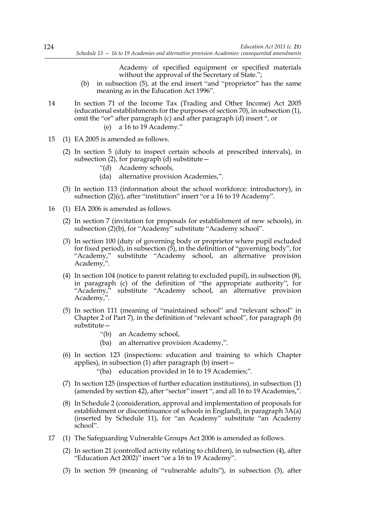Academy of specified equipment or specified materials without the approval of the Secretary of State.";

- (b) in subsection (5), at the end insert "and "proprietor" has the same meaning as in the Education Act 1996".
- 14 In section 71 of the Income Tax (Trading and Other Income) Act 2005 (educational establishments for the purposes of section 70), in subsection (1), omit the "or" after paragraph (c) and after paragraph (d) insert ", or
	- (e) a 16 to 19 Academy."
- 15 (1) EA 2005 is amended as follows.
	- (2) In section 5 (duty to inspect certain schools at prescribed intervals), in subsection (2), for paragraph (d) substitute  $-$ 
		- "(d) Academy schools,
		- (da) alternative provision Academies,".
	- (3) In section 113 (information about the school workforce: introductory), in subsection (2)(c), after "institution" insert "or a 16 to 19 Academy".
- 16 (1) EIA 2006 is amended as follows.
	- (2) In section 7 (invitation for proposals for establishment of new schools), in subsection (2)(b), for "Academy" substitute "Academy school".
	- (3) In section 100 (duty of governing body or proprietor where pupil excluded for fixed period), in subsection (5), in the definition of "governing body", for "Academy," substitute "Academy school, an alternative provision Academy,".
	- (4) In section 104 (notice to parent relating to excluded pupil), in subsection (8), in paragraph (c) of the definition of "the appropriate authority", for "Academy," substitute "Academy school, an alternative provision Academy,".
	- (5) In section 111 (meaning of "maintained school" and "relevant school" in Chapter 2 of Part 7), in the definition of "relevant school", for paragraph (b) substitute—
		- "(b) an Academy school,
		- (ba) an alternative provision Academy,".
	- (6) In section 123 (inspections: education and training to which Chapter applies), in subsection (1) after paragraph (b) insert—
		- "(ba) education provided in 16 to 19 Academies;".
	- (7) In section 125 (inspection of further education institutions), in subsection (1) (amended by section 42), after "sector" insert ", and all 16 to 19 Academies,".
	- (8) In Schedule 2 (consideration, approval and implementation of proposals for establishment or discontinuance of schools in England), in paragraph 3A(a) (inserted by Schedule 11), for "an Academy" substitute "an Academy school".
- 17 (1) The Safeguarding Vulnerable Groups Act 2006 is amended as follows.
	- (2) In section 21 (controlled activity relating to children), in subsection (4), after "Education Act 2002)" insert "or a 16 to 19 Academy".
	- (3) In section 59 (meaning of "vulnerable adults"), in subsection (3), after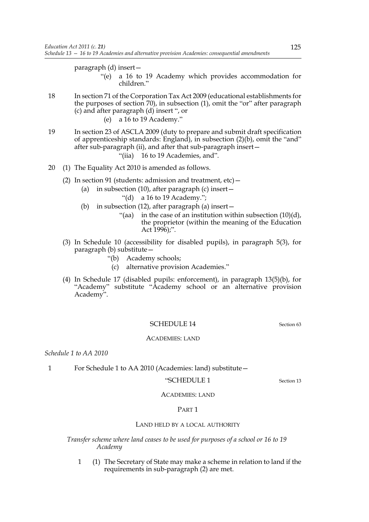paragraph (d) insert—

- "(e) a 16 to 19 Academy which provides accommodation for children."
- 18 In section 71 of the Corporation Tax Act 2009 (educational establishments for the purposes of section 70), in subsection (1), omit the "or" after paragraph (c) and after paragraph (d) insert ", or
	- (e) a 16 to 19 Academy."
- 19 In section 23 of ASCLA 2009 (duty to prepare and submit draft specification of apprenticeship standards: England), in subsection (2)(b), omit the "and" after sub-paragraph (ii), and after that sub-paragraph insert— "(iia) 16 to 19 Academies, and".
- 20 (1) The Equality Act 2010 is amended as follows.
	- (2) In section 91 (students: admission and treatment, etc)—
		- (a) in subsection (10), after paragraph (c) insert  $-$ 
			- "(d) a 16 to 19 Academy.";
		- (b) in subsection (12), after paragraph (a) insert—
			- "(aa) in the case of an institution within subsection (10)(d), the proprietor (within the meaning of the Education Act  $1996$ );".
	- (3) In Schedule 10 (accessibility for disabled pupils), in paragraph 5(3), for paragraph (b) substitute—
		- "(b) Academy schools;
			- (c) alternative provision Academies."
	- (4) In Schedule 17 (disabled pupils: enforcement), in paragraph 13(5)(b), for "Academy" substitute "Academy school or an alternative provision Academy".

# SCHEDULE 14 Section 63

#### ACADEMIES: LAND

*Schedule 1 to AA 2010*

## 1 For Schedule 1 to AA 2010 (Academies: land) substitute—

### "SCHEDULE 1 Section 13

ACADEMIES: LAND

## PART 1

## LAND HELD BY A LOCAL AUTHORITY

*Transfer scheme where land ceases to be used for purposes of a school or 16 to 19 Academy*

1 (1) The Secretary of State may make a scheme in relation to land if the requirements in sub-paragraph (2) are met.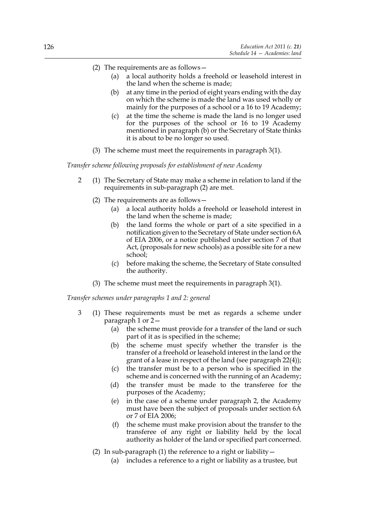- (2) The requirements are as follows—
	- (a) a local authority holds a freehold or leasehold interest in the land when the scheme is made;
	- (b) at any time in the period of eight years ending with the day on which the scheme is made the land was used wholly or mainly for the purposes of a school or a 16 to 19 Academy;
	- (c) at the time the scheme is made the land is no longer used for the purposes of the school or 16 to 19 Academy mentioned in paragraph (b) or the Secretary of State thinks it is about to be no longer so used.
- (3) The scheme must meet the requirements in paragraph 3(1).

*Transfer scheme following proposals for establishment of new Academy*

- 2 (1) The Secretary of State may make a scheme in relation to land if the requirements in sub-paragraph (2) are met.
	- (2) The requirements are as follows—
		- (a) a local authority holds a freehold or leasehold interest in the land when the scheme is made;
		- (b) the land forms the whole or part of a site specified in a notification given to the Secretary of State under section 6A of EIA 2006, or a notice published under section 7 of that Act, (proposals for new schools) as a possible site for a new school;
		- (c) before making the scheme, the Secretary of State consulted the authority.
	- (3) The scheme must meet the requirements in paragraph 3(1).

*Transfer schemes under paragraphs 1 and 2: general*

- 3 (1) These requirements must be met as regards a scheme under paragraph 1 or 2—
	- (a) the scheme must provide for a transfer of the land or such part of it as is specified in the scheme;
	- (b) the scheme must specify whether the transfer is the transfer of a freehold or leasehold interest in the land or the grant of a lease in respect of the land (see paragraph 22(4));
	- (c) the transfer must be to a person who is specified in the scheme and is concerned with the running of an Academy;
	- (d) the transfer must be made to the transferee for the purposes of the Academy;
	- (e) in the case of a scheme under paragraph 2, the Academy must have been the subject of proposals under section 6A or 7 of EIA 2006;
	- (f) the scheme must make provision about the transfer to the transferee of any right or liability held by the local authority as holder of the land or specified part concerned.
	- (2) In sub-paragraph (1) the reference to a right or liability  $-$ 
		- (a) includes a reference to a right or liability as a trustee, but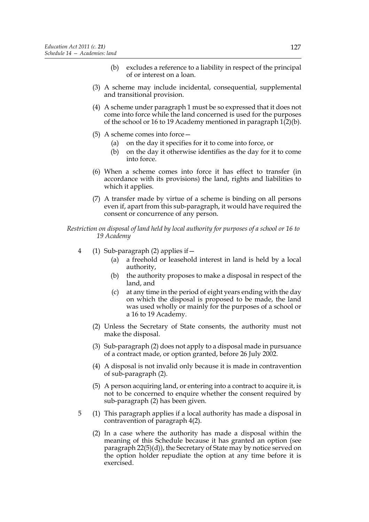- (b) excludes a reference to a liability in respect of the principal of or interest on a loan.
- (3) A scheme may include incidental, consequential, supplemental and transitional provision.
- (4) A scheme under paragraph 1 must be so expressed that it does not come into force while the land concerned is used for the purposes of the school or 16 to 19 Academy mentioned in paragraph  $1(2)(b)$ .
- (5) A scheme comes into force—
	- (a) on the day it specifies for it to come into force, or
	- (b) on the day it otherwise identifies as the day for it to come into force.
- (6) When a scheme comes into force it has effect to transfer (in accordance with its provisions) the land, rights and liabilities to which it applies.
- (7) A transfer made by virtue of a scheme is binding on all persons even if, apart from this sub-paragraph, it would have required the consent or concurrence of any person.

*Restriction on disposal of land held by local authority for purposes of a school or 16 to 19 Academy*

- 4 (1) Sub-paragraph (2) applies if—
	- (a) a freehold or leasehold interest in land is held by a local authority,
	- (b) the authority proposes to make a disposal in respect of the land, and
	- (c) at any time in the period of eight years ending with the day on which the disposal is proposed to be made, the land was used wholly or mainly for the purposes of a school or a 16 to 19 Academy.
	- (2) Unless the Secretary of State consents, the authority must not make the disposal.
	- (3) Sub-paragraph (2) does not apply to a disposal made in pursuance of a contract made, or option granted, before 26 July 2002.
	- (4) A disposal is not invalid only because it is made in contravention of sub-paragraph (2).
	- (5) A person acquiring land, or entering into a contract to acquire it, is not to be concerned to enquire whether the consent required by sub-paragraph (2) has been given.
- 5 (1) This paragraph applies if a local authority has made a disposal in contravention of paragraph 4(2).
	- (2) In a case where the authority has made a disposal within the meaning of this Schedule because it has granted an option (see paragraph 22(5)(d)), the Secretary of State may by notice served on the option holder repudiate the option at any time before it is exercised.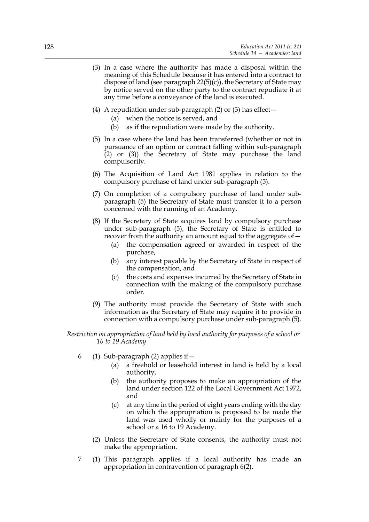- (3) In a case where the authority has made a disposal within the meaning of this Schedule because it has entered into a contract to dispose of land (see paragraph 22(5)(c)), the Secretary of State may by notice served on the other party to the contract repudiate it at any time before a conveyance of the land is executed.
- (4) A repudiation under sub-paragraph (2) or (3) has effect—
	- (a) when the notice is served, and
	- (b) as if the repudiation were made by the authority.
- (5) In a case where the land has been transferred (whether or not in pursuance of an option or contract falling within sub-paragraph (2) or (3)) the Secretary of State may purchase the land compulsorily.
- (6) The Acquisition of Land Act 1981 applies in relation to the compulsory purchase of land under sub-paragraph (5).
- (7) On completion of a compulsory purchase of land under subparagraph (5) the Secretary of State must transfer it to a person concerned with the running of an Academy.
- (8) If the Secretary of State acquires land by compulsory purchase under sub-paragraph (5), the Secretary of State is entitled to recover from the authority an amount equal to the aggregate of—
	- (a) the compensation agreed or awarded in respect of the purchase,
	- (b) any interest payable by the Secretary of State in respect of the compensation, and
	- (c) the costs and expenses incurred by the Secretary of State in connection with the making of the compulsory purchase order.
- (9) The authority must provide the Secretary of State with such information as the Secretary of State may require it to provide in connection with a compulsory purchase under sub-paragraph (5).

*Restriction on appropriation of land held by local authority for purposes of a school or 16 to 19 Academy*

- 6 (1) Sub-paragraph (2) applies if  $-$ 
	- (a) a freehold or leasehold interest in land is held by a local authority,
	- (b) the authority proposes to make an appropriation of the land under section 122 of the Local Government Act 1972, and
	- (c) at any time in the period of eight years ending with the day on which the appropriation is proposed to be made the land was used wholly or mainly for the purposes of a school or a 16 to 19 Academy.
	- (2) Unless the Secretary of State consents, the authority must not make the appropriation.
- 7 (1) This paragraph applies if a local authority has made an appropriation in contravention of paragraph 6(2).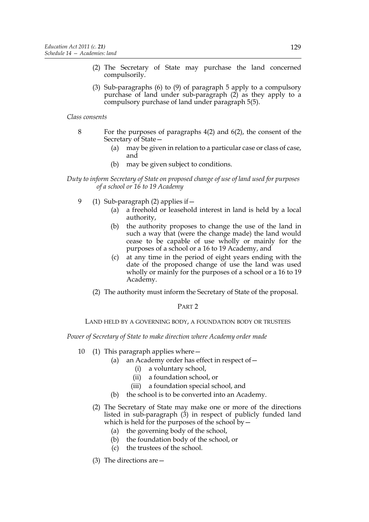- (2) The Secretary of State may purchase the land concerned compulsorily.
- (3) Sub-paragraphs (6) to (9) of paragraph 5 apply to a compulsory purchase of land under sub-paragraph (2) as they apply to a compulsory purchase of land under paragraph 5(5).

# *Class consents*

- 8 For the purposes of paragraphs 4(2) and 6(2), the consent of the Secretary of State—
	- (a) may be given in relation to a particular case or class of case, and
	- (b) may be given subject to conditions.

# *Duty to inform Secretary of State on proposed change of use of land used for purposes of a school or 16 to 19 Academy*

- 9 (1) Sub-paragraph (2) applies if—
	- (a) a freehold or leasehold interest in land is held by a local authority,
	- (b) the authority proposes to change the use of the land in such a way that (were the change made) the land would cease to be capable of use wholly or mainly for the purposes of a school or a 16 to 19 Academy, and
	- (c) at any time in the period of eight years ending with the date of the proposed change of use the land was used wholly or mainly for the purposes of a school or a 16 to 19 Academy.
	- (2) The authority must inform the Secretary of State of the proposal.

# PART 2

# LAND HELD BY A GOVERNING BODY, A FOUNDATION BODY OR TRUSTEES

*Power of Secretary of State to make direction where Academy order made*

- 10 (1) This paragraph applies where—
	- (a) an Academy order has effect in respect of—
		- (i) a voluntary school,
		- (ii) a foundation school, or
		- (iii) a foundation special school, and
	- (b) the school is to be converted into an Academy.
	- (2) The Secretary of State may make one or more of the directions listed in sub-paragraph (3) in respect of publicly funded land which is held for the purposes of the school by  $-$ 
		- (a) the governing body of the school,
		- (b) the foundation body of the school, or
		- (c) the trustees of the school.
	- (3) The directions are—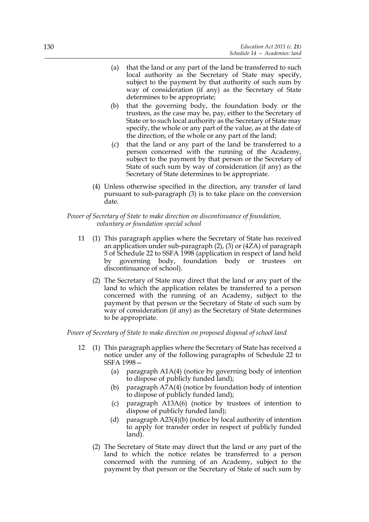- (a) that the land or any part of the land be transferred to such local authority as the Secretary of State may specify, subject to the payment by that authority of such sum by way of consideration (if any) as the Secretary of State determines to be appropriate;
- (b) that the governing body, the foundation body or the trustees, as the case may be, pay, either to the Secretary of State or to such local authority as the Secretary of State may specify, the whole or any part of the value, as at the date of the direction, of the whole or any part of the land;
- (c) that the land or any part of the land be transferred to a person concerned with the running of the Academy, subject to the payment by that person or the Secretary of State of such sum by way of consideration (if any) as the Secretary of State determines to be appropriate.
- (4) Unless otherwise specified in the direction, any transfer of land pursuant to sub-paragraph (3) is to take place on the conversion date.

*Power of Secretary of State to make direction on discontinuance of foundation, voluntary or foundation special school*

- 11 (1) This paragraph applies where the Secretary of State has received an application under sub-paragraph (2), (3) or (4ZA) of paragraph 5 of Schedule 22 to SSFA 1998 (application in respect of land held by governing body, foundation body or trustees on discontinuance of school).
	- (2) The Secretary of State may direct that the land or any part of the land to which the application relates be transferred to a person concerned with the running of an Academy, subject to the payment by that person or the Secretary of State of such sum by way of consideration (if any) as the Secretary of State determines to be appropriate.

*Power of Secretary of State to make direction on proposed disposal of school land*

- 12 (1) This paragraph applies where the Secretary of State has received a notice under any of the following paragraphs of Schedule 22 to SSFA 1998—
	- (a) paragraph A1A(4) (notice by governing body of intention to dispose of publicly funded land);
	- (b) paragraph A7A(4) (notice by foundation body of intention to dispose of publicly funded land);
	- (c) paragraph A13A(6) (notice by trustees of intention to dispose of publicly funded land);
	- (d) paragraph A23(4)(b) (notice by local authority of intention to apply for transfer order in respect of publicly funded land).
	- (2) The Secretary of State may direct that the land or any part of the land to which the notice relates be transferred to a person concerned with the running of an Academy, subject to the payment by that person or the Secretary of State of such sum by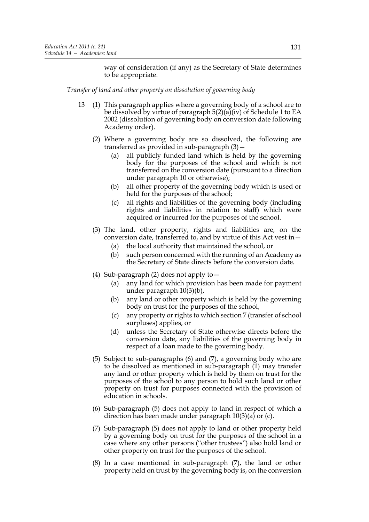way of consideration (if any) as the Secretary of State determines to be appropriate.

*Transfer of land and other property on dissolution of governing body*

- 13 (1) This paragraph applies where a governing body of a school are to be dissolved by virtue of paragraph  $5(2)(a)(iv)$  of Schedule 1 to EA 2002 (dissolution of governing body on conversion date following Academy order).
	- (2) Where a governing body are so dissolved, the following are transferred as provided in sub-paragraph (3)—
		- (a) all publicly funded land which is held by the governing body for the purposes of the school and which is not transferred on the conversion date (pursuant to a direction under paragraph 10 or otherwise);
		- (b) all other property of the governing body which is used or held for the purposes of the school;
		- (c) all rights and liabilities of the governing body (including rights and liabilities in relation to staff) which were acquired or incurred for the purposes of the school.
	- (3) The land, other property, rights and liabilities are, on the conversion date, transferred to, and by virtue of this Act vest in—
		- (a) the local authority that maintained the school, or
		- (b) such person concerned with the running of an Academy as the Secretary of State directs before the conversion date.
	- (4) Sub-paragraph (2) does not apply to—
		- (a) any land for which provision has been made for payment under paragraph 10(3)(b),
		- (b) any land or other property which is held by the governing body on trust for the purposes of the school,
		- (c) any property or rights to which section 7 (transfer of school surpluses) applies, or
		- (d) unless the Secretary of State otherwise directs before the conversion date, any liabilities of the governing body in respect of a loan made to the governing body.
	- (5) Subject to sub-paragraphs (6) and (7), a governing body who are to be dissolved as mentioned in sub-paragraph (1) may transfer any land or other property which is held by them on trust for the purposes of the school to any person to hold such land or other property on trust for purposes connected with the provision of education in schools.
	- (6) Sub-paragraph (5) does not apply to land in respect of which a direction has been made under paragraph 10(3)(a) or (c).
	- (7) Sub-paragraph (5) does not apply to land or other property held by a governing body on trust for the purposes of the school in a case where any other persons ("other trustees") also hold land or other property on trust for the purposes of the school.
	- (8) In a case mentioned in sub-paragraph (7), the land or other property held on trust by the governing body is, on the conversion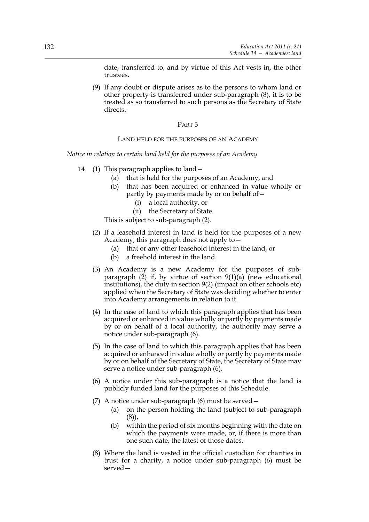date, transferred to, and by virtue of this Act vests in, the other trustees.

(9) If any doubt or dispute arises as to the persons to whom land or other property is transferred under sub-paragraph (8), it is to be treated as so transferred to such persons as the Secretary of State directs.

## PART 3

## LAND HELD FOR THE PURPOSES OF AN ACADEMY

*Notice in relation to certain land held for the purposes of an Academy*

- 14 (1) This paragraph applies to land—
	- (a) that is held for the purposes of an Academy, and
	- (b) that has been acquired or enhanced in value wholly or partly by payments made by or on behalf of—
		- (i) a local authority, or
		- (ii) the Secretary of State.

This is subject to sub-paragraph (2).

- (2) If a leasehold interest in land is held for the purposes of a new Academy, this paragraph does not apply to—
	- (a) that or any other leasehold interest in the land, or
	- (b) a freehold interest in the land.
- (3) An Academy is a new Academy for the purposes of subparagraph  $(2)$  if, by virtue of section  $9(1)(a)$  (new educational institutions), the duty in section 9(2) (impact on other schools etc) applied when the Secretary of State was deciding whether to enter into Academy arrangements in relation to it.
- (4) In the case of land to which this paragraph applies that has been acquired or enhanced in value wholly or partly by payments made by or on behalf of a local authority, the authority may serve a notice under sub-paragraph (6).
- (5) In the case of land to which this paragraph applies that has been acquired or enhanced in value wholly or partly by payments made by or on behalf of the Secretary of State, the Secretary of State may serve a notice under sub-paragraph (6).
- (6) A notice under this sub-paragraph is a notice that the land is publicly funded land for the purposes of this Schedule.
- (7) A notice under sub-paragraph (6) must be served—
	- (a) on the person holding the land (subject to sub-paragraph (8)),
	- (b) within the period of six months beginning with the date on which the payments were made, or, if there is more than one such date, the latest of those dates.
- (8) Where the land is vested in the official custodian for charities in trust for a charity, a notice under sub-paragraph (6) must be served—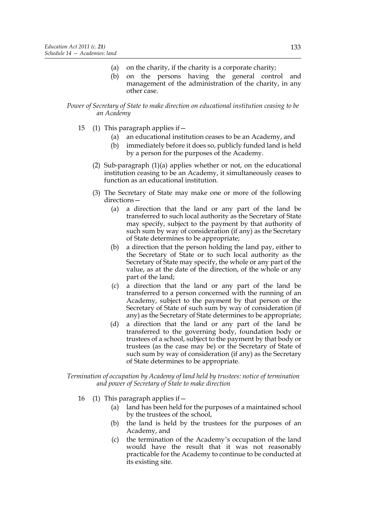- (a) on the charity, if the charity is a corporate charity;
- (b) on the persons having the general control and management of the administration of the charity, in any other case.

# *Power of Secretary of State to make direction on educational institution ceasing to be an Academy*

- 15 (1) This paragraph applies if—
	- (a) an educational institution ceases to be an Academy, and
	- (b) immediately before it does so, publicly funded land is held by a person for the purposes of the Academy.
	- (2) Sub-paragraph (1)(a) applies whether or not, on the educational institution ceasing to be an Academy, it simultaneously ceases to function as an educational institution.
	- (3) The Secretary of State may make one or more of the following directions—
		- (a) a direction that the land or any part of the land be transferred to such local authority as the Secretary of State may specify, subject to the payment by that authority of such sum by way of consideration (if any) as the Secretary of State determines to be appropriate;
		- (b) a direction that the person holding the land pay, either to the Secretary of State or to such local authority as the Secretary of State may specify, the whole or any part of the value, as at the date of the direction, of the whole or any part of the land;
		- (c) a direction that the land or any part of the land be transferred to a person concerned with the running of an Academy, subject to the payment by that person or the Secretary of State of such sum by way of consideration (if any) as the Secretary of State determines to be appropriate;
		- (d) a direction that the land or any part of the land be transferred to the governing body, foundation body or trustees of a school, subject to the payment by that body or trustees (as the case may be) or the Secretary of State of such sum by way of consideration (if any) as the Secretary of State determines to be appropriate.

*Termination of occupation by Academy of land held by trustees: notice of termination and power of Secretary of State to make direction*

- 16 (1) This paragraph applies if—
	- (a) land has been held for the purposes of a maintained school by the trustees of the school,
	- (b) the land is held by the trustees for the purposes of an Academy, and
	- (c) the termination of the Academy's occupation of the land would have the result that it was not reasonably practicable for the Academy to continue to be conducted at its existing site.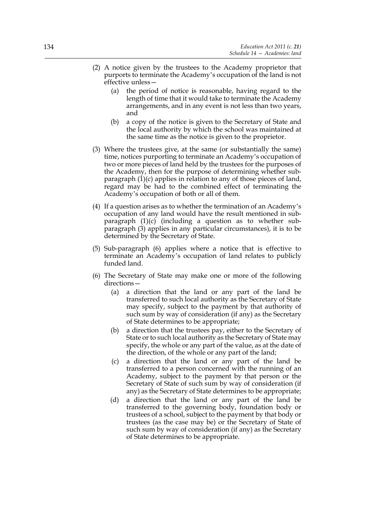- (2) A notice given by the trustees to the Academy proprietor that purports to terminate the Academy's occupation of the land is not effective unless—
	- (a) the period of notice is reasonable, having regard to the length of time that it would take to terminate the Academy arrangements, and in any event is not less than two years, and
	- (b) a copy of the notice is given to the Secretary of State and the local authority by which the school was maintained at the same time as the notice is given to the proprietor.
- (3) Where the trustees give, at the same (or substantially the same) time, notices purporting to terminate an Academy's occupation of two or more pieces of land held by the trustees for the purposes of the Academy, then for the purpose of determining whether subparagraph  $(1)(c)$  applies in relation to any of those pieces of land, regard may be had to the combined effect of terminating the Academy's occupation of both or all of them.
- (4) If a question arises as to whether the termination of an Academy's occupation of any land would have the result mentioned in subparagraph  $(1)(c)$  (including a question as to whether subparagraph (3) applies in any particular circumstances), it is to be determined by the Secretary of State.
- (5) Sub-paragraph (6) applies where a notice that is effective to terminate an Academy's occupation of land relates to publicly funded land.
- (6) The Secretary of State may make one or more of the following directions—
	- (a) a direction that the land or any part of the land be transferred to such local authority as the Secretary of State may specify, subject to the payment by that authority of such sum by way of consideration (if any) as the Secretary of State determines to be appropriate;
	- (b) a direction that the trustees pay, either to the Secretary of State or to such local authority as the Secretary of State may specify, the whole or any part of the value, as at the date of the direction, of the whole or any part of the land;
	- (c) a direction that the land or any part of the land be transferred to a person concerned with the running of an Academy, subject to the payment by that person or the Secretary of State of such sum by way of consideration (if any) as the Secretary of State determines to be appropriate;
	- (d) a direction that the land or any part of the land be transferred to the governing body, foundation body or trustees of a school, subject to the payment by that body or trustees (as the case may be) or the Secretary of State of such sum by way of consideration (if any) as the Secretary of State determines to be appropriate.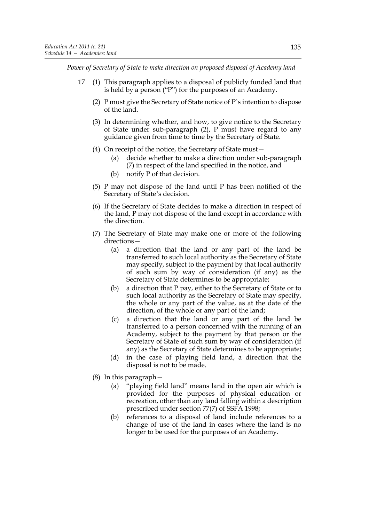*Power of Secretary of State to make direction on proposed disposal of Academy land*

- 17 (1) This paragraph applies to a disposal of publicly funded land that is held by a person ("P") for the purposes of an Academy.
	- (2) P must give the Secretary of State notice of P's intention to dispose of the land.
	- (3) In determining whether, and how, to give notice to the Secretary of State under sub-paragraph (2), P must have regard to any guidance given from time to time by the Secretary of State.
	- (4) On receipt of the notice, the Secretary of State must—
		- (a) decide whether to make a direction under sub-paragraph (7) in respect of the land specified in the notice, and
		- (b) notify P of that decision.
	- (5) P may not dispose of the land until P has been notified of the Secretary of State's decision.
	- (6) If the Secretary of State decides to make a direction in respect of the land, P may not dispose of the land except in accordance with the direction.
	- (7) The Secretary of State may make one or more of the following directions—
		- (a) a direction that the land or any part of the land be transferred to such local authority as the Secretary of State may specify, subject to the payment by that local authority of such sum by way of consideration (if any) as the Secretary of State determines to be appropriate;
		- (b) a direction that P pay, either to the Secretary of State or to such local authority as the Secretary of State may specify, the whole or any part of the value, as at the date of the direction, of the whole or any part of the land;
		- (c) a direction that the land or any part of the land be transferred to a person concerned with the running of an Academy, subject to the payment by that person or the Secretary of State of such sum by way of consideration (if any) as the Secretary of State determines to be appropriate;
		- (d) in the case of playing field land, a direction that the disposal is not to be made.
	- (8) In this paragraph—
		- (a) "playing field land" means land in the open air which is provided for the purposes of physical education or recreation, other than any land falling within a description prescribed under section 77(7) of SSFA 1998;
		- (b) references to a disposal of land include references to a change of use of the land in cases where the land is no longer to be used for the purposes of an Academy.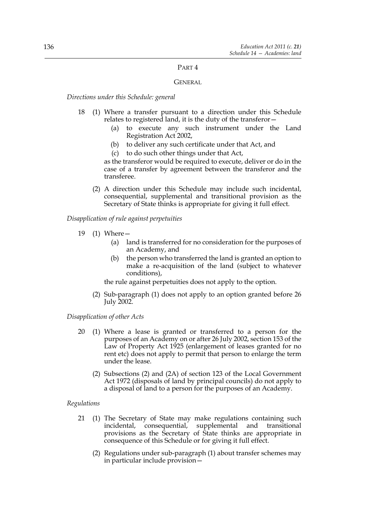# PART 4

# GENERAL

*Directions under this Schedule: general*

- 18 (1) Where a transfer pursuant to a direction under this Schedule relates to registered land, it is the duty of the transferor—
	- (a) to execute any such instrument under the Land Registration Act 2002,
	- (b) to deliver any such certificate under that Act, and
	- (c) to do such other things under that Act,

as the transferor would be required to execute, deliver or do in the case of a transfer by agreement between the transferor and the transferee.

(2) A direction under this Schedule may include such incidental, consequential, supplemental and transitional provision as the Secretary of State thinks is appropriate for giving it full effect.

*Disapplication of rule against perpetuities*

- 19 (1) Where—
	- (a) land is transferred for no consideration for the purposes of an Academy, and
	- (b) the person who transferred the land is granted an option to make a re-acquisition of the land (subject to whatever conditions),

the rule against perpetuities does not apply to the option.

(2) Sub-paragraph (1) does not apply to an option granted before 26 July 2002.

## *Disapplication of other Acts*

- 20 (1) Where a lease is granted or transferred to a person for the purposes of an Academy on or after 26 July 2002, section 153 of the Law of Property Act 1925 (enlargement of leases granted for no rent etc) does not apply to permit that person to enlarge the term under the lease.
	- (2) Subsections (2) and (2A) of section 123 of the Local Government Act 1972 (disposals of land by principal councils) do not apply to a disposal of land to a person for the purposes of an Academy.

## *Regulations*

- 21 (1) The Secretary of State may make regulations containing such incidental, consequential, supplemental and transitional provisions as the Secretary of State thinks are appropriate in consequence of this Schedule or for giving it full effect.
	- (2) Regulations under sub-paragraph (1) about transfer schemes may in particular include provision—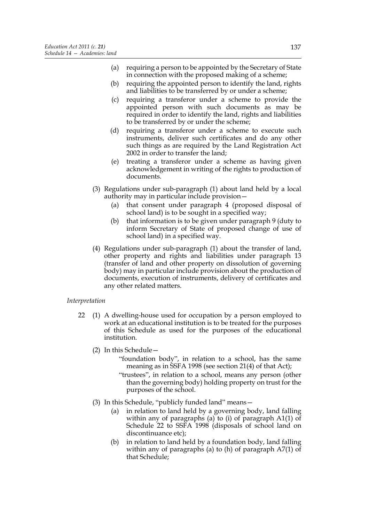- (a) requiring a person to be appointed by the Secretary of State in connection with the proposed making of a scheme;
- (b) requiring the appointed person to identify the land, rights and liabilities to be transferred by or under a scheme;
- (c) requiring a transferor under a scheme to provide the appointed person with such documents as may be required in order to identify the land, rights and liabilities to be transferred by or under the scheme;
- (d) requiring a transferor under a scheme to execute such instruments, deliver such certificates and do any other such things as are required by the Land Registration Act 2002 in order to transfer the land;
- (e) treating a transferor under a scheme as having given acknowledgement in writing of the rights to production of documents.
- (3) Regulations under sub-paragraph (1) about land held by a local authority may in particular include provision—
	- (a) that consent under paragraph 4 (proposed disposal of school land) is to be sought in a specified way;
	- (b) that information is to be given under paragraph 9 (duty to inform Secretary of State of proposed change of use of school land) in a specified way.
- (4) Regulations under sub-paragraph (1) about the transfer of land, other property and rights and liabilities under paragraph 13 (transfer of land and other property on dissolution of governing body) may in particular include provision about the production of documents, execution of instruments, delivery of certificates and any other related matters.

# *Interpretation*

- 22 (1) A dwelling-house used for occupation by a person employed to work at an educational institution is to be treated for the purposes of this Schedule as used for the purposes of the educational institution.
	- (2) In this Schedule—
		- "foundation body", in relation to a school, has the same meaning as in SSFA 1998 (see section 21(4) of that Act);
		- "trustees", in relation to a school, means any person (other than the governing body) holding property on trust for the purposes of the school.
	- (3) In this Schedule, "publicly funded land" means—
		- (a) in relation to land held by a governing body, land falling within any of paragraphs (a) to (i) of paragraph A1(1) of Schedule 22 to SSFA 1998 (disposals of school land on discontinuance etc);
		- (b) in relation to land held by a foundation body, land falling within any of paragraphs (a) to (h) of paragraph A7(1) of that Schedule;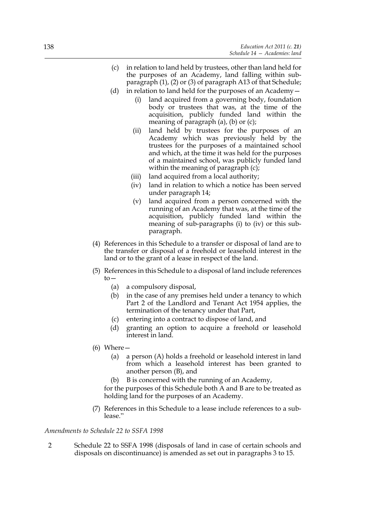- (c) in relation to land held by trustees, other than land held for the purposes of an Academy, land falling within subparagraph (1), (2) or (3) of paragraph A13 of that Schedule;
- (d) in relation to land held for the purposes of an Academy—
	- (i) land acquired from a governing body, foundation body or trustees that was, at the time of the acquisition, publicly funded land within the meaning of paragraph (a), (b) or (c);
	- (ii) land held by trustees for the purposes of an Academy which was previously held by the trustees for the purposes of a maintained school and which, at the time it was held for the purposes of a maintained school, was publicly funded land within the meaning of paragraph (c);
	- (iii) land acquired from a local authority;
	- (iv) land in relation to which a notice has been served under paragraph 14;
	- (v) land acquired from a person concerned with the running of an Academy that was, at the time of the acquisition, publicly funded land within the meaning of sub-paragraphs (i) to (iv) or this subparagraph.
- (4) References in this Schedule to a transfer or disposal of land are to the transfer or disposal of a freehold or leasehold interest in the land or to the grant of a lease in respect of the land.
- (5) References in this Schedule to a disposal of land include references  $to-$ 
	- (a) a compulsory disposal,
	- (b) in the case of any premises held under a tenancy to which Part 2 of the Landlord and Tenant Act 1954 applies, the termination of the tenancy under that Part,
	- (c) entering into a contract to dispose of land, and
	- (d) granting an option to acquire a freehold or leasehold interest in land.
- $(6)$  Where  $-$ 
	- (a) a person (A) holds a freehold or leasehold interest in land from which a leasehold interest has been granted to another person (B), and
	- (b) B is concerned with the running of an Academy,

for the purposes of this Schedule both A and B are to be treated as holding land for the purposes of an Academy.

(7) References in this Schedule to a lease include references to a sublease."

*Amendments to Schedule 22 to SSFA 1998*

2 Schedule 22 to SSFA 1998 (disposals of land in case of certain schools and disposals on discontinuance) is amended as set out in paragraphs 3 to 15.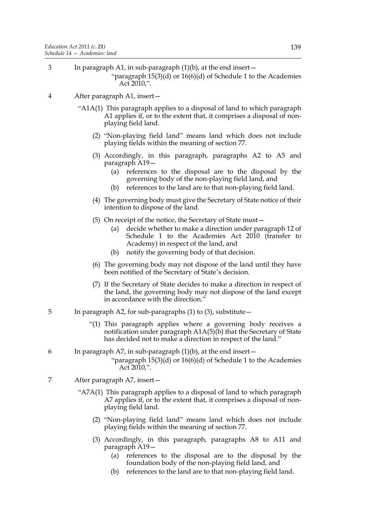3 In paragraph A1, in sub-paragraph (1)(b), at the end insert—

"paragraph 15(3)(d) or 16(6)(d) of Schedule 1 to the Academies Act 2010,".

- 4 After paragraph A1, insert—
	- "A1A(1) This paragraph applies to a disposal of land to which paragraph A1 applies if, or to the extent that, it comprises a disposal of nonplaying field land.
		- (2) "Non-playing field land" means land which does not include playing fields within the meaning of section 77.
		- (3) Accordingly, in this paragraph, paragraphs A2 to A5 and paragraph A19—
			- (a) references to the disposal are to the disposal by the governing body of the non-playing field land, and
			- (b) references to the land are to that non-playing field land.
		- (4) The governing body must give the Secretary of State notice of their intention to dispose of the land.
		- (5) On receipt of the notice, the Secretary of State must—
			- (a) decide whether to make a direction under paragraph 12 of Schedule 1 to the Academies Act 2010 (transfer to Academy) in respect of the land, and
			- (b) notify the governing body of that decision.
		- (6) The governing body may not dispose of the land until they have been notified of the Secretary of State's decision.
		- (7) If the Secretary of State decides to make a direction in respect of the land, the governing body may not dispose of the land except in accordance with the direction."
- 5 In paragraph A2, for sub-paragraphs (1) to (3), substitute—
	- "(1) This paragraph applies where a governing body receives a notification under paragraph A1A(5)(b) that the Secretary of State has decided not to make a direction in respect of the land."
- 6 In paragraph A7, in sub-paragraph (1)(b), at the end insert— "paragraph 15(3)(d) or 16(6)(d) of Schedule 1 to the Academies Act  $2010$ .".
- 7 After paragraph A7, insert—
	- "A7A(1) This paragraph applies to a disposal of land to which paragraph A7 applies if, or to the extent that, it comprises a disposal of nonplaying field land.
		- (2) "Non-playing field land" means land which does not include playing fields within the meaning of section 77.
		- (3) Accordingly, in this paragraph, paragraphs A8 to A11 and paragraph A19—
			- (a) references to the disposal are to the disposal by the foundation body of the non-playing field land, and
			- (b) references to the land are to that non-playing field land.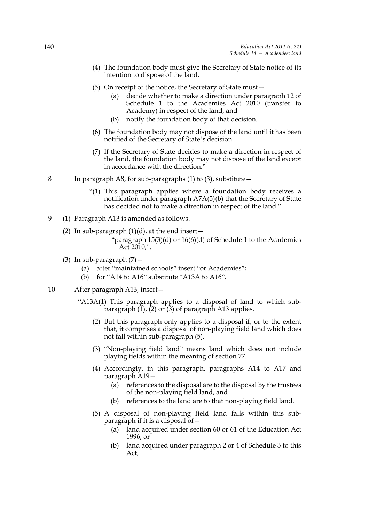- (4) The foundation body must give the Secretary of State notice of its intention to dispose of the land.
- (5) On receipt of the notice, the Secretary of State must—
	- (a) decide whether to make a direction under paragraph 12 of Schedule 1 to the Academies Act 2010 (transfer to Academy) in respect of the land, and
	- (b) notify the foundation body of that decision.
- (6) The foundation body may not dispose of the land until it has been notified of the Secretary of State's decision.
- (7) If the Secretary of State decides to make a direction in respect of the land, the foundation body may not dispose of the land except in accordance with the direction."
- 8 In paragraph A8, for sub-paragraphs (1) to (3), substitute—
	- "(1) This paragraph applies where a foundation body receives a notification under paragraph A7A(5)(b) that the Secretary of State has decided not to make a direction in respect of the land."
- 9 (1) Paragraph A13 is amended as follows.
	- (2) In sub-paragraph  $(1)(d)$ , at the end insert  $-$

- (3) In sub-paragraph  $(7)$  -
	- (a) after "maintained schools" insert "or Academies";
	- (b) for "A14 to A16" substitute "A13A to A16".
- 10 After paragraph A13, insert—
	- "A13A(1) This paragraph applies to a disposal of land to which subparagraph  $(1)$ ,  $(2)$  or  $(3)$  of paragraph A13 applies.
		- (2) But this paragraph only applies to a disposal if, or to the extent that, it comprises a disposal of non-playing field land which does not fall within sub-paragraph (5).
		- (3) "Non-playing field land" means land which does not include playing fields within the meaning of section 77.
		- (4) Accordingly, in this paragraph, paragraphs A14 to A17 and paragraph A19—
			- (a) references to the disposal are to the disposal by the trustees of the non-playing field land, and
			- (b) references to the land are to that non-playing field land.
		- (5) A disposal of non-playing field land falls within this subparagraph if it is a disposal of—
			- (a) land acquired under section 60 or 61 of the Education Act 1996, or
			- (b) land acquired under paragraph 2 or 4 of Schedule 3 to this Act,

<sup>&</sup>quot;paragraph 15(3)(d) or 16(6)(d) of Schedule 1 to the Academies Act 2010,".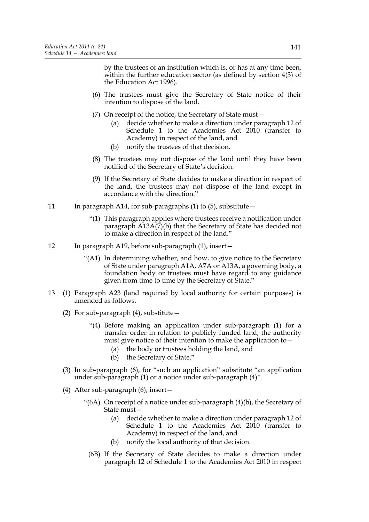by the trustees of an institution which is, or has at any time been, within the further education sector (as defined by section 4(3) of the Education Act 1996).

- (6) The trustees must give the Secretary of State notice of their intention to dispose of the land.
- (7) On receipt of the notice, the Secretary of State must—
	- (a) decide whether to make a direction under paragraph 12 of Schedule 1 to the Academies Act 2010 (transfer to Academy) in respect of the land, and
	- (b) notify the trustees of that decision.
- (8) The trustees may not dispose of the land until they have been notified of the Secretary of State's decision.
- (9) If the Secretary of State decides to make a direction in respect of the land, the trustees may not dispose of the land except in accordance with the direction."
- 11 In paragraph A14, for sub-paragraphs (1) to (5), substitute -
	- "(1) This paragraph applies where trustees receive a notification under paragraph A13A(7)(b) that the Secretary of State has decided not to make a direction in respect of the land."
- 12 In paragraph A19, before sub-paragraph (1), insert-
	- "(A1) In determining whether, and how, to give notice to the Secretary of State under paragraph A1A, A7A or A13A, a governing body, a foundation body or trustees must have regard to any guidance given from time to time by the Secretary of State."
- 13 (1) Paragraph A23 (land required by local authority for certain purposes) is amended as follows.
	- (2) For sub-paragraph  $(4)$ , substitute  $-$ 
		- "(4) Before making an application under sub-paragraph (1) for a transfer order in relation to publicly funded land, the authority must give notice of their intention to make the application to—
			- (a) the body or trustees holding the land, and
			- (b) the Secretary of State."
	- (3) In sub-paragraph (6), for "such an application" substitute "an application under sub-paragraph (1) or a notice under sub-paragraph (4)".
	- (4) After sub-paragraph (6), insert—
		- "(6A) On receipt of a notice under sub-paragraph (4)(b), the Secretary of State must—
			- (a) decide whether to make a direction under paragraph 12 of Schedule 1 to the Academies Act 2010 (transfer to Academy) in respect of the land, and
			- (b) notify the local authority of that decision.
			- (6B) If the Secretary of State decides to make a direction under paragraph 12 of Schedule 1 to the Academies Act 2010 in respect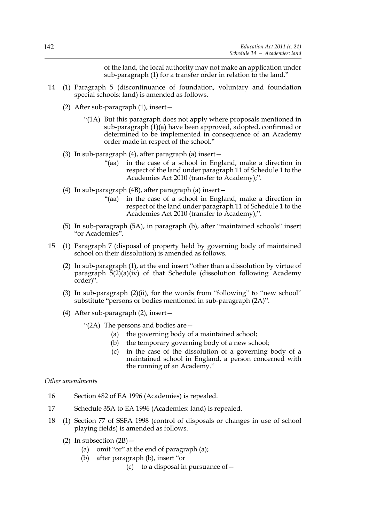of the land, the local authority may not make an application under sub-paragraph (1) for a transfer order in relation to the land."

- 14 (1) Paragraph 5 (discontinuance of foundation, voluntary and foundation special schools: land) is amended as follows.
	- (2) After sub-paragraph (1), insert—
		- "(1A) But this paragraph does not apply where proposals mentioned in sub-paragraph (1)(a) have been approved, adopted, confirmed or determined to be implemented in consequence of an Academy order made in respect of the school."
	- (3) In sub-paragraph (4), after paragraph (a) insert—
		- "(aa) in the case of a school in England, make a direction in respect of the land under paragraph 11 of Schedule 1 to the Academies Act 2010 (transfer to Academy);".
	- (4) In sub-paragraph (4B), after paragraph (a) insert—
		- "(aa) in the case of a school in England, make a direction in respect of the land under paragraph 11 of Schedule 1 to the Academies Act 2010 (transfer to Academy);".
	- (5) In sub-paragraph (5A), in paragraph (b), after "maintained schools" insert "or Academies".
- 15 (1) Paragraph 7 (disposal of property held by governing body of maintained school on their dissolution) is amended as follows.
	- (2) In sub-paragraph (1), at the end insert "other than a dissolution by virtue of paragraph 5(2)(a)(iv) of that Schedule (dissolution following Academy order)".
	- (3) In sub-paragraph (2)(ii), for the words from "following" to "new school" substitute "persons or bodies mentioned in sub-paragraph (2A)".
	- (4) After sub-paragraph (2), insert—
		- "(2A) The persons and bodies are—
			- (a) the governing body of a maintained school;
			- (b) the temporary governing body of a new school;
			- (c) in the case of the dissolution of a governing body of a maintained school in England, a person concerned with the running of an Academy."

#### *Other amendments*

- 16 Section 482 of EA 1996 (Academies) is repealed.
- 17 Schedule 35A to EA 1996 (Academies: land) is repealed.
- 18 (1) Section 77 of SSFA 1998 (control of disposals or changes in use of school playing fields) is amended as follows.
	- (2) In subsection  $(2B)$ 
		- (a) omit "or" at the end of paragraph (a);
		- (b) after paragraph (b), insert "or
			- (c) to a disposal in pursuance of  $-$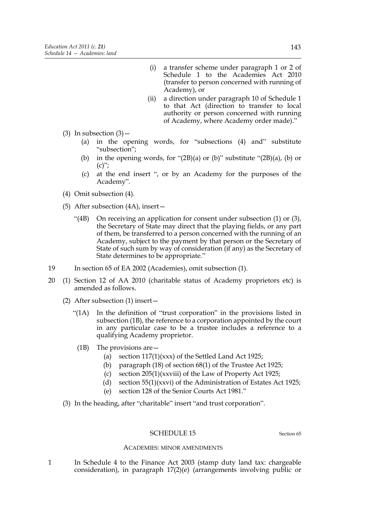- (i) a transfer scheme under paragraph 1 or 2 of Schedule 1 to the Academies Act 2010 (transfer to person concerned with running of Academy), or
- (ii) a direction under paragraph 10 of Schedule 1 to that Act (direction to transfer to local authority or person concerned with running of Academy, where Academy order made)."
- (3) In subsection  $(3)$ 
	- (a) in the opening words, for "subsections (4) and" substitute "subsection";
	- (b) in the opening words, for " $(2B)(a)$  or (b)" substitute " $(2B)(a)$ , (b) or  $(c)$ ";
	- (c) at the end insert ", or by an Academy for the purposes of the Academy".
- (4) Omit subsection (4).
- (5) After subsection (4A), insert—
	- "(4B) On receiving an application for consent under subsection (1) or (3), the Secretary of State may direct that the playing fields, or any part of them, be transferred to a person concerned with the running of an Academy, subject to the payment by that person or the Secretary of State of such sum by way of consideration (if any) as the Secretary of State determines to be appropriate."
- 19 In section 65 of EA 2002 (Academies), omit subsection (1).
- 20 (1) Section 12 of AA 2010 (charitable status of Academy proprietors etc) is amended as follows.
	- (2) After subsection (1) insert—
		- "(1A) In the definition of "trust corporation" in the provisions listed in subsection (1B), the reference to a corporation appointed by the court in any particular case to be a trustee includes a reference to a qualifying Academy proprietor.
			- (1B) The provisions are—
				- (a) section 117(1)(xxx) of the Settled Land Act 1925;
				- (b) paragraph (18) of section 68(1) of the Trustee Act 1925;
				- (c) section 205(1)(xxviii) of the Law of Property Act 1925;
				- (d) section 55(1)(xxvi) of the Administration of Estates Act 1925;
				- (e) section 128 of the Senior Courts Act 1981."
	- (3) In the heading, after "charitable" insert "and trust corporation".

#### SCHEDULE 15 Section 65

#### ACADEMIES: MINOR AMENDMENTS

1 In Schedule 4 to the Finance Act 2003 (stamp duty land tax: chargeable consideration), in paragraph 17(2)(e) (arrangements involving public or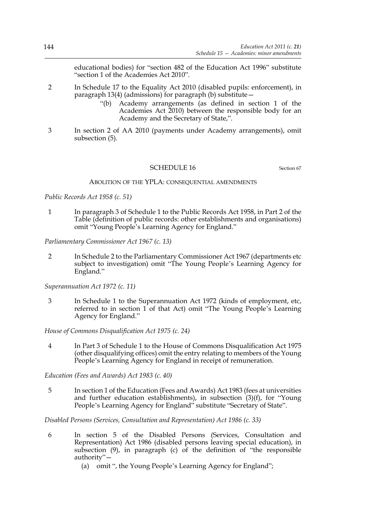educational bodies) for "section 482 of the Education Act 1996" substitute "section 1 of the Academies Act 2010".

- 2 In Schedule 17 to the Equality Act 2010 (disabled pupils: enforcement), in paragraph 13(4) (admissions) for paragraph (b) substitute—
	- "(b) Academy arrangements (as defined in section 1 of the Academies Act 2010) between the responsible body for an Academy and the Secretary of State,".
- 3 In section 2 of AA 2010 (payments under Academy arrangements), omit subsection (5).

#### SCHEDULE 16 Section 67

#### ABOLITION OF THE YPLA: CONSEQUENTIAL AMENDMENTS

*Public Records Act 1958 (c. 51)*

1 In paragraph 3 of Schedule 1 to the Public Records Act 1958, in Part 2 of the Table (definition of public records: other establishments and organisations) omit "Young People's Learning Agency for England."

*Parliamentary Commissioner Act 1967 (c. 13)*

2 In Schedule 2 to the Parliamentary Commissioner Act 1967 (departments etc subject to investigation) omit "The Young People's Learning Agency for England."

*Superannuation Act 1972 (c. 11)*

3 In Schedule 1 to the Superannuation Act 1972 (kinds of employment, etc, referred to in section 1 of that Act) omit "The Young People's Learning Agency for England."

*House of Commons Disqualification Act 1975 (c. 24)*

4 In Part 3 of Schedule 1 to the House of Commons Disqualification Act 1975 (other disqualifying offices) omit the entry relating to members of the Young People's Learning Agency for England in receipt of remuneration.

*Education (Fees and Awards) Act 1983 (c. 40)*

5 In section 1 of the Education (Fees and Awards) Act 1983 (fees at universities and further education establishments), in subsection (3)(f), for "Young People's Learning Agency for England" substitute "Secretary of State".

*Disabled Persons (Services, Consultation and Representation) Act 1986 (c. 33)*

- 6 In section 5 of the Disabled Persons (Services, Consultation and Representation) Act 1986 (disabled persons leaving special education), in subsection  $(9)$ , in paragraph  $(c)$  of the definition of "the responsible authority"—
	- (a) omit ", the Young People's Learning Agency for England";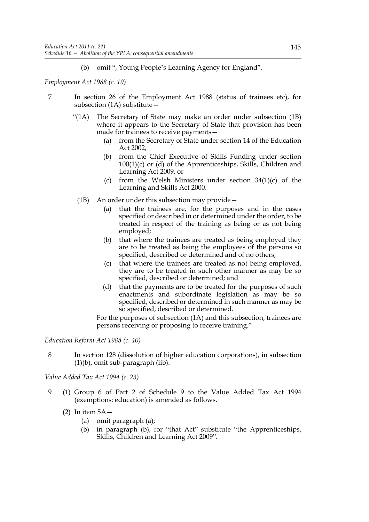(b) omit ", Young People's Learning Agency for England".

*Employment Act 1988 (c. 19)*

- 7 In section 26 of the Employment Act 1988 (status of trainees etc), for subsection (1A) substitute—
	- "(1A) The Secretary of State may make an order under subsection (1B) where it appears to the Secretary of State that provision has been made for trainees to receive payments—
		- (a) from the Secretary of State under section 14 of the Education Act 2002,
		- (b) from the Chief Executive of Skills Funding under section 100(1)(c) or (d) of the Apprenticeships, Skills, Children and Learning Act 2009, or
		- (c) from the Welsh Ministers under section 34(1)(c) of the Learning and Skills Act 2000.
		- (1B) An order under this subsection may provide—
			- (a) that the trainees are, for the purposes and in the cases specified or described in or determined under the order, to be treated in respect of the training as being or as not being employed;
			- (b) that where the trainees are treated as being employed they are to be treated as being the employees of the persons so specified, described or determined and of no others;
			- (c) that where the trainees are treated as not being employed, they are to be treated in such other manner as may be so specified, described or determined; and
			- (d) that the payments are to be treated for the purposes of such enactments and subordinate legislation as may be so specified, described or determined in such manner as may be so specified, described or determined.

For the purposes of subsection (1A) and this subsection, trainees are persons receiving or proposing to receive training."

*Education Reform Act 1988 (c. 40)*

8 In section 128 (dissolution of higher education corporations), in subsection (1)(b), omit sub-paragraph (iib).

*Value Added Tax Act 1994 (c. 23)*

- 9 (1) Group 6 of Part 2 of Schedule 9 to the Value Added Tax Act 1994 (exemptions: education) is amended as follows.
	- (2) In item  $5A -$ 
		- (a) omit paragraph (a);
		- (b) in paragraph (b), for "that Act" substitute "the Apprenticeships, Skills, Children and Learning Act 2009".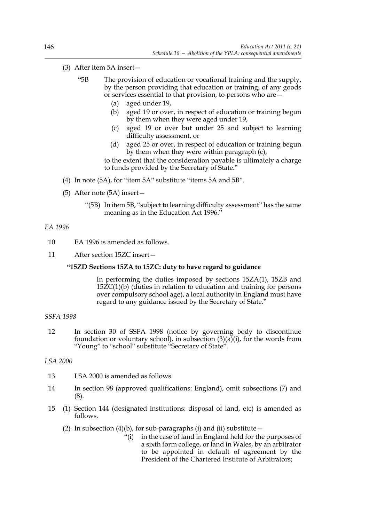## (3) After item 5A insert—

- "5B The provision of education or vocational training and the supply, by the person providing that education or training, of any goods or services essential to that provision, to persons who are—
	- (a) aged under 19,
	- (b) aged 19 or over, in respect of education or training begun by them when they were aged under 19,
	- (c) aged 19 or over but under 25 and subject to learning difficulty assessment, or
	- (d) aged 25 or over, in respect of education or training begun by them when they were within paragraph (c),

to the extent that the consideration payable is ultimately a charge to funds provided by the Secretary of State."

- (4) In note (5A), for "item 5A" substitute "items 5A and 5B".
- (5) After note (5A) insert—
	- "(5B) In item 5B, "subject to learning difficulty assessment" has the same meaning as in the Education Act 1996."

## *EA 1996*

- 10 EA 1996 is amended as follows.
- 11 After section 15ZC insert—

## **"15ZD Sections 15ZA to 15ZC: duty to have regard to guidance**

In performing the duties imposed by sections 15ZA(1), 15ZB and 15ZC(1)(b) (duties in relation to education and training for persons over compulsory school age), a local authority in England must have regard to any guidance issued by the Secretary of State."

#### *SSFA 1998*

12 In section 30 of SSFA 1998 (notice by governing body to discontinue foundation or voluntary school), in subsection  $(3)(a)(i)$ , for the words from "Young" to "school" substitute "Secretary of State".

## *LSA 2000*

- 13 LSA 2000 is amended as follows.
- 14 In section 98 (approved qualifications: England), omit subsections (7) and (8).
- 15 (1) Section 144 (designated institutions: disposal of land, etc) is amended as follows.
	- (2) In subsection  $(4)(b)$ , for sub-paragraphs (i) and (ii) substitute  $-$ 
		- "(i) in the case of land in England held for the purposes of a sixth form college, or land in Wales, by an arbitrator to be appointed in default of agreement by the President of the Chartered Institute of Arbitrators;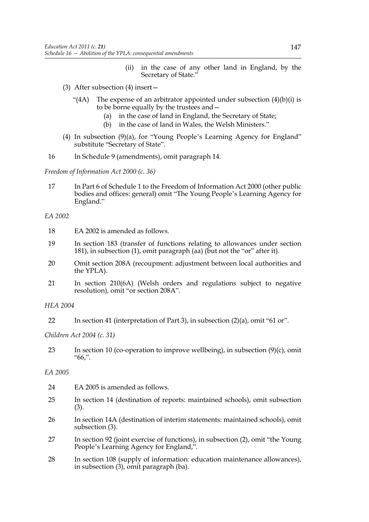- (ii) in the case of any other land in England, by the Secretary of State."
- (3) After subsection (4) insert—
	- "(4A) The expense of an arbitrator appointed under subsection  $(4)(b)(i)$  is to be borne equally by the trustees and—
		- (a) in the case of land in England, the Secretary of State;
		- (b) in the case of land in Wales, the Welsh Ministers."
- (4) In subsection (9)(a), for "Young People's Learning Agency for England" substitute "Secretary of State".
- 16 In Schedule 9 (amendments), omit paragraph 14.

*Freedom of Information Act 2000 (c. 36)*

17 In Part 6 of Schedule 1 to the Freedom of Information Act 2000 (other public bodies and offices: general) omit "The Young People's Learning Agency for England."

*EA 2002*

- 18 EA 2002 is amended as follows.
- 19 In section 183 (transfer of functions relating to allowances under section 181), in subsection (1), omit paragraph (aa) (but not the "or" after it).
- 20 Omit section 208A (recoupment: adjustment between local authorities and the YPLA).
- 21 In section 210(6A) (Welsh orders and regulations subject to negative resolution), omit "or section 208A".

*HEA 2004*

22 In section 41 (interpretation of Part 3), in subsection (2)(a), omit "61 or".

*Children Act 2004 (c. 31)*

23 In section 10 (co-operation to improve wellbeing), in subsection (9)(c), omit "66,".

# *EA 2005*

- 24 EA 2005 is amended as follows.
- 25 In section 14 (destination of reports: maintained schools), omit subsection (3).
- 26 In section 14A (destination of interim statements: maintained schools), omit subsection (3).
- 27 In section 92 (joint exercise of functions), in subsection (2), omit "the Young People's Learning Agency for England,".
- 28 In section 108 (supply of information: education maintenance allowances), in subsection (3), omit paragraph (ba).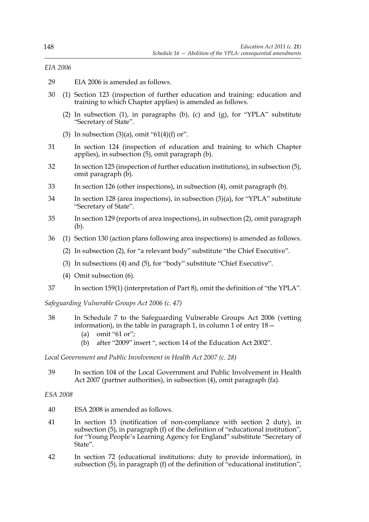# *EIA 2006*

- 29 EIA 2006 is amended as follows.
- 30 (1) Section 123 (inspection of further education and training: education and training to which Chapter applies) is amended as follows.
	- (2) In subsection (1), in paragraphs (b), (c) and (g), for "YPLA" substitute "Secretary of State".
	- (3) In subsection  $(3)(a)$ , omit "61(4)(f) or".
- 31 In section 124 (inspection of education and training to which Chapter applies), in subsection (5), omit paragraph (b).
- 32 In section 125 (inspection of further education institutions), in subsection (5), omit paragraph (b).
- 33 In section 126 (other inspections), in subsection (4), omit paragraph (b).
- 34 In section 128 (area inspections), in subsection (3)(a), for "YPLA" substitute "Secretary of State".
- 35 In section 129 (reports of area inspections), in subsection (2), omit paragraph (b).
- 36 (1) Section 130 (action plans following area inspections) is amended as follows.
	- (2) In subsection (2), for "a relevant body" substitute "the Chief Executive".
	- (3) In subsections (4) and (5), for "body" substitute "Chief Executive".
	- (4) Omit subsection (6).
- 37 In section 159(1) (interpretation of Part 8), omit the definition of "the YPLA".

*Safeguarding Vulnerable Groups Act 2006 (c. 47)*

- 38 In Schedule 7 to the Safeguarding Vulnerable Groups Act 2006 (vetting information), in the table in paragraph 1, in column 1 of entry 18—
	- (a) omit "61 or";
	- (b) after "2009" insert ", section 14 of the Education Act 2002".

*Local Government and Public Involvement in Health Act 2007 (c. 28)*

39 In section 104 of the Local Government and Public Involvement in Health Act 2007 (partner authorities), in subsection (4), omit paragraph (fa).

## *ESA 2008*

- 40 ESA 2008 is amended as follows.
- 41 In section 13 (notification of non-compliance with section 2 duty), in subsection (5), in paragraph (f) of the definition of "educational institution", for "Young People's Learning Agency for England" substitute "Secretary of State".
- 42 In section 72 (educational institutions: duty to provide information), in subsection (5), in paragraph (f) of the definition of "educational institution",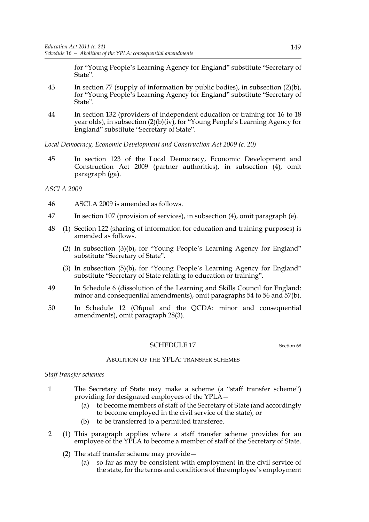for "Young People's Learning Agency for England" substitute "Secretary of State".

- 43 In section 77 (supply of information by public bodies), in subsection (2)(b), for "Young People's Learning Agency for England" substitute "Secretary of State".
- 44 In section 132 (providers of independent education or training for 16 to 18 year olds), in subsection (2)(b)(iv), for "Young People's Learning Agency for England" substitute "Secretary of State".

*Local Democracy, Economic Development and Construction Act 2009 (c. 20)*

45 In section 123 of the Local Democracy, Economic Development and Construction Act 2009 (partner authorities), in subsection (4), omit paragraph (ga).

## *ASCLA 2009*

- 46 ASCLA 2009 is amended as follows.
- 47 In section 107 (provision of services), in subsection (4), omit paragraph (e).
- 48 (1) Section 122 (sharing of information for education and training purposes) is amended as follows.
	- (2) In subsection (3)(b), for "Young People's Learning Agency for England" substitute "Secretary of State".
	- (3) In subsection (5)(b), for "Young People's Learning Agency for England" substitute "Secretary of State relating to education or training".
- 49 In Schedule 6 (dissolution of the Learning and Skills Council for England: minor and consequential amendments), omit paragraphs 54 to 56 and 57(b).
- 50 In Schedule 12 (Ofqual and the QCDA: minor and consequential amendments), omit paragraph 28(3).

#### SCHEDULE 17 Section 68

#### ABOLITION OF THE YPLA: TRANSFER SCHEMES

#### *Staff transfer schemes*

- 1 The Secretary of State may make a scheme (a "staff transfer scheme") providing for designated employees of the YPLA—
	- (a) to become members of staff of the Secretary of State (and accordingly to become employed in the civil service of the state), or
	- (b) to be transferred to a permitted transferee.
- 2 (1) This paragraph applies where a staff transfer scheme provides for an employee of the YPLA to become a member of staff of the Secretary of State.
	- (2) The staff transfer scheme may provide—
		- (a) so far as may be consistent with employment in the civil service of the state, for the terms and conditions of the employee's employment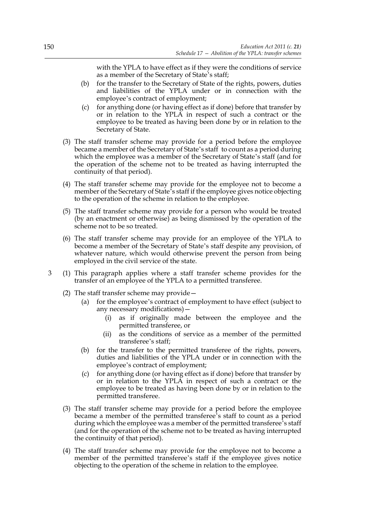with the YPLA to have effect as if they were the conditions of service as a member of the Secretary of State's staff;

- (b) for the transfer to the Secretary of State of the rights, powers, duties and liabilities of the YPLA under or in connection with the employee's contract of employment;
- (c) for anything done (or having effect as if done) before that transfer by or in relation to the YPLA in respect of such a contract or the employee to be treated as having been done by or in relation to the Secretary of State.
- (3) The staff transfer scheme may provide for a period before the employee became a member of the Secretary of State's staff to count as a period during which the employee was a member of the Secretary of State's staff (and for the operation of the scheme not to be treated as having interrupted the continuity of that period).
- (4) The staff transfer scheme may provide for the employee not to become a member of the Secretary of State's staff if the employee gives notice objecting to the operation of the scheme in relation to the employee.
- (5) The staff transfer scheme may provide for a person who would be treated (by an enactment or otherwise) as being dismissed by the operation of the scheme not to be so treated.
- (6) The staff transfer scheme may provide for an employee of the YPLA to become a member of the Secretary of State's staff despite any provision, of whatever nature, which would otherwise prevent the person from being employed in the civil service of the state.
- 3 (1) This paragraph applies where a staff transfer scheme provides for the transfer of an employee of the YPLA to a permitted transferee.
	- (2) The staff transfer scheme may provide—
		- (a) for the employee's contract of employment to have effect (subject to any necessary modifications)—
			- (i) as if originally made between the employee and the permitted transferee, or
			- (ii) as the conditions of service as a member of the permitted transferee's staff;
		- (b) for the transfer to the permitted transferee of the rights, powers, duties and liabilities of the YPLA under or in connection with the employee's contract of employment;
		- (c) for anything done (or having effect as if done) before that transfer by or in relation to the YPLA in respect of such a contract or the employee to be treated as having been done by or in relation to the permitted transferee.
	- (3) The staff transfer scheme may provide for a period before the employee became a member of the permitted transferee's staff to count as a period during which the employee was a member of the permitted transferee's staff (and for the operation of the scheme not to be treated as having interrupted the continuity of that period).
	- (4) The staff transfer scheme may provide for the employee not to become a member of the permitted transferee's staff if the employee gives notice objecting to the operation of the scheme in relation to the employee.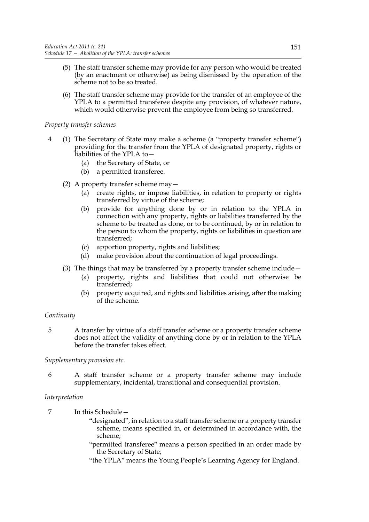- (5) The staff transfer scheme may provide for any person who would be treated (by an enactment or otherwise) as being dismissed by the operation of the scheme not to be so treated.
- (6) The staff transfer scheme may provide for the transfer of an employee of the YPLA to a permitted transferee despite any provision, of whatever nature, which would otherwise prevent the employee from being so transferred.

## *Property transfer schemes*

- 4 (1) The Secretary of State may make a scheme (a "property transfer scheme") providing for the transfer from the YPLA of designated property, rights or liabilities of the YPLA to—
	- (a) the Secretary of State, or
	- (b) a permitted transferee.
	- (2) A property transfer scheme may—
		- (a) create rights, or impose liabilities, in relation to property or rights transferred by virtue of the scheme;
		- (b) provide for anything done by or in relation to the YPLA in connection with any property, rights or liabilities transferred by the scheme to be treated as done, or to be continued, by or in relation to the person to whom the property, rights or liabilities in question are transferred;
		- (c) apportion property, rights and liabilities;
		- (d) make provision about the continuation of legal proceedings.
	- (3) The things that may be transferred by a property transfer scheme include—
		- (a) property, rights and liabilities that could not otherwise be transferred;
		- (b) property acquired, and rights and liabilities arising, after the making of the scheme.

# *Continuity*

5 A transfer by virtue of a staff transfer scheme or a property transfer scheme does not affect the validity of anything done by or in relation to the YPLA before the transfer takes effect.

## *Supplementary provision etc.*

6 A staff transfer scheme or a property transfer scheme may include supplementary, incidental, transitional and consequential provision.

# *Interpretation*

- 7 In this Schedule—
	- "designated", in relation to a staff transfer scheme or a property transfer scheme, means specified in, or determined in accordance with, the scheme;
	- "permitted transferee" means a person specified in an order made by the Secretary of State;
	- "the YPLA" means the Young People's Learning Agency for England.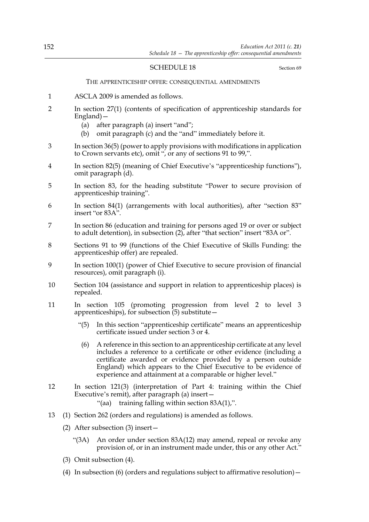## SCHEDULE 18 Section 69

THE APPRENTICESHIP OFFER: CONSEQUENTIAL AMENDMENTS

- 1 ASCLA 2009 is amended as follows.
- 2 In section 27(1) (contents of specification of apprenticeship standards for England)—
	- (a) after paragraph (a) insert "and";
	- (b) omit paragraph (c) and the "and" immediately before it.
- 3 In section 36(5) (power to apply provisions with modifications in application to Crown servants etc), omit ", or any of sections 91 to 99,".
- 4 In section 82(5) (meaning of Chief Executive's "apprenticeship functions"), omit paragraph (d).
- 5 In section 83, for the heading substitute "Power to secure provision of apprenticeship training".
- 6 In section 84(1) (arrangements with local authorities), after "section 83" insert "or 83A".
- 7 In section 86 (education and training for persons aged 19 or over or subject to adult detention), in subsection (2), after "that section" insert "83A or".
- 8 Sections 91 to 99 (functions of the Chief Executive of Skills Funding: the apprenticeship offer) are repealed.
- 9 In section 100(1) (power of Chief Executive to secure provision of financial resources), omit paragraph (i).
- 10 Section 104 (assistance and support in relation to apprenticeship places) is repealed.
- 11 In section 105 (promoting progression from level 2 to level 3 apprenticeships), for subsection  $(5)$  substitute –
	- "(5) In this section "apprenticeship certificate" means an apprenticeship certificate issued under section 3 or 4.
	- (6) A reference in this section to an apprenticeship certificate at any level includes a reference to a certificate or other evidence (including a certificate awarded or evidence provided by a person outside England) which appears to the Chief Executive to be evidence of experience and attainment at a comparable or higher level."
- 12 In section 121(3) (interpretation of Part 4: training within the Chief Executive's remit), after paragraph (a) insert—
	- "(aa) training falling within section 83A(1),".
- 13 (1) Section 262 (orders and regulations) is amended as follows.
	- (2) After subsection (3) insert—
		- "(3A) An order under section 83A(12) may amend, repeal or revoke any provision of, or in an instrument made under, this or any other Act."
	- (3) Omit subsection (4).
	- (4) In subsection (6) (orders and regulations subject to affirmative resolution)—